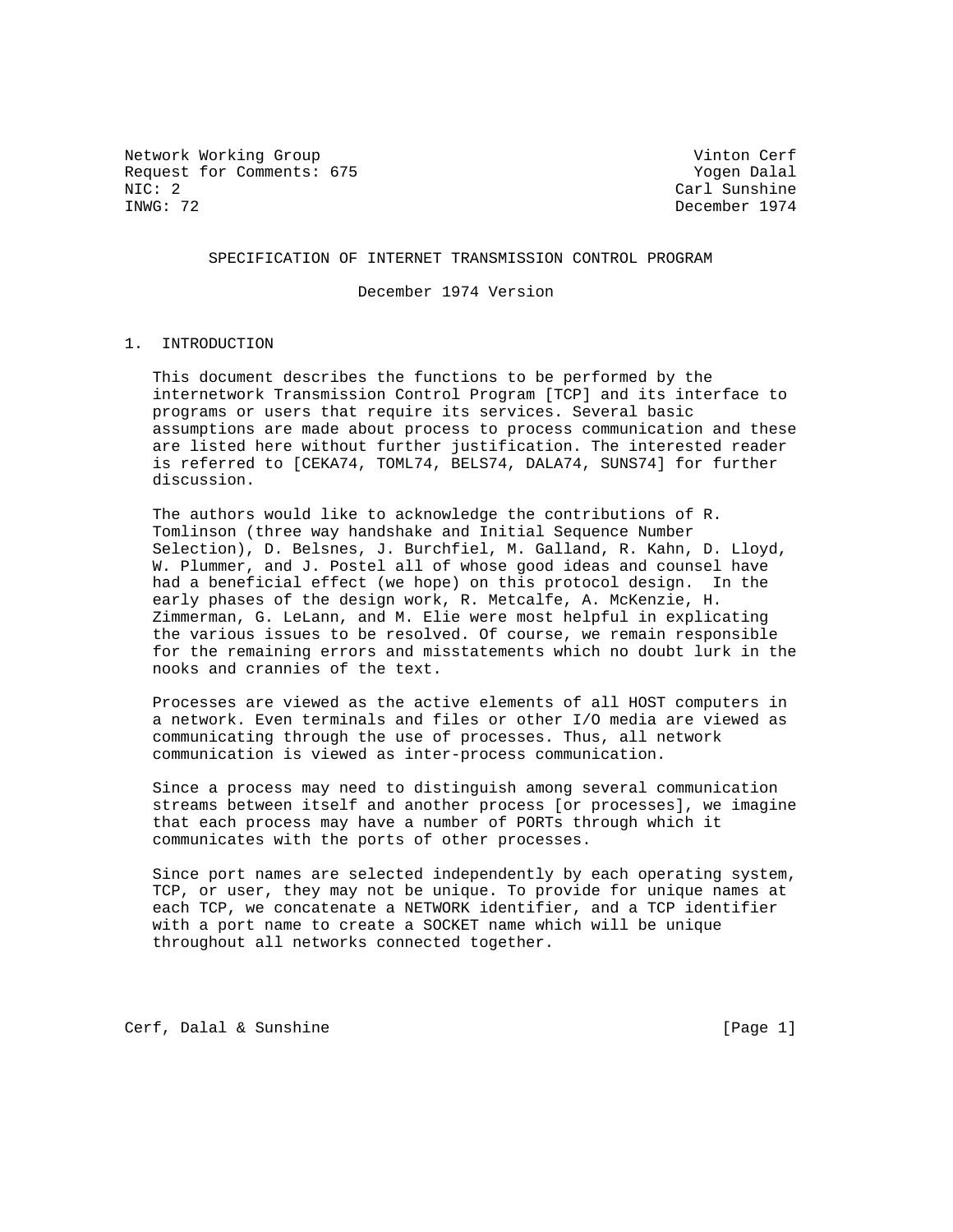Network Working Group and Cerf vinton Cerf vinton Cerf vinton Cerf Request for Comments: 675 Yogen Dalal NIC: 2 NIC: 2 Carl Sunshine

December 1974

SPECIFICATION OF INTERNET TRANSMISSION CONTROL PROGRAM

December 1974 Version

## 1. INTRODUCTION

 This document describes the functions to be performed by the internetwork Transmission Control Program [TCP] and its interface to programs or users that require its services. Several basic assumptions are made about process to process communication and these are listed here without further justification. The interested reader is referred to [CEKA74, TOML74, BELS74, DALA74, SUNS74] for further discussion.

 The authors would like to acknowledge the contributions of R. Tomlinson (three way handshake and Initial Sequence Number Selection), D. Belsnes, J. Burchfiel, M. Galland, R. Kahn, D. Lloyd, W. Plummer, and J. Postel all of whose good ideas and counsel have had a beneficial effect (we hope) on this protocol design. In the early phases of the design work, R. Metcalfe, A. McKenzie, H. Zimmerman, G. LeLann, and M. Elie were most helpful in explicating the various issues to be resolved. Of course, we remain responsible for the remaining errors and misstatements which no doubt lurk in the nooks and crannies of the text.

 Processes are viewed as the active elements of all HOST computers in a network. Even terminals and files or other I/O media are viewed as communicating through the use of processes. Thus, all network communication is viewed as inter-process communication.

 Since a process may need to distinguish among several communication streams between itself and another process [or processes], we imagine that each process may have a number of PORTs through which it communicates with the ports of other processes.

 Since port names are selected independently by each operating system, TCP, or user, they may not be unique. To provide for unique names at each TCP, we concatenate a NETWORK identifier, and a TCP identifier with a port name to create a SOCKET name which will be unique throughout all networks connected together.

Cerf, Dalal & Sunshine [Page 1]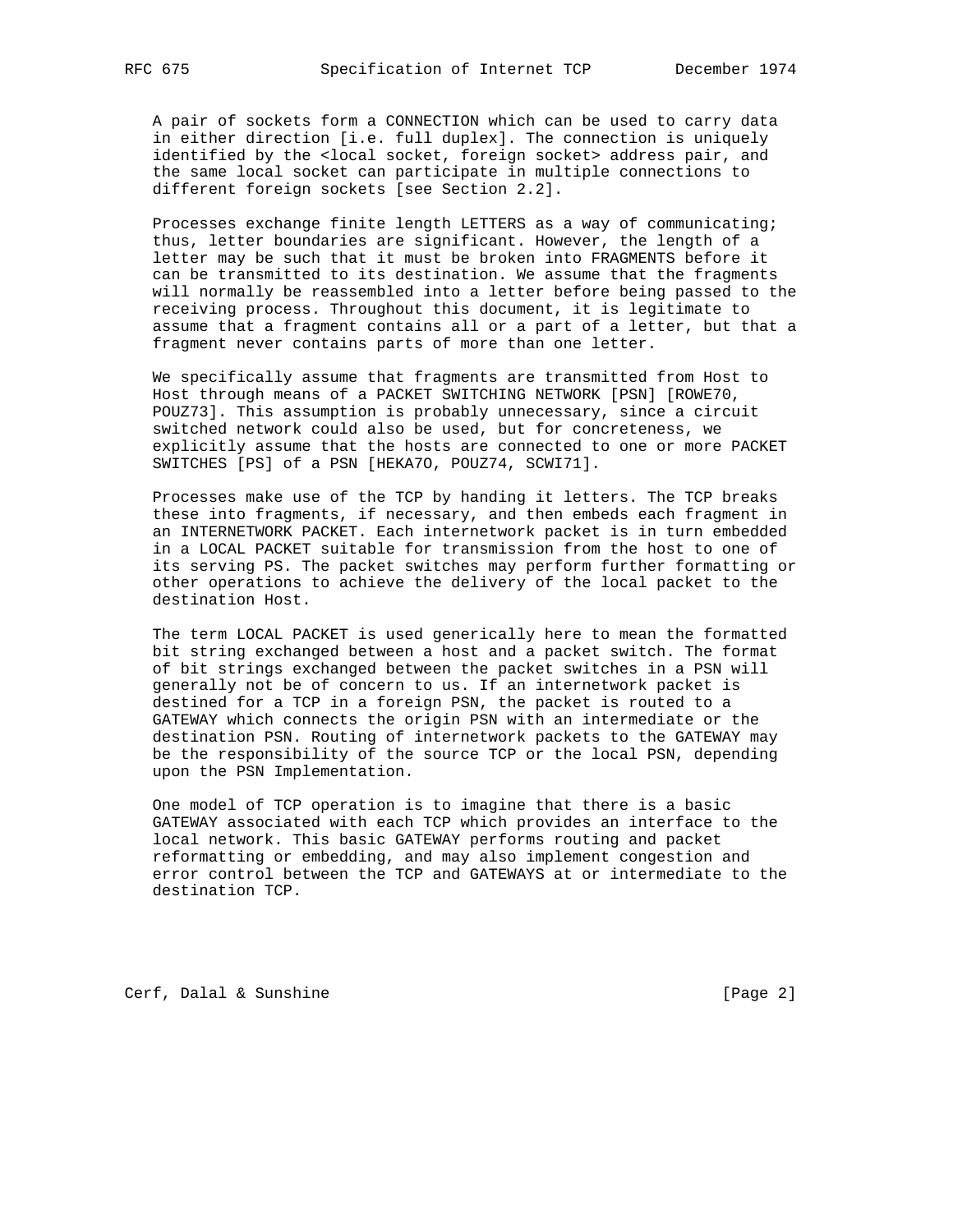A pair of sockets form a CONNECTION which can be used to carry data in either direction [i.e. full duplex]. The connection is uniquely identified by the <local socket, foreign socket> address pair, and the same local socket can participate in multiple connections to different foreign sockets [see Section 2.2].

 Processes exchange finite length LETTERS as a way of communicating; thus, letter boundaries are significant. However, the length of a letter may be such that it must be broken into FRAGMENTS before it can be transmitted to its destination. We assume that the fragments will normally be reassembled into a letter before being passed to the receiving process. Throughout this document, it is legitimate to assume that a fragment contains all or a part of a letter, but that a fragment never contains parts of more than one letter.

 We specifically assume that fragments are transmitted from Host to Host through means of a PACKET SWITCHING NETWORK [PSN] [ROWE70, POUZ73]. This assumption is probably unnecessary, since a circuit switched network could also be used, but for concreteness, we explicitly assume that the hosts are connected to one or more PACKET SWITCHES [PS] of a PSN [HEKA7O, POUZ74, SCWI71].

 Processes make use of the TCP by handing it letters. The TCP breaks these into fragments, if necessary, and then embeds each fragment in an INTERNETWORK PACKET. Each internetwork packet is in turn embedded in a LOCAL PACKET suitable for transmission from the host to one of its serving PS. The packet switches may perform further formatting or other operations to achieve the delivery of the local packet to the destination Host.

 The term LOCAL PACKET is used generically here to mean the formatted bit string exchanged between a host and a packet switch. The format of bit strings exchanged between the packet switches in a PSN will generally not be of concern to us. If an internetwork packet is destined for a TCP in a foreign PSN, the packet is routed to a GATEWAY which connects the origin PSN with an intermediate or the destination PSN. Routing of internetwork packets to the GATEWAY may be the responsibility of the source TCP or the local PSN, depending upon the PSN Implementation.

 One model of TCP operation is to imagine that there is a basic GATEWAY associated with each TCP which provides an interface to the local network. This basic GATEWAY performs routing and packet reformatting or embedding, and may also implement congestion and error control between the TCP and GATEWAYS at or intermediate to the destination TCP.

Cerf, Dalal & Sunshine [Page 2]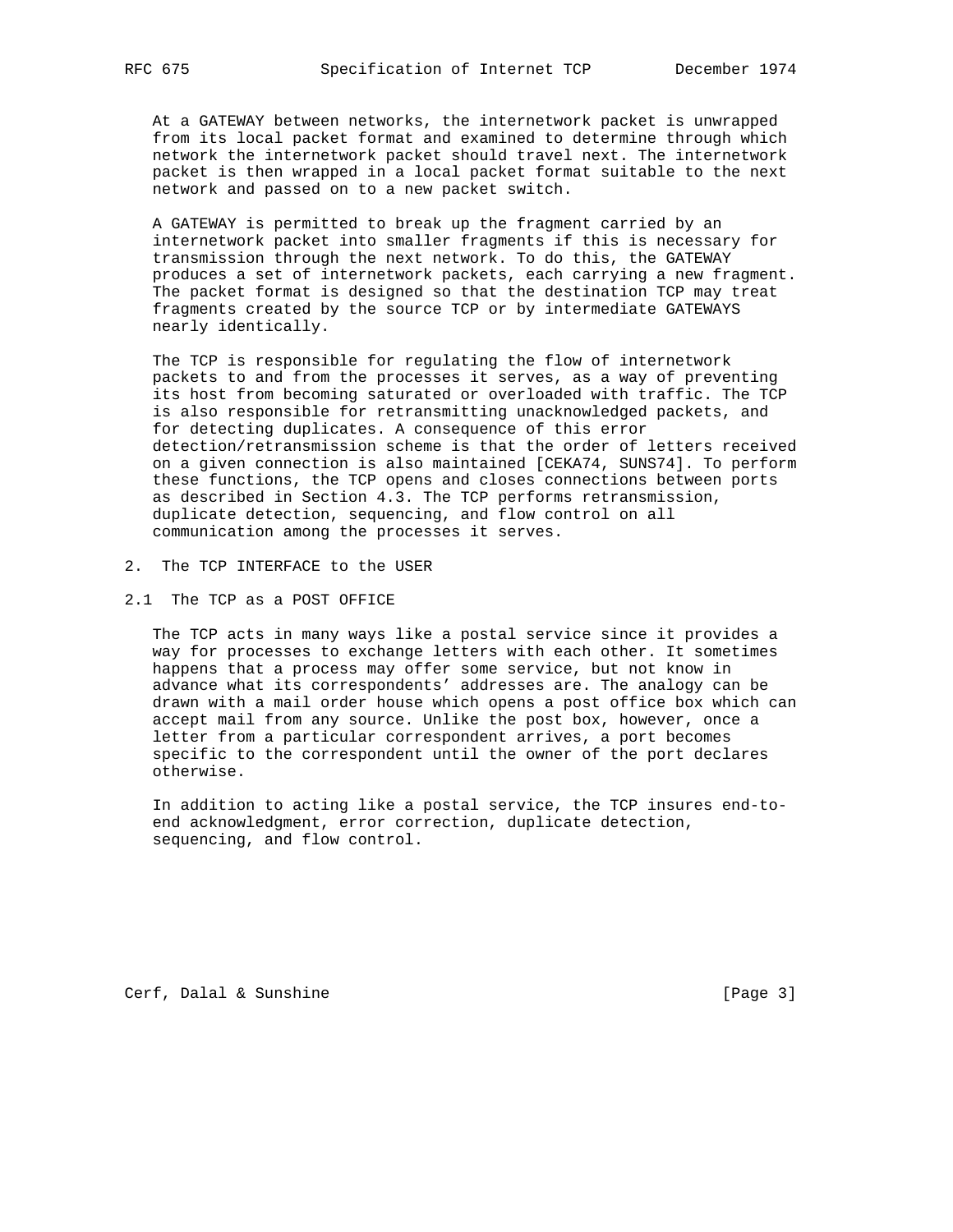At a GATEWAY between networks, the internetwork packet is unwrapped from its local packet format and examined to determine through which network the internetwork packet should travel next. The internetwork packet is then wrapped in a local packet format suitable to the next network and passed on to a new packet switch.

 A GATEWAY is permitted to break up the fragment carried by an internetwork packet into smaller fragments if this is necessary for transmission through the next network. To do this, the GATEWAY produces a set of internetwork packets, each carrying a new fragment. The packet format is designed so that the destination TCP may treat fragments created by the source TCP or by intermediate GATEWAYS nearly identically.

 The TCP is responsible for regulating the flow of internetwork packets to and from the processes it serves, as a way of preventing its host from becoming saturated or overloaded with traffic. The TCP is also responsible for retransmitting unacknowledged packets, and for detecting duplicates. A consequence of this error detection/retransmission scheme is that the order of letters received on a given connection is also maintained [CEKA74, SUNS74]. To perform these functions, the TCP opens and closes connections between ports as described in Section 4.3. The TCP performs retransmission, duplicate detection, sequencing, and flow control on all communication among the processes it serves.

- 2. The TCP INTERFACE to the USER
- 2.1 The TCP as a POST OFFICE

 The TCP acts in many ways like a postal service since it provides a way for processes to exchange letters with each other. It sometimes happens that a process may offer some service, but not know in advance what its correspondents' addresses are. The analogy can be drawn with a mail order house which opens a post office box which can accept mail from any source. Unlike the post box, however, once a letter from a particular correspondent arrives, a port becomes specific to the correspondent until the owner of the port declares otherwise.

 In addition to acting like a postal service, the TCP insures end-to end acknowledgment, error correction, duplicate detection, sequencing, and flow control.

Cerf, Dalal & Sunshine [Page 3]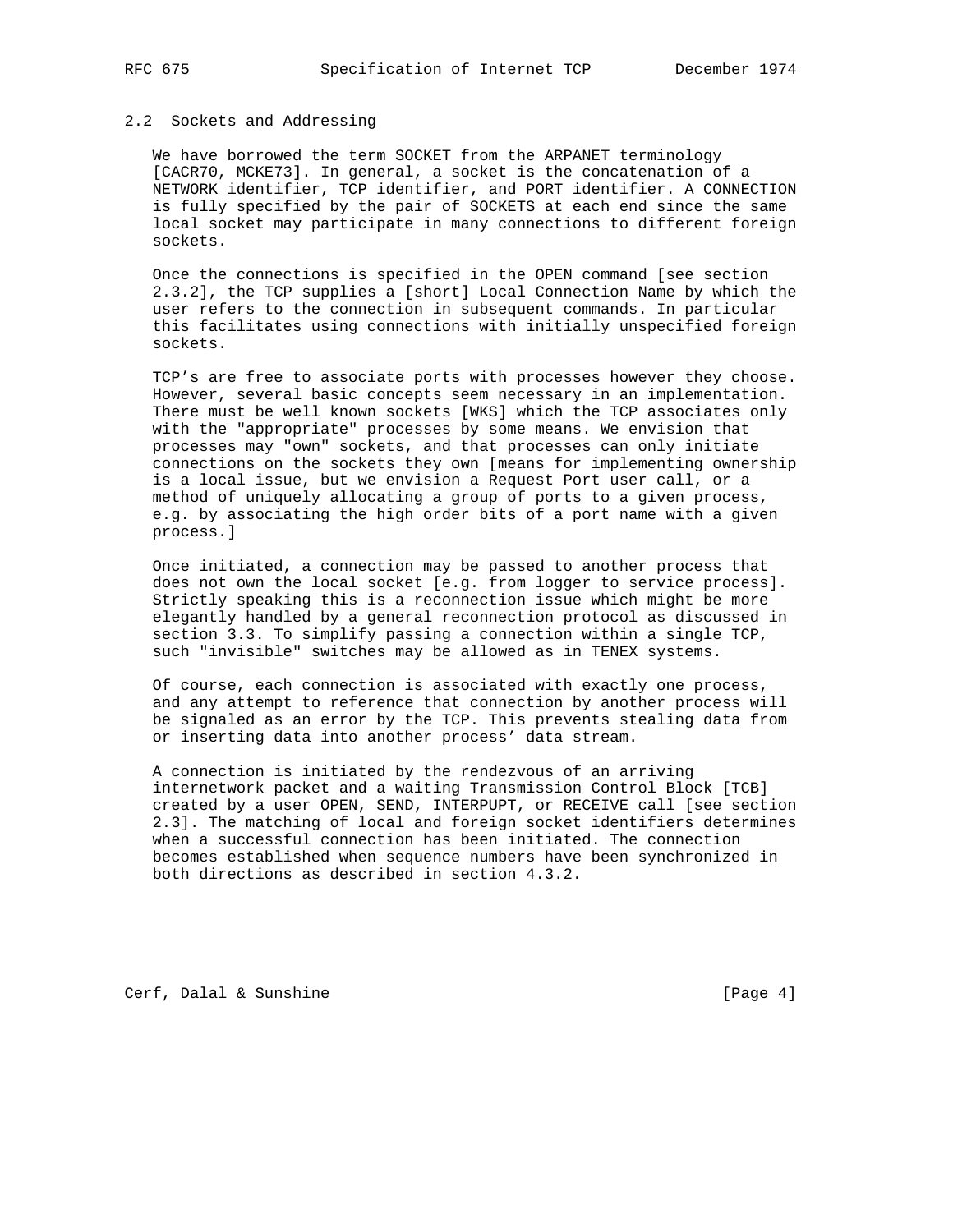#### 2.2 Sockets and Addressing

 We have borrowed the term SOCKET from the ARPANET terminology [CACR70, MCKE73]. In general, a socket is the concatenation of a NETWORK identifier, TCP identifier, and PORT identifier. A CONNECTION is fully specified by the pair of SOCKETS at each end since the same local socket may participate in many connections to different foreign sockets.

 Once the connections is specified in the OPEN command [see section 2.3.2], the TCP supplies a [short] Local Connection Name by which the user refers to the connection in subsequent commands. In particular this facilitates using connections with initially unspecified foreign sockets.

 TCP's are free to associate ports with processes however they choose. However, several basic concepts seem necessary in an implementation. There must be well known sockets [WKS] which the TCP associates only with the "appropriate" processes by some means. We envision that processes may "own" sockets, and that processes can only initiate connections on the sockets they own [means for implementing ownership is a local issue, but we envision a Request Port user call, or a method of uniquely allocating a group of ports to a given process, e.g. by associating the high order bits of a port name with a given process.]

 Once initiated, a connection may be passed to another process that does not own the local socket [e.g. from logger to service process]. Strictly speaking this is a reconnection issue which might be more elegantly handled by a general reconnection protocol as discussed in section 3.3. To simplify passing a connection within a single TCP, such "invisible" switches may be allowed as in TENEX systems.

 Of course, each connection is associated with exactly one process, and any attempt to reference that connection by another process will be signaled as an error by the TCP. This prevents stealing data from or inserting data into another process' data stream.

 A connection is initiated by the rendezvous of an arriving internetwork packet and a waiting Transmission Control Block [TCB] created by a user OPEN, SEND, INTERPUPT, or RECEIVE call [see section 2.3]. The matching of local and foreign socket identifiers determines when a successful connection has been initiated. The connection becomes established when sequence numbers have been synchronized in both directions as described in section 4.3.2.

Cerf, Dalal & Sunshine [Page 4]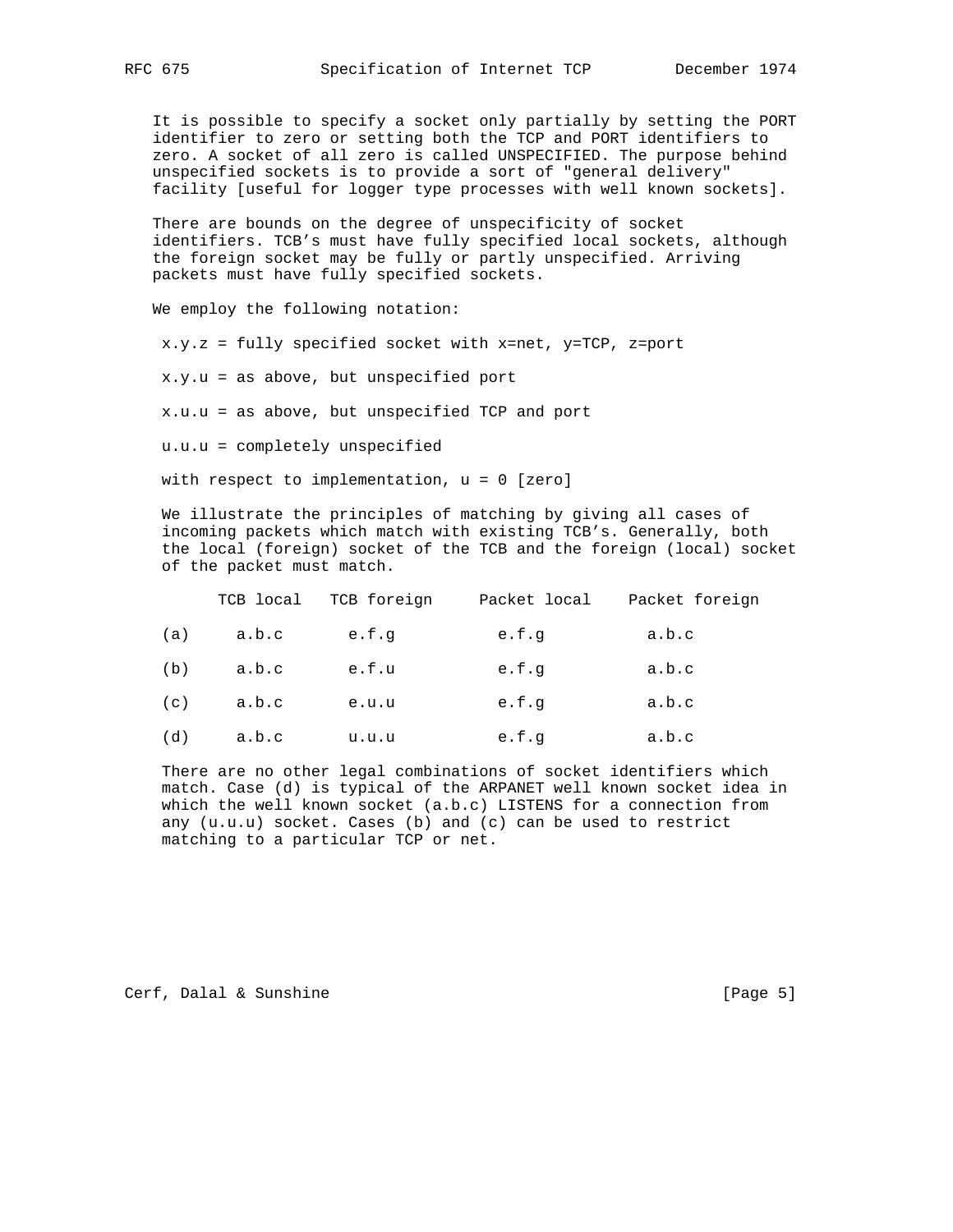It is possible to specify a socket only partially by setting the PORT identifier to zero or setting both the TCP and PORT identifiers to zero. A socket of all zero is called UNSPECIFIED. The purpose behind unspecified sockets is to provide a sort of "general delivery" facility [useful for logger type processes with well known sockets].

 There are bounds on the degree of unspecificity of socket identifiers. TCB's must have fully specified local sockets, although the foreign socket may be fully or partly unspecified. Arriving packets must have fully specified sockets.

We employ the following notation:

x.y.z = fully specified socket with x=net, y=TCP, z=port

x.y.u = as above, but unspecified port

x.u.u = as above, but unspecified TCP and port

u.u.u = completely unspecified

with respect to implementation, u = 0 [zero]

 We illustrate the principles of matching by giving all cases of incoming packets which match with existing TCB's. Generally, both the local (foreign) socket of the TCB and the foreign (local) socket of the packet must match.

|     | TCB local | TCB foreign | Packet local | Packet foreign |
|-----|-----------|-------------|--------------|----------------|
| (a) | a.b.c     | e.f.q       | e.f.q        | a.b.c          |
| (b) | a.b.c     | e.f.u       | e.f.q        | a.b.c          |
| (c) | a.b.c     | e.u.u       | e.f.q        | a.b.c          |
| (d) | a.b.c     | u.u.u       | e.f.q        | a.b.c          |

 There are no other legal combinations of socket identifiers which match. Case (d) is typical of the ARPANET well known socket idea in which the well known socket (a.b.c) LISTENS for a connection from any (u.u.u) socket. Cases (b) and (c) can be used to restrict matching to a particular TCP or net.

Cerf, Dalal & Sunshine [Page 5]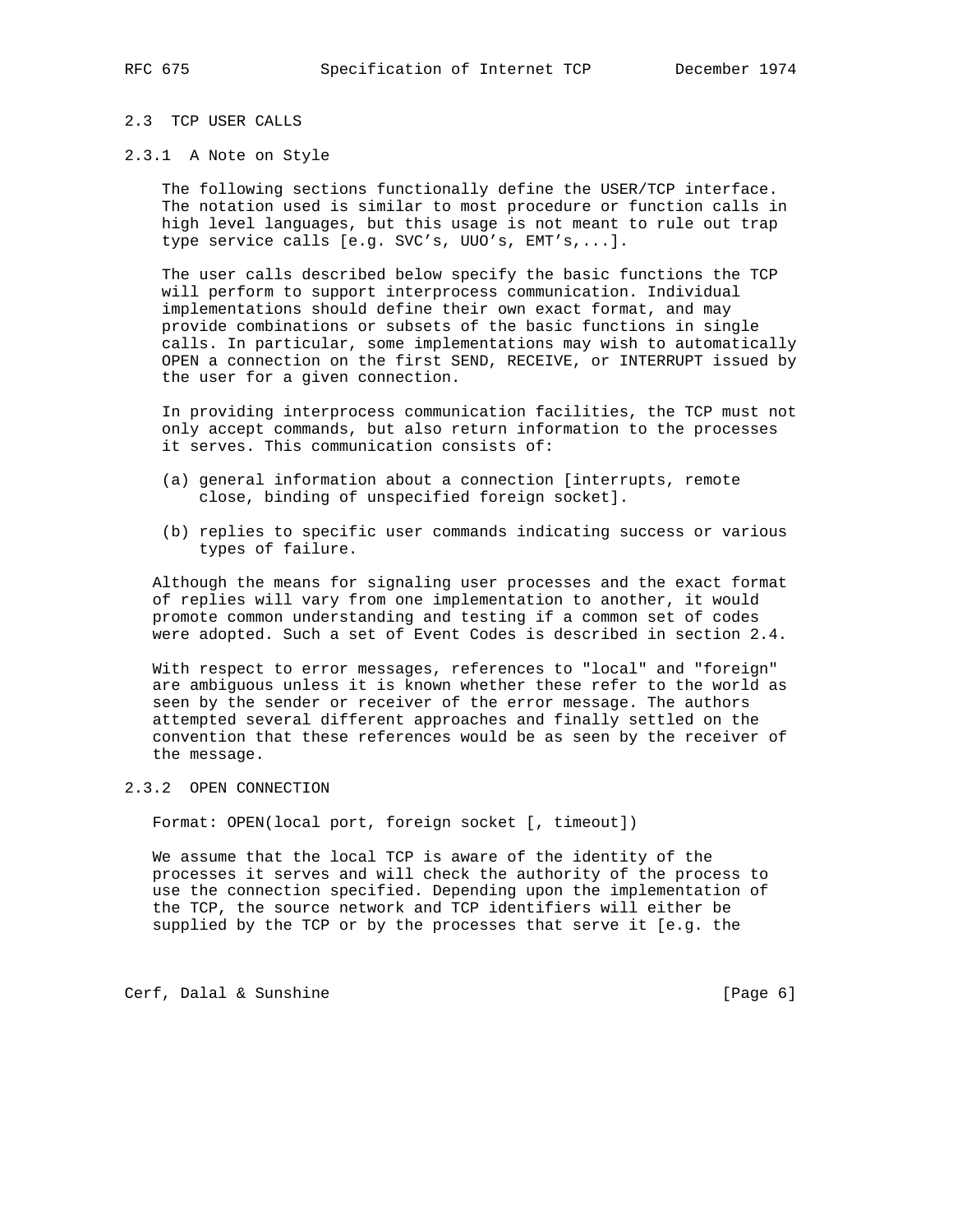## 2.3 TCP USER CALLS

#### 2.3.1 A Note on Style

 The following sections functionally define the USER/TCP interface. The notation used is similar to most procedure or function calls in high level languages, but this usage is not meant to rule out trap type service calls [e.g. SVC's, UUO's, EMT's,...].

 The user calls described below specify the basic functions the TCP will perform to support interprocess communication. Individual implementations should define their own exact format, and may provide combinations or subsets of the basic functions in single calls. In particular, some implementations may wish to automatically OPEN a connection on the first SEND, RECEIVE, or INTERRUPT issued by the user for a given connection.

 In providing interprocess communication facilities, the TCP must not only accept commands, but also return information to the processes it serves. This communication consists of:

- (a) general information about a connection [interrupts, remote close, binding of unspecified foreign socket].
- (b) replies to specific user commands indicating success or various types of failure.

 Although the means for signaling user processes and the exact format of replies will vary from one implementation to another, it would promote common understanding and testing if a common set of codes were adopted. Such a set of Event Codes is described in section 2.4.

 With respect to error messages, references to "local" and "foreign" are ambiguous unless it is known whether these refer to the world as seen by the sender or receiver of the error message. The authors attempted several different approaches and finally settled on the convention that these references would be as seen by the receiver of the message.

#### 2.3.2 OPEN CONNECTION

Format: OPEN(local port, foreign socket [, timeout])

 We assume that the local TCP is aware of the identity of the processes it serves and will check the authority of the process to use the connection specified. Depending upon the implementation of the TCP, the source network and TCP identifiers will either be supplied by the TCP or by the processes that serve it [e.g. the

Cerf, Dalal & Sunshine [Page 6]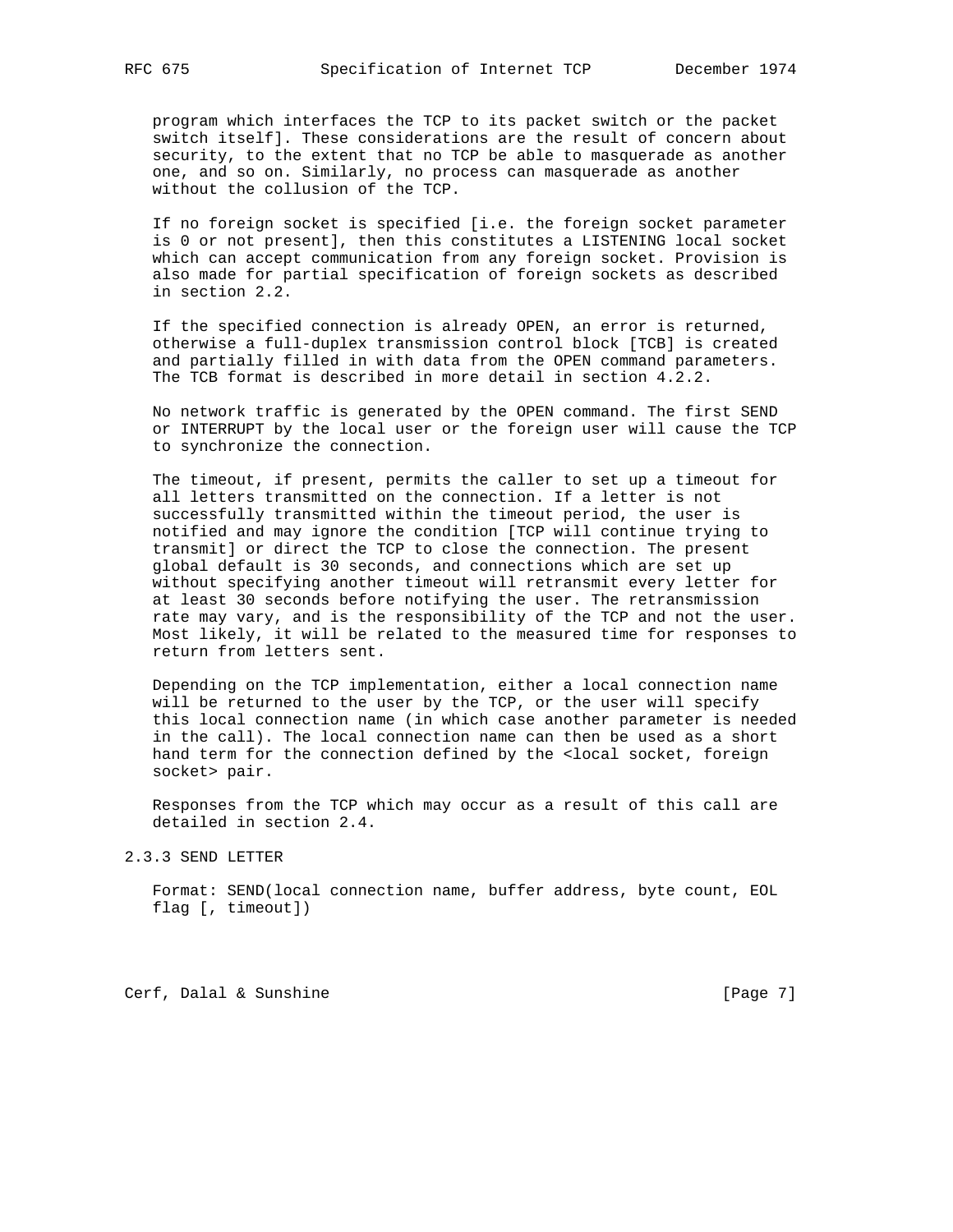program which interfaces the TCP to its packet switch or the packet switch itself]. These considerations are the result of concern about security, to the extent that no TCP be able to masquerade as another one, and so on. Similarly, no process can masquerade as another without the collusion of the TCP.

 If no foreign socket is specified [i.e. the foreign socket parameter is 0 or not present], then this constitutes a LISTENING local socket which can accept communication from any foreign socket. Provision is also made for partial specification of foreign sockets as described in section 2.2.

 If the specified connection is already OPEN, an error is returned, otherwise a full-duplex transmission control block [TCB] is created and partially filled in with data from the OPEN command parameters. The TCB format is described in more detail in section 4.2.2.

 No network traffic is generated by the OPEN command. The first SEND or INTERRUPT by the local user or the foreign user will cause the TCP to synchronize the connection.

 The timeout, if present, permits the caller to set up a timeout for all letters transmitted on the connection. If a letter is not successfully transmitted within the timeout period, the user is notified and may ignore the condition [TCP will continue trying to transmit] or direct the TCP to close the connection. The present global default is 30 seconds, and connections which are set up without specifying another timeout will retransmit every letter for at least 30 seconds before notifying the user. The retransmission rate may vary, and is the responsibility of the TCP and not the user. Most likely, it will be related to the measured time for responses to return from letters sent.

 Depending on the TCP implementation, either a local connection name will be returned to the user by the TCP, or the user will specify this local connection name (in which case another parameter is needed in the call). The local connection name can then be used as a short hand term for the connection defined by the <local socket, foreign socket> pair.

 Responses from the TCP which may occur as a result of this call are detailed in section 2.4.

2.3.3 SEND LETTER

 Format: SEND(local connection name, buffer address, byte count, EOL flag [, timeout])

Cerf, Dalal & Sunshine [Page 7]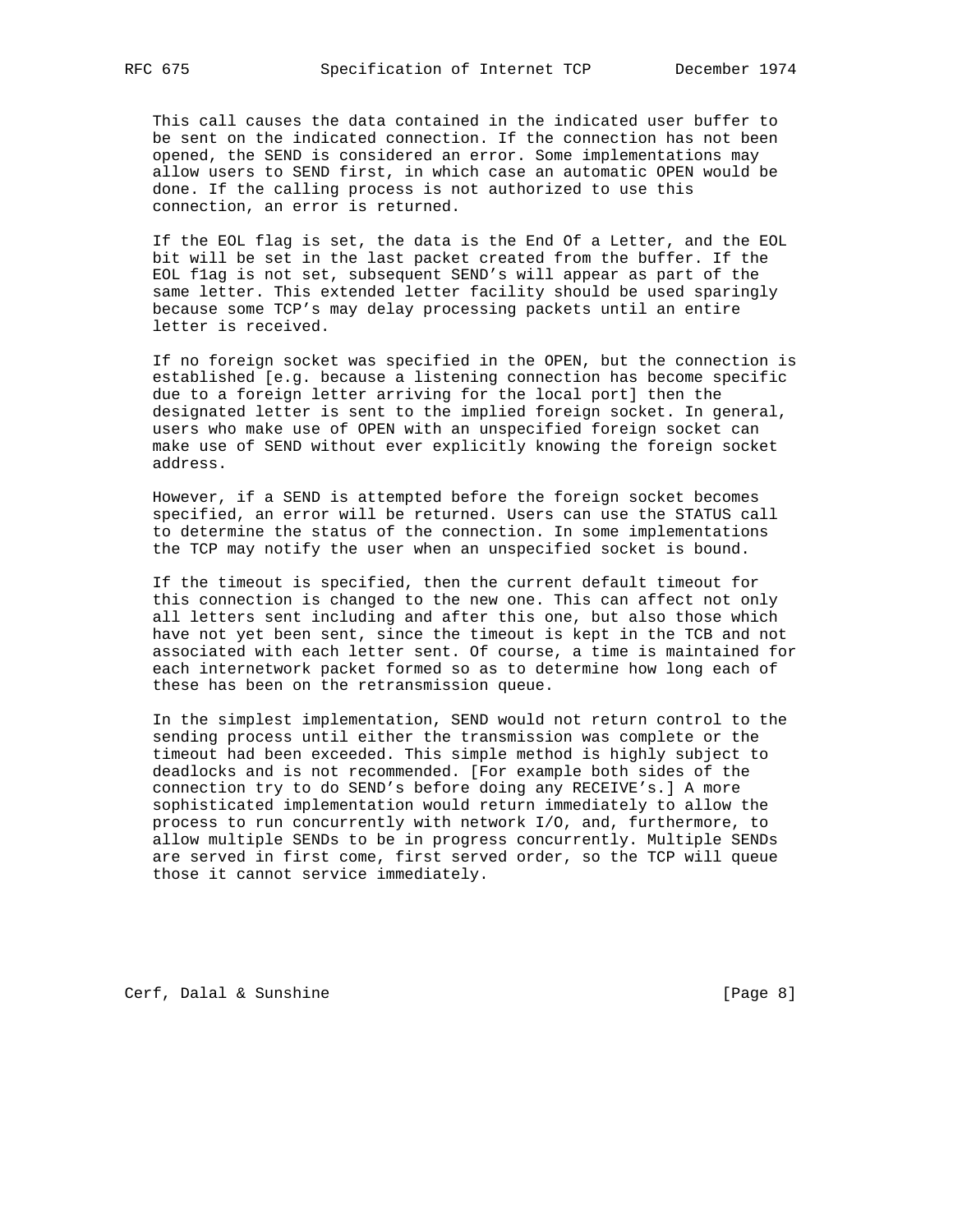This call causes the data contained in the indicated user buffer to be sent on the indicated connection. If the connection has not been opened, the SEND is considered an error. Some implementations may allow users to SEND first, in which case an automatic OPEN would be done. If the calling process is not authorized to use this connection, an error is returned.

 If the EOL flag is set, the data is the End Of a Letter, and the EOL bit will be set in the last packet created from the buffer. If the EOL f1ag is not set, subsequent SEND's will appear as part of the same letter. This extended letter facility should be used sparingly because some TCP's may delay processing packets until an entire letter is received.

 If no foreign socket was specified in the OPEN, but the connection is established [e.g. because a listening connection has become specific due to a foreign letter arriving for the local port] then the designated letter is sent to the implied foreign socket. In general, users who make use of OPEN with an unspecified foreign socket can make use of SEND without ever explicitly knowing the foreign socket address.

 However, if a SEND is attempted before the foreign socket becomes specified, an error will be returned. Users can use the STATUS call to determine the status of the connection. In some implementations the TCP may notify the user when an unspecified socket is bound.

 If the timeout is specified, then the current default timeout for this connection is changed to the new one. This can affect not only all letters sent including and after this one, but also those which have not yet been sent, since the timeout is kept in the TCB and not associated with each letter sent. Of course, a time is maintained for each internetwork packet formed so as to determine how long each of these has been on the retransmission queue.

 In the simplest implementation, SEND would not return control to the sending process until either the transmission was complete or the timeout had been exceeded. This simple method is highly subject to deadlocks and is not recommended. [For example both sides of the connection try to do SEND's before doing any RECEIVE's.] A more sophisticated implementation would return immediately to allow the process to run concurrently with network I/O, and, furthermore, to allow multiple SENDs to be in progress concurrently. Multiple SENDs are served in first come, first served order, so the TCP will queue those it cannot service immediately.

Cerf, Dalal & Sunshine [Page 8]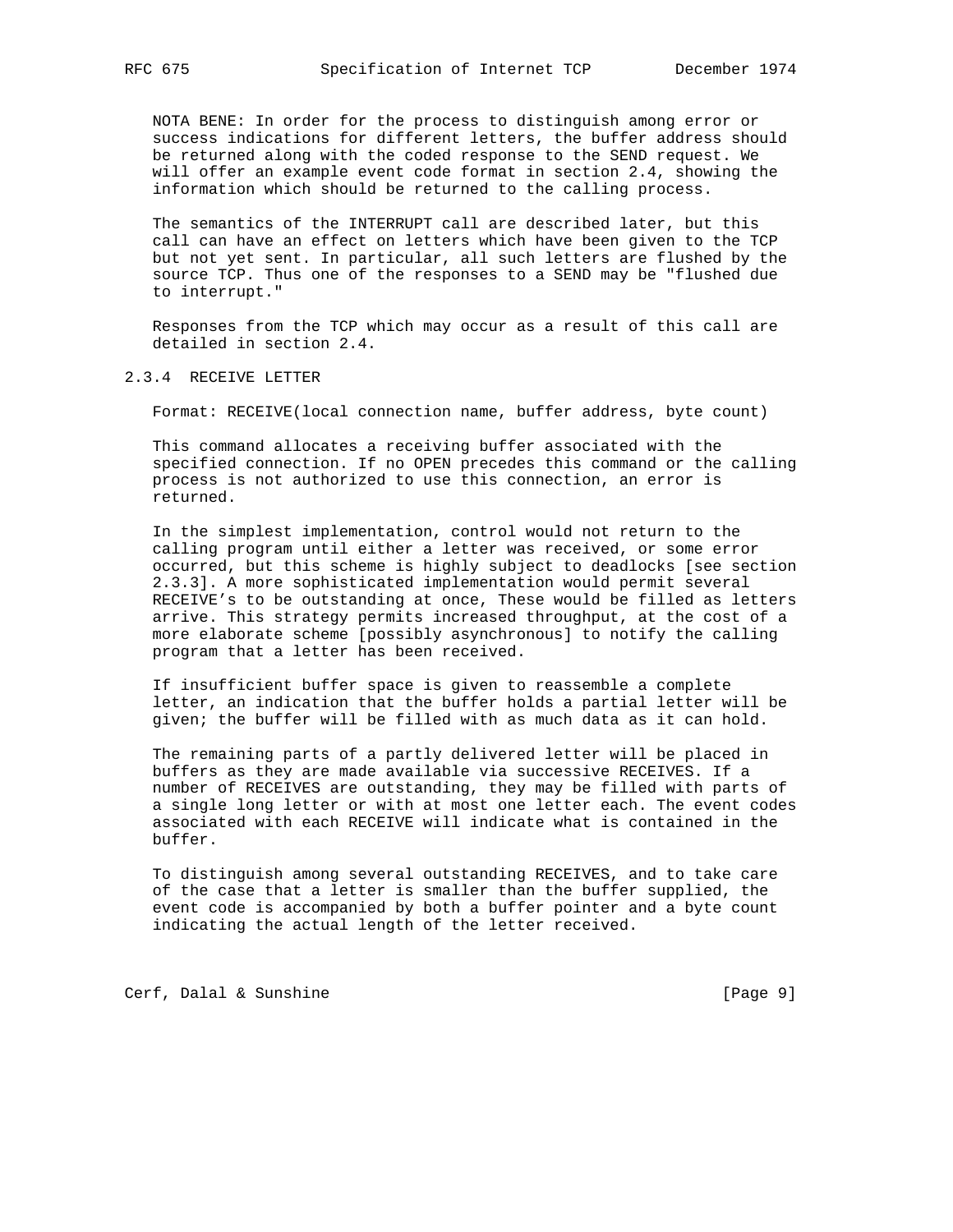NOTA BENE: In order for the process to distinguish among error or success indications for different letters, the buffer address should be returned along with the coded response to the SEND request. We will offer an example event code format in section 2.4, showing the information which should be returned to the calling process.

 The semantics of the INTERRUPT call are described later, but this call can have an effect on letters which have been given to the TCP but not yet sent. In particular, all such letters are flushed by the source TCP. Thus one of the responses to a SEND may be "flushed due to interrupt."

 Responses from the TCP which may occur as a result of this call are detailed in section 2.4.

## 2.3.4 RECEIVE LETTER

Format: RECEIVE(local connection name, buffer address, byte count)

 This command allocates a receiving buffer associated with the specified connection. If no OPEN precedes this command or the calling process is not authorized to use this connection, an error is returned.

 In the simplest implementation, control would not return to the calling program until either a letter was received, or some error occurred, but this scheme is highly subject to deadlocks [see section 2.3.3]. A more sophisticated implementation would permit several RECEIVE's to be outstanding at once, These would be filled as letters arrive. This strategy permits increased throughput, at the cost of a more elaborate scheme [possibly asynchronous] to notify the calling program that a letter has been received.

 If insufficient buffer space is given to reassemble a complete letter, an indication that the buffer holds a partial letter will be given; the buffer will be filled with as much data as it can hold.

 The remaining parts of a partly delivered letter will be placed in buffers as they are made available via successive RECEIVES. If a number of RECEIVES are outstanding, they may be filled with parts of a single long letter or with at most one letter each. The event codes associated with each RECEIVE will indicate what is contained in the buffer.

 To distinguish among several outstanding RECEIVES, and to take care of the case that a letter is smaller than the buffer supplied, the event code is accompanied by both a buffer pointer and a byte count indicating the actual length of the letter received.

Cerf, Dalal & Sunshine [Page 9]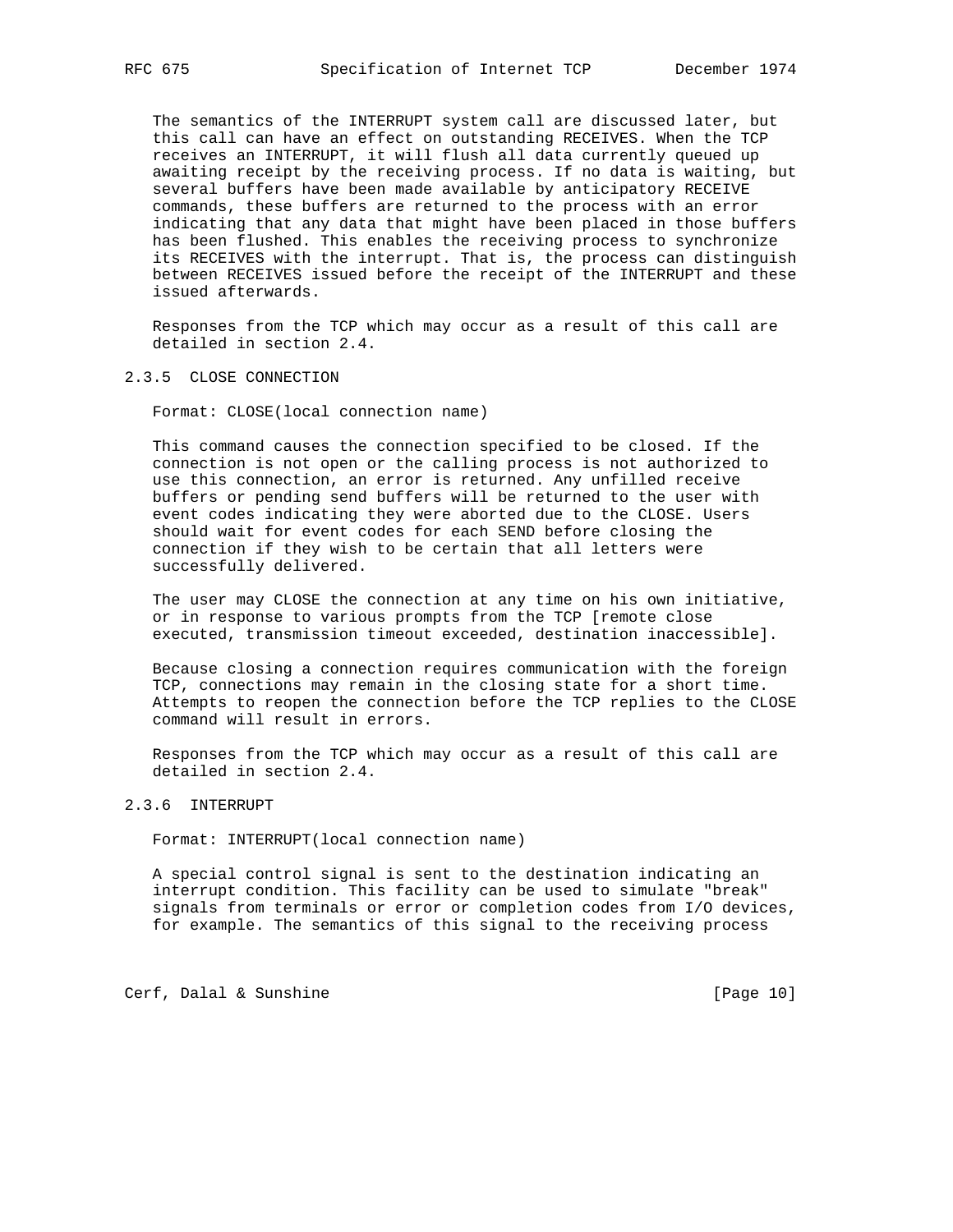The semantics of the INTERRUPT system call are discussed later, but this call can have an effect on outstanding RECEIVES. When the TCP receives an INTERRUPT, it will flush all data currently queued up awaiting receipt by the receiving process. If no data is waiting, but several buffers have been made available by anticipatory RECEIVE commands, these buffers are returned to the process with an error indicating that any data that might have been placed in those buffers has been flushed. This enables the receiving process to synchronize its RECEIVES with the interrupt. That is, the process can distinguish between RECEIVES issued before the receipt of the INTERRUPT and these issued afterwards.

 Responses from the TCP which may occur as a result of this call are detailed in section 2.4.

#### 2.3.5 CLOSE CONNECTION

Format: CLOSE(local connection name)

 This command causes the connection specified to be closed. If the connection is not open or the calling process is not authorized to use this connection, an error is returned. Any unfilled receive buffers or pending send buffers will be returned to the user with event codes indicating they were aborted due to the CLOSE. Users should wait for event codes for each SEND before closing the connection if they wish to be certain that all letters were successfully delivered.

 The user may CLOSE the connection at any time on his own initiative, or in response to various prompts from the TCP [remote close executed, transmission timeout exceeded, destination inaccessible].

 Because closing a connection requires communication with the foreign TCP, connections may remain in the closing state for a short time. Attempts to reopen the connection before the TCP replies to the CLOSE command will result in errors.

 Responses from the TCP which may occur as a result of this call are detailed in section 2.4.

# 2.3.6 INTERRUPT

Format: INTERRUPT(local connection name)

 A special control signal is sent to the destination indicating an interrupt condition. This facility can be used to simulate "break" signals from terminals or error or completion codes from I/O devices, for example. The semantics of this signal to the receiving process

Cerf, Dalal & Sunshine [Page 10]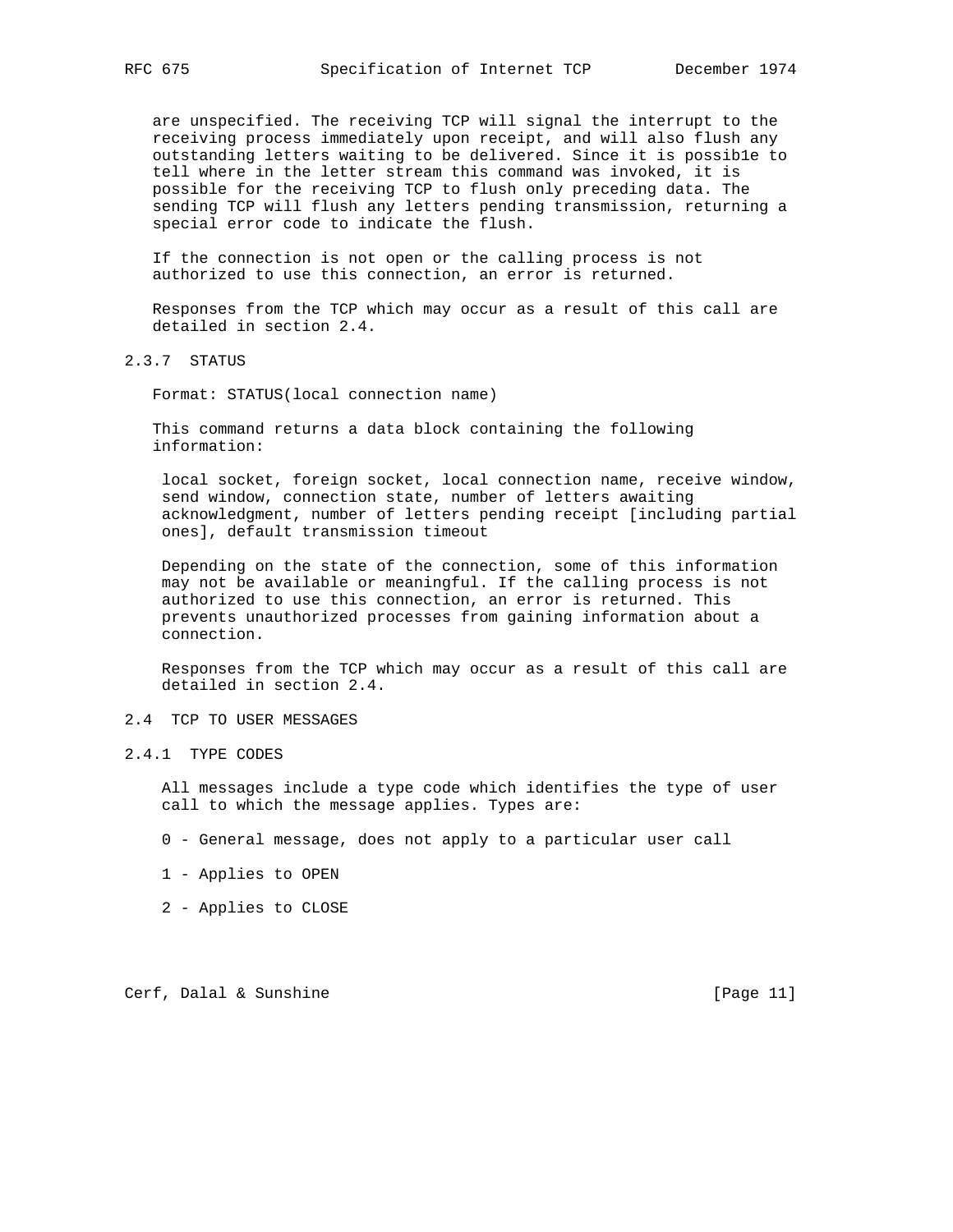are unspecified. The receiving TCP will signal the interrupt to the receiving process immediately upon receipt, and will also flush any outstanding letters waiting to be delivered. Since it is possib1e to tell where in the letter stream this command was invoked, it is possible for the receiving TCP to flush only preceding data. The sending TCP will flush any letters pending transmission, returning a special error code to indicate the flush.

 If the connection is not open or the calling process is not authorized to use this connection, an error is returned.

 Responses from the TCP which may occur as a result of this call are detailed in section 2.4.

2.3.7 STATUS

Format: STATUS(local connection name)

 This command returns a data block containing the following information:

 local socket, foreign socket, local connection name, receive window, send window, connection state, number of letters awaiting acknowledgment, number of letters pending receipt [including partial ones], default transmission timeout

 Depending on the state of the connection, some of this information may not be available or meaningful. If the calling process is not authorized to use this connection, an error is returned. This prevents unauthorized processes from gaining information about a connection.

 Responses from the TCP which may occur as a result of this call are detailed in section 2.4.

## 2.4 TCP TO USER MESSAGES

2.4.1 TYPE CODES

 All messages include a type code which identifies the type of user call to which the message applies. Types are:

- 0 General message, does not apply to a particular user call
- 1 Applies to OPEN
- 2 Applies to CLOSE

Cerf, Dalal & Sunshine [Page 11]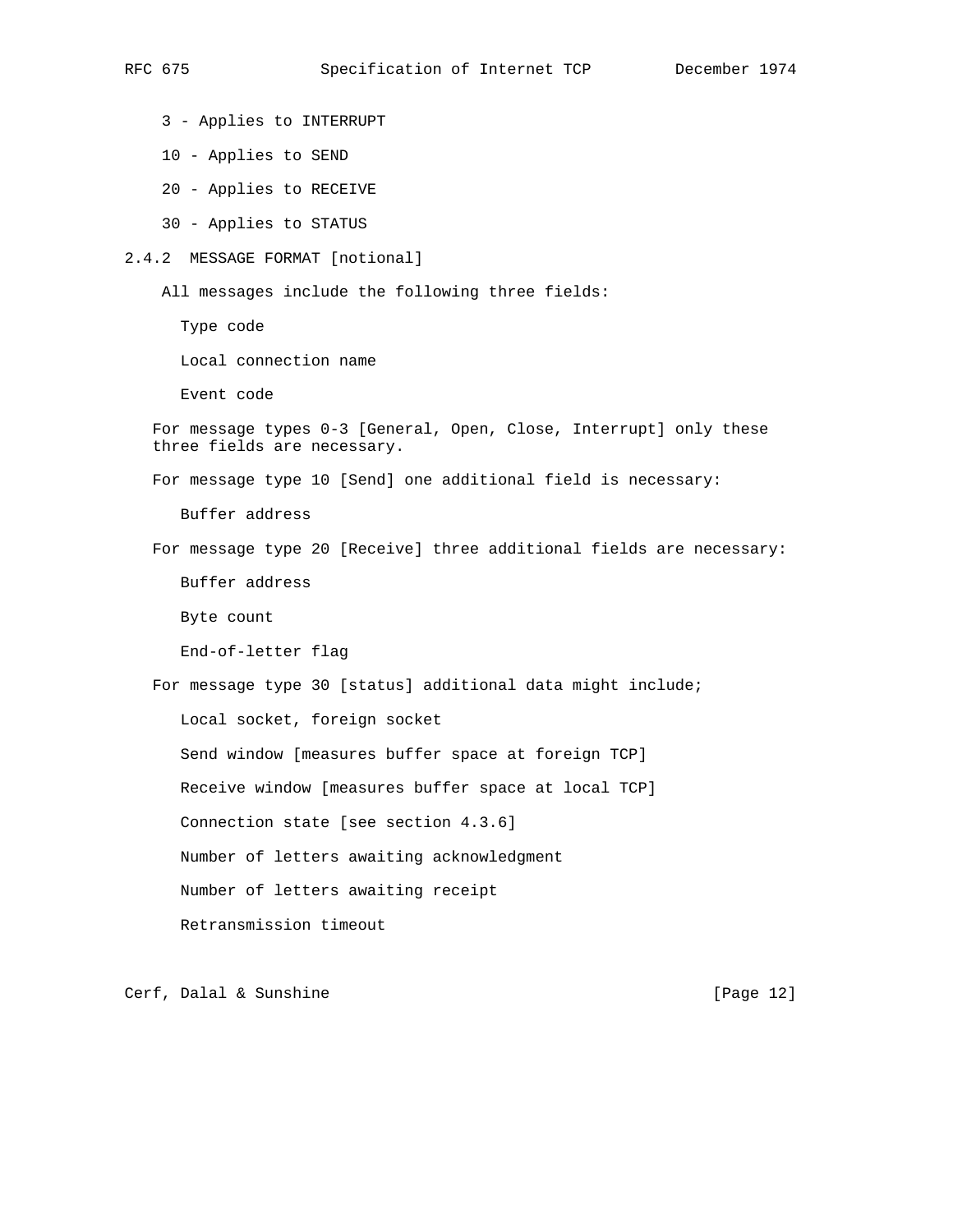3 - Applies to INTERRUPT

- 10 Applies to SEND
- 20 Applies to RECEIVE
- 30 Applies to STATUS

#### 2.4.2 MESSAGE FORMAT [notional]

All messages include the following three fields:

Type code

Local connection name

Event code

```
 For message types 0-3 [General, Open, Close, Interrupt] only these
three fields are necessary.
```
For message type 10 [Send] one additional field is necessary:

Buffer address

For message type 20 [Receive] three additional fields are necessary:

Buffer address

Byte count

End-of-letter flag

For message type 30 [status] additional data might include;

Local socket, foreign socket

Send window [measures buffer space at foreign TCP]

Receive window [measures buffer space at local TCP]

Connection state [see section 4.3.6]

Number of letters awaiting acknowledgment

Number of letters awaiting receipt

Retransmission timeout

Cerf, Dalal & Sunshine [Page 12]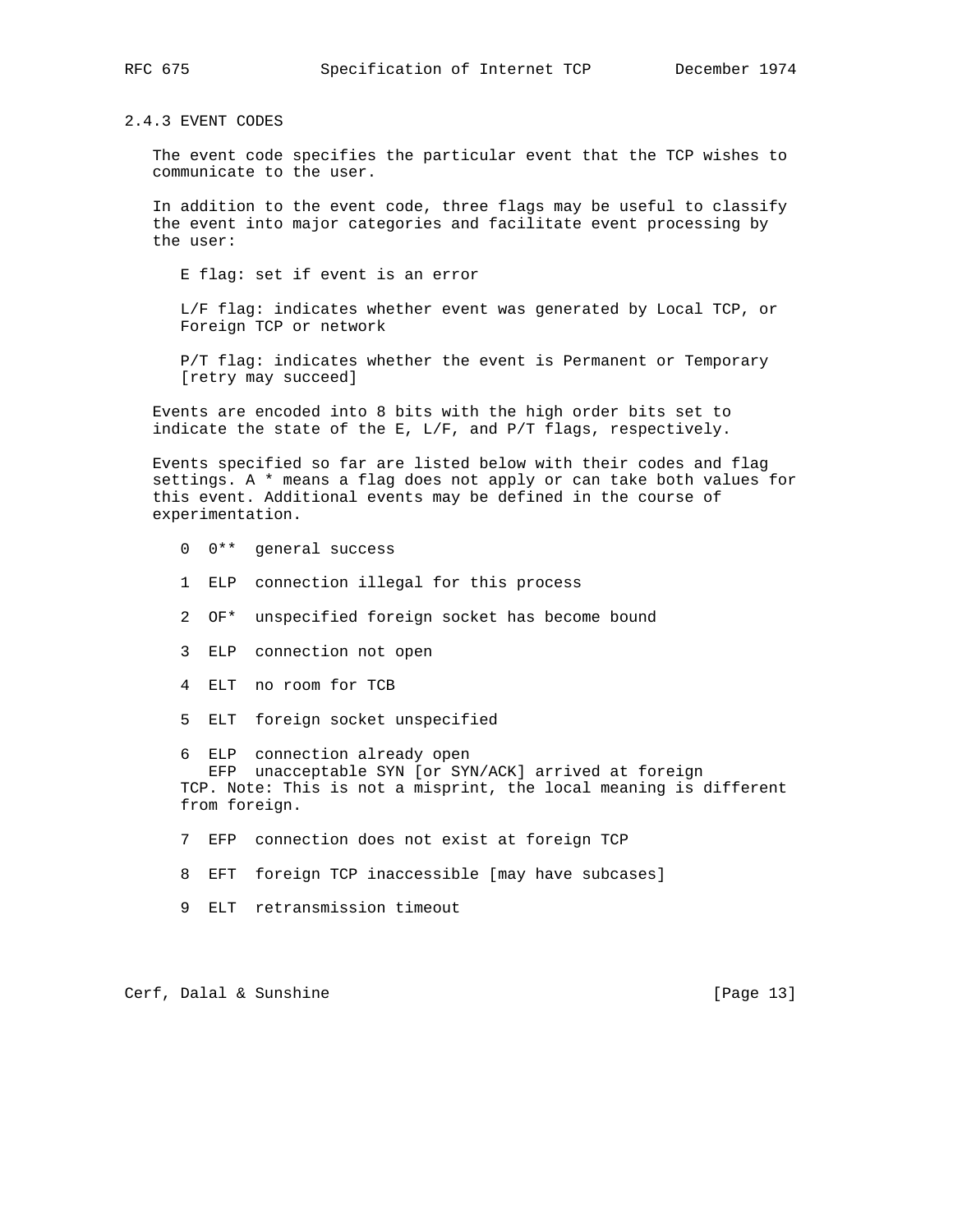2.4.3 EVENT CODES

 The event code specifies the particular event that the TCP wishes to communicate to the user.

 In addition to the event code, three flags may be useful to classify the event into major categories and facilitate event processing by the user:

E flag: set if event is an error

 L/F flag: indicates whether event was generated by Local TCP, or Foreign TCP or network

 P/T flag: indicates whether the event is Permanent or Temporary [retry may succeed]

 Events are encoded into 8 bits with the high order bits set to indicate the state of the E, L/F, and P/T flags, respectively.

 Events specified so far are listed below with their codes and flag settings. A \* means a flag does not apply or can take both values for this event. Additional events may be defined in the course of experimentation.

- 0 0\*\* general success
- 1 ELP connection illegal for this process
- 2 OF\* unspecified foreign socket has become bound
- 3 ELP connection not open
- 4 ELT no room for TCB
- 5 ELT foreign socket unspecified

 6 ELP connection already open EFP unacceptable SYN [or SYN/ACK] arrived at foreign TCP. Note: This is not a misprint, the local meaning is different from foreign.

- 7 EFP connection does not exist at foreign TCP
- 8 EFT foreign TCP inaccessible [may have subcases]
- 9 ELT retransmission timeout

Cerf, Dalal & Sunshine [Page 13]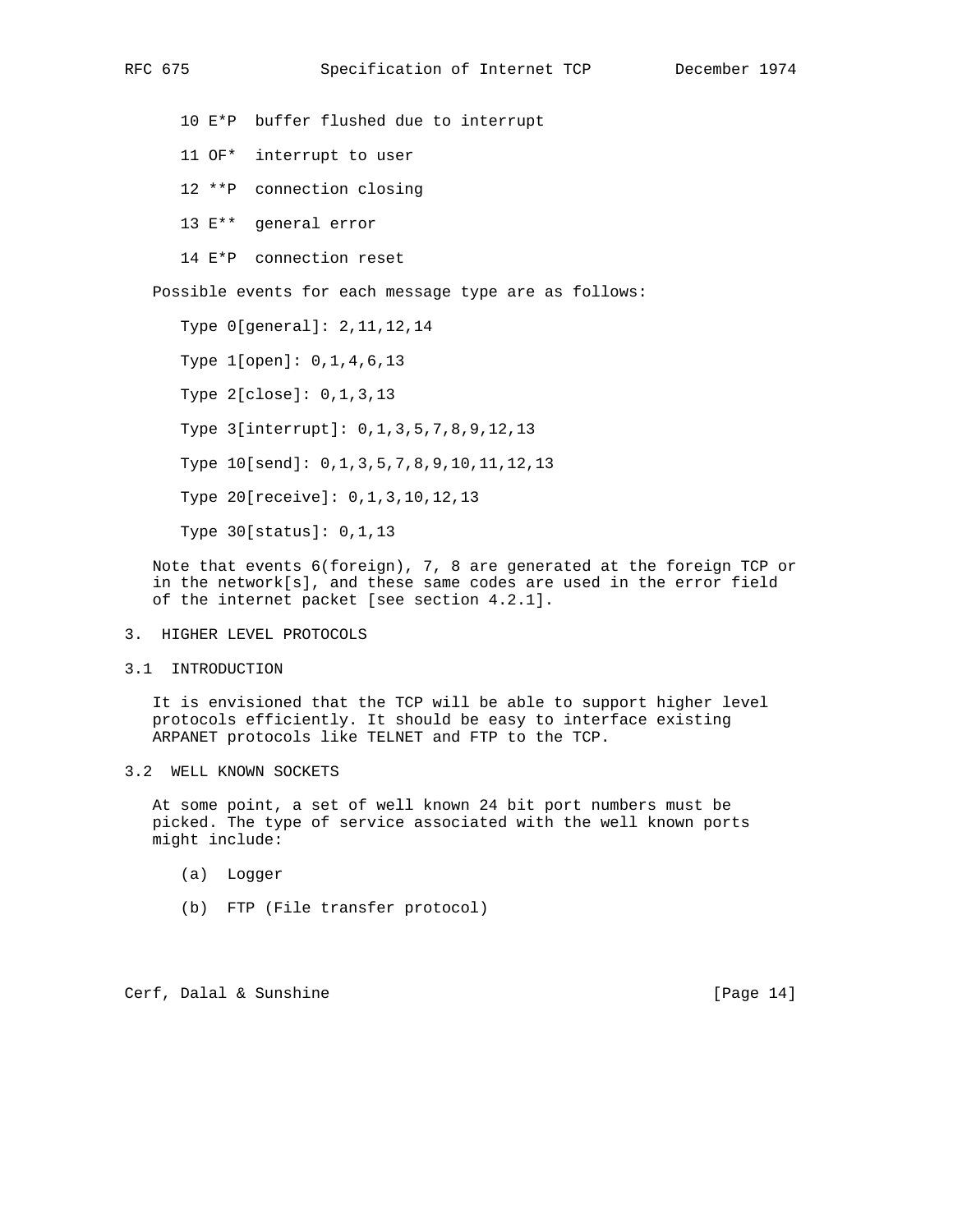10 E\*P buffer flushed due to interrupt 11 OF\* interrupt to user 12 \*\*P connection closing 13 E\*\* general error 14 E\*P connection reset Possible events for each message type are as follows: Type 0[general]: 2,11,12,14 Type 1[open]: 0,1,4,6,13 Type 2[close]: 0,1,3,13 Type 3[interrupt]: 0,1,3,5,7,8,9,12,13 Type 10[send]: 0,1,3,5,7,8,9,10,11,12,13 Type 20[receive]: 0,1,3,10,12,13 Type 30[status]: 0,1,13

 Note that events 6(foreign), 7, 8 are generated at the foreign TCP or in the network[s], and these same codes are used in the error field of the internet packet [see section 4.2.1].

- 3. HIGHER LEVEL PROTOCOLS
- 3.1 INTRODUCTION

 It is envisioned that the TCP will be able to support higher level protocols efficiently. It should be easy to interface existing ARPANET protocols like TELNET and FTP to the TCP.

3.2 WELL KNOWN SOCKETS

 At some point, a set of well known 24 bit port numbers must be picked. The type of service associated with the well known ports might include:

- (a) Logger
- (b) FTP (File transfer protocol)

Cerf, Dalal & Sunshine [Page 14]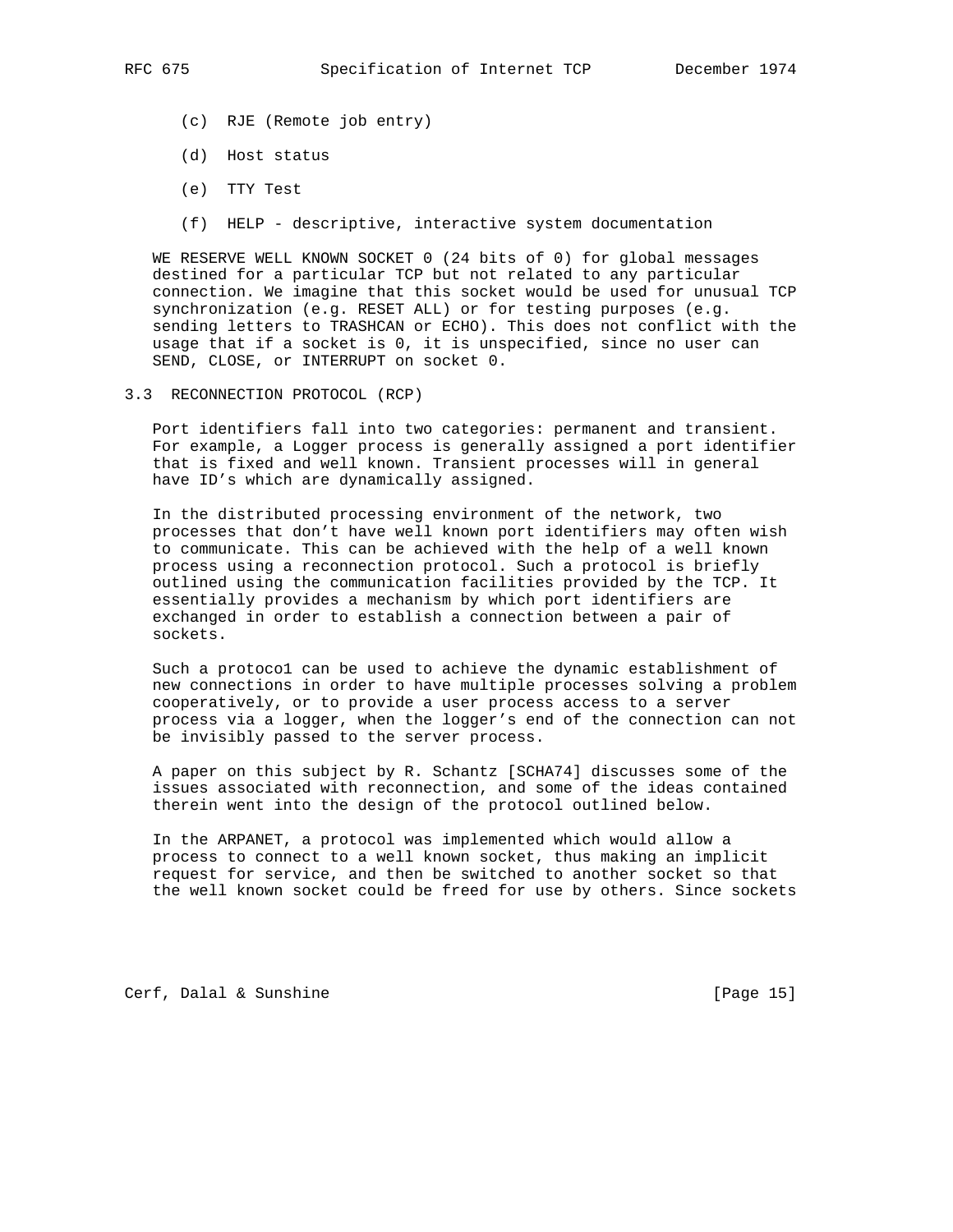- (c) RJE (Remote job entry)
- (d) Host status
- (e) TTY Test
- (f) HELP descriptive, interactive system documentation

 WE RESERVE WELL KNOWN SOCKET 0 (24 bits of 0) for global messages destined for a particular TCP but not related to any particular connection. We imagine that this socket would be used for unusual TCP synchronization (e.g. RESET ALL) or for testing purposes (e.g. sending letters to TRASHCAN or ECHO). This does not conflict with the usage that if a socket is 0, it is unspecified, since no user can SEND, CLOSE, or INTERRUPT on socket 0.

3.3 RECONNECTION PROTOCOL (RCP)

 Port identifiers fall into two categories: permanent and transient. For example, a Logger process is generally assigned a port identifier that is fixed and well known. Transient processes will in general have ID's which are dynamically assigned.

 In the distributed processing environment of the network, two processes that don't have well known port identifiers may often wish to communicate. This can be achieved with the help of a well known process using a reconnection protocol. Such a protocol is briefly outlined using the communication facilities provided by the TCP. It essentially provides a mechanism by which port identifiers are exchanged in order to establish a connection between a pair of sockets.

 Such a protoco1 can be used to achieve the dynamic establishment of new connections in order to have multiple processes solving a problem cooperatively, or to provide a user process access to a server process via a logger, when the logger's end of the connection can not be invisibly passed to the server process.

 A paper on this subject by R. Schantz [SCHA74] discusses some of the issues associated with reconnection, and some of the ideas contained therein went into the design of the protocol outlined below.

 In the ARPANET, a protocol was implemented which would allow a process to connect to a well known socket, thus making an implicit request for service, and then be switched to another socket so that the well known socket could be freed for use by others. Since sockets

Cerf, Dalal & Sunshine [Page 15]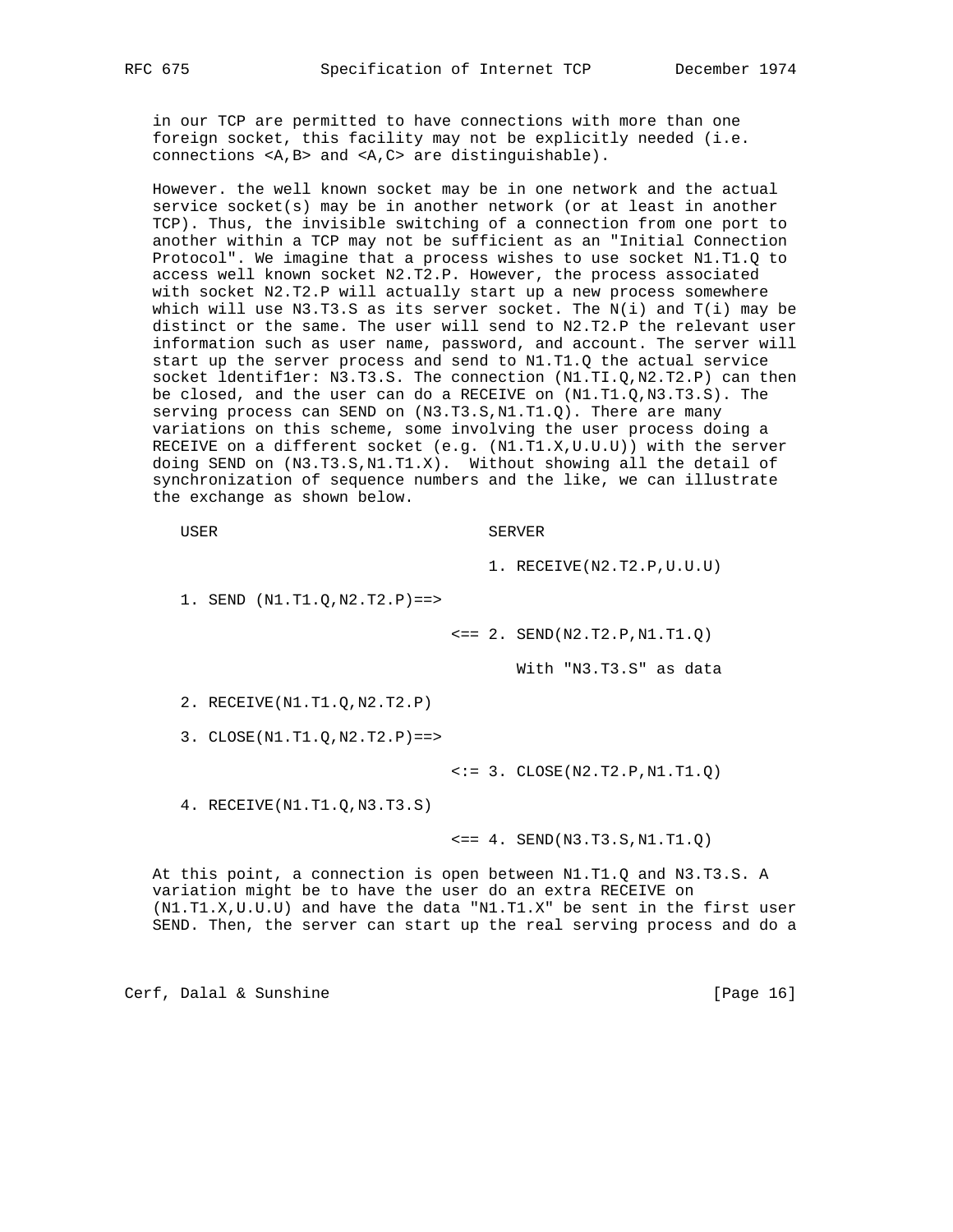in our TCP are permitted to have connections with more than one foreign socket, this facility may not be explicitly needed (i.e. connections <A,B> and <A,C> are distinguishable).

 However. the well known socket may be in one network and the actual service socket(s) may be in another network (or at least in another TCP). Thus, the invisible switching of a connection from one port to another within a TCP may not be sufficient as an "Initial Connection Protocol". We imagine that a process wishes to use socket N1.T1.Q to access well known socket N2.T2.P. However, the process associated with socket N2.T2.P will actually start up a new process somewhere which will use N3.T3.S as its server socket. The  $N(i)$  and  $T(i)$  may be distinct or the same. The user will send to N2.T2.P the relevant user information such as user name, password, and account. The server will start up the server process and send to N1.T1.Q the actual service socket ldentifler: N3.T3.S. The connection (N1.TI.Q,N2.T2.P) can then be closed, and the user can do a RECEIVE on (N1.T1.Q,N3.T3.S). The serving process can SEND on (N3.T3.S,N1.T1.Q). There are many variations on this scheme, some involving the user process doing a RECEIVE on a different socket (e.g.  $(N1.T1.X,U.U.U)$ ) with the server doing SEND on (N3.T3.S,N1.T1.X). Without showing all the detail of synchronization of sequence numbers and the like, we can illustrate the exchange as shown below.

USER SERVER

1. RECEIVE(N2.T2.P,U.U.U)

1. SEND (N1.T1.Q,N2.T2.P)==>

 $\leq$  = = 2. SEND(N2.T2.P, N1.T1.Q)

With "N3.T3.S" as data

2. RECEIVE(N1.T1.Q,N2.T2.P)

3. CLOSE(N1.T1.Q,N2.T2.P)==>

 $\langle := 3. \text{CLOSE}(N2.T2.P,N1.T1.Q)$ 

4. RECEIVE(N1.T1.Q,N3.T3.S)

 $\leq = 4$ . SEND(N3.T3.S, N1.T1.Q)

 At this point, a connection is open between N1.T1.Q and N3.T3.S. A variation might be to have the user do an extra RECEIVE on (N1.T1.X,U.U.U) and have the data "N1.T1.X" be sent in the first user SEND. Then, the server can start up the real serving process and do a

Cerf, Dalal & Sunshine [Page 16]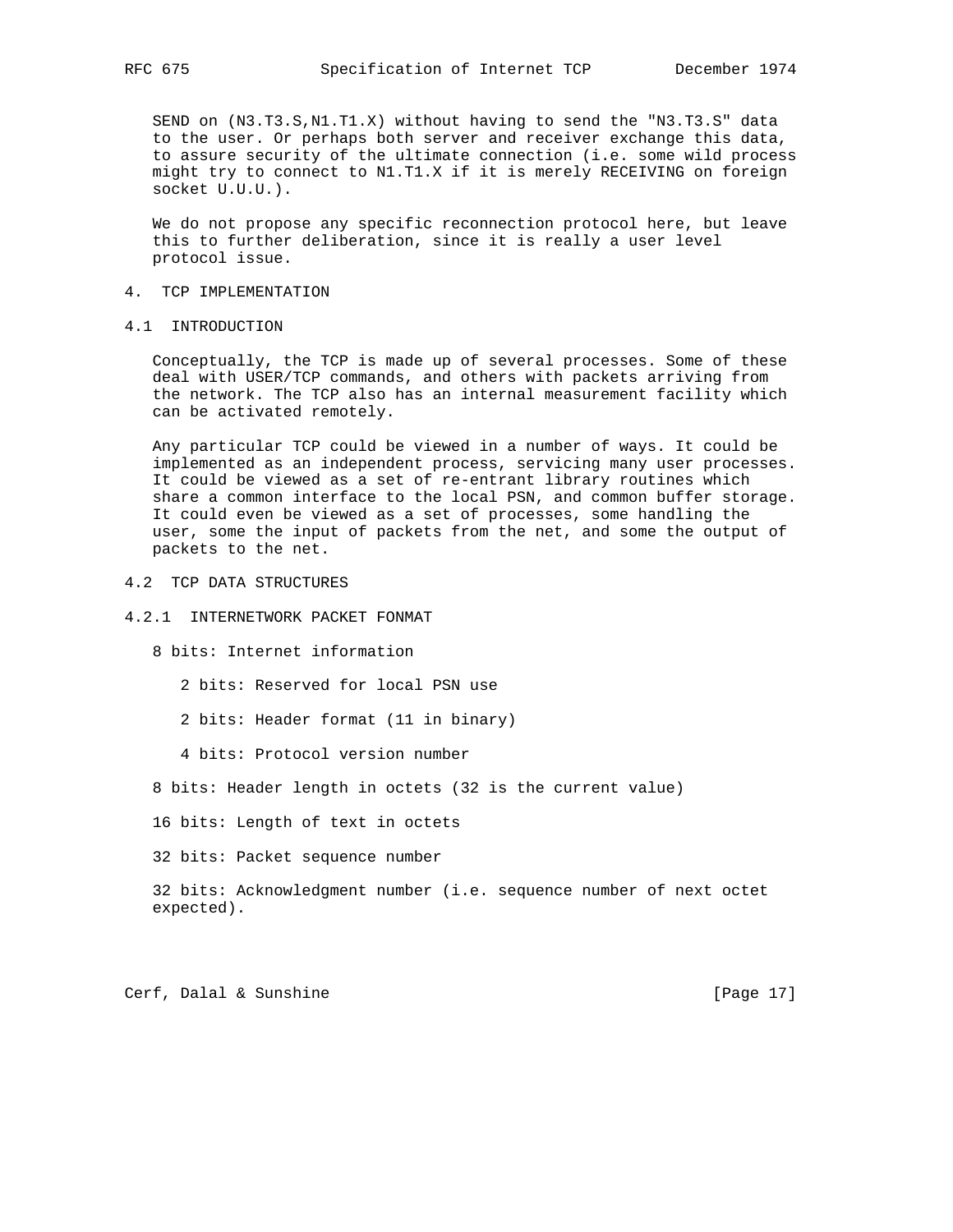SEND on (N3.T3.S,N1.T1.X) without having to send the "N3.T3.S" data to the user. Or perhaps both server and receiver exchange this data, to assure security of the ultimate connection (i.e. some wild process might try to connect to N1.T1.X if it is merely RECEIVING on foreign socket U.U.U.).

 We do not propose any specific reconnection protocol here, but leave this to further deliberation, since it is really a user level protocol issue.

## 4. TCP IMPLEMENTATION

## 4.1 INTRODUCTION

 Conceptually, the TCP is made up of several processes. Some of these deal with USER/TCP commands, and others with packets arriving from the network. The TCP also has an internal measurement facility which can be activated remotely.

 Any particular TCP could be viewed in a number of ways. It could be implemented as an independent process, servicing many user processes. It could be viewed as a set of re-entrant library routines which share a common interface to the local PSN, and common buffer storage. It could even be viewed as a set of processes, some handling the user, some the input of packets from the net, and some the output of packets to the net.

4.2 TCP DATA STRUCTURES

#### 4.2.1 INTERNETWORK PACKET FONMAT

8 bits: Internet information

2 bits: Reserved for local PSN use

2 bits: Header format (11 in binary)

4 bits: Protocol version number

8 bits: Header length in octets (32 is the current value)

16 bits: Length of text in octets

32 bits: Packet sequence number

 32 bits: Acknowledgment number (i.e. sequence number of next octet expected).

Cerf, Dalal & Sunshine [Page 17]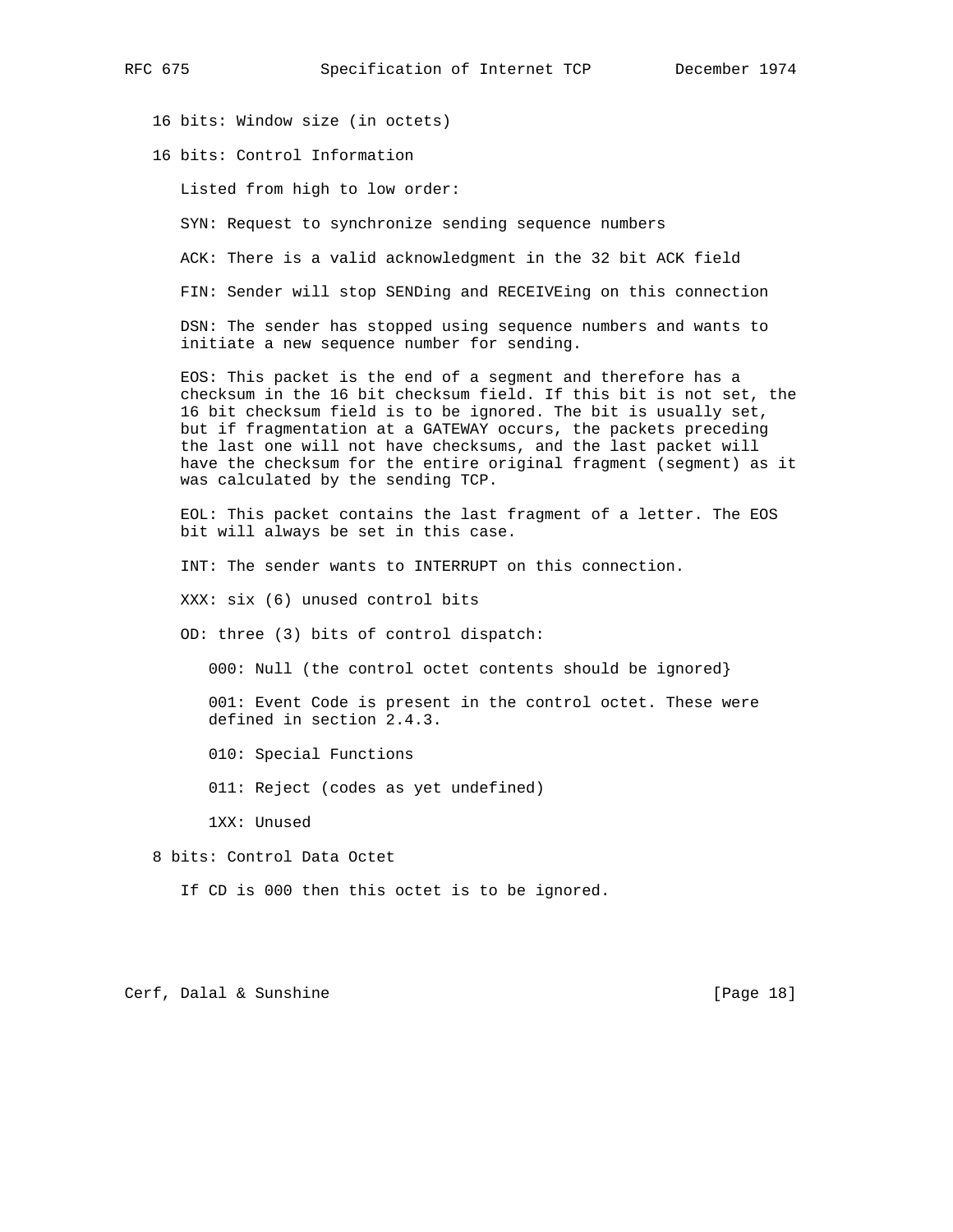16 bits: Window size (in octets)

16 bits: Control Information

Listed from high to low order:

SYN: Request to synchronize sending sequence numbers

ACK: There is a valid acknowledgment in the 32 bit ACK field

FIN: Sender will stop SENDing and RECEIVEing on this connection

 DSN: The sender has stopped using sequence numbers and wants to initiate a new sequence number for sending.

 EOS: This packet is the end of a segment and therefore has a checksum in the 16 bit checksum field. If this bit is not set, the 16 bit checksum field is to be ignored. The bit is usually set, but if fragmentation at a GATEWAY occurs, the packets preceding the last one will not have checksums, and the last packet will have the checksum for the entire original fragment (segment) as it was calculated by the sending TCP.

 EOL: This packet contains the last fragment of a letter. The EOS bit will always be set in this case.

INT: The sender wants to INTERRUPT on this connection.

XXX: six (6) unused control bits

OD: three (3) bits of control dispatch:

000: Null (the control octet contents should be ignored}

 001: Event Code is present in the control octet. These were defined in section 2.4.3.

010: Special Functions

011: Reject (codes as yet undefined)

1XX: Unused

8 bits: Control Data Octet

If CD is 000 then this octet is to be ignored.

Cerf, Dalal & Sunshine [Page 18]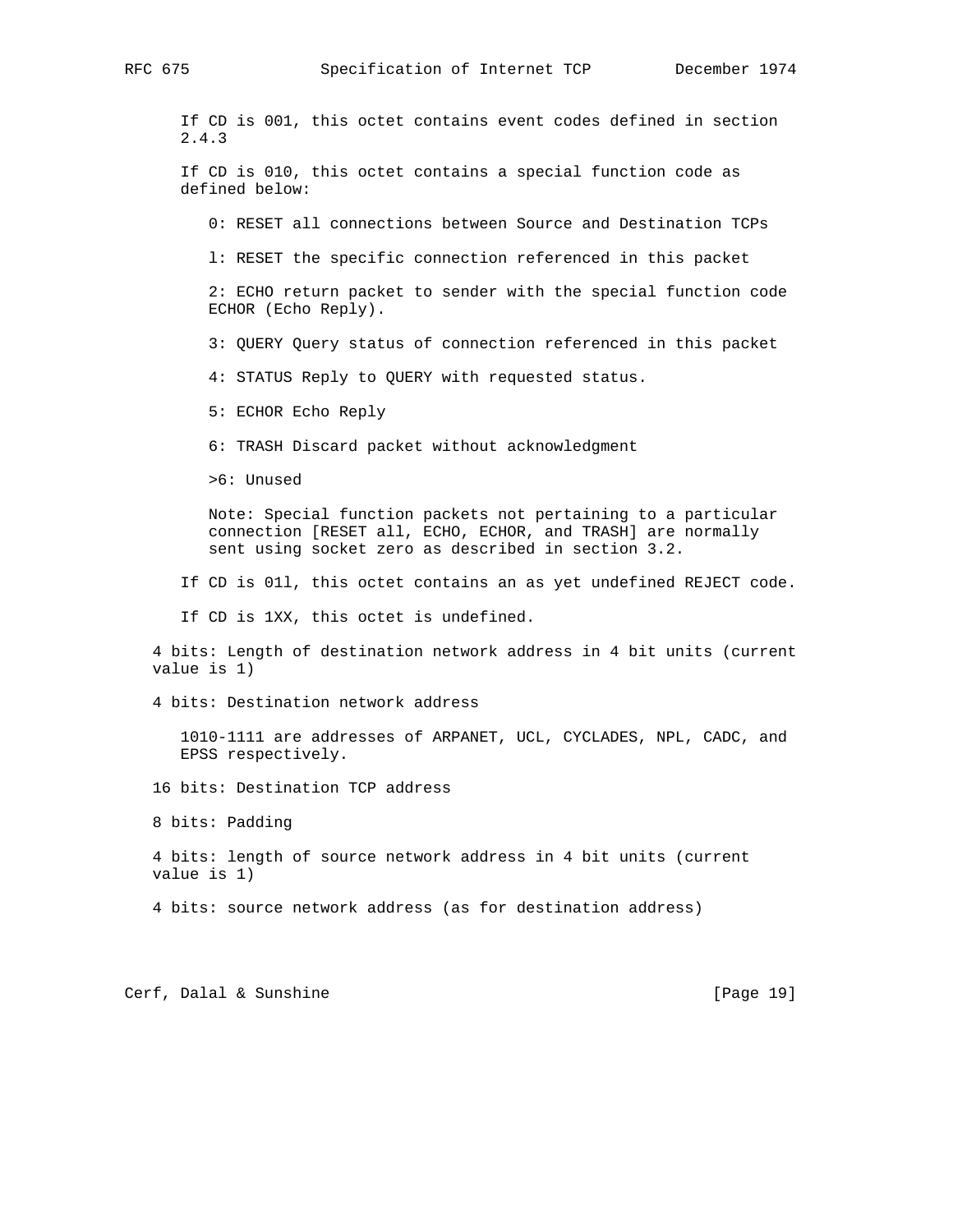RFC 675 Specification of Internet TCP December 1974

 If CD is 001, this octet contains event codes defined in section 2.4.3

 If CD is 010, this octet contains a special function code as defined below:

0: RESET all connections between Source and Destination TCPs

l: RESET the specific connection referenced in this packet

 2: ECHO return packet to sender with the special function code ECHOR (Echo Reply).

3: QUERY Query status of connection referenced in this packet

4: STATUS Reply to QUERY with requested status.

5: ECHOR Echo Reply

6: TRASH Discard packet without acknowledgment

>6: Unused

 Note: Special function packets not pertaining to a particular connection [RESET all, ECHO, ECHOR, and TRASH] are normally sent using socket zero as described in section 3.2.

If CD is 01l, this octet contains an as yet undefined REJECT code.

If CD is 1XX, this octet is undefined.

 4 bits: Length of destination network address in 4 bit units (current value is 1)

4 bits: Destination network address

 1010-1111 are addresses of ARPANET, UCL, CYCLADES, NPL, CADC, and EPSS respectively.

16 bits: Destination TCP address

8 bits: Padding

 4 bits: length of source network address in 4 bit units (current value is 1)

4 bits: source network address (as for destination address)

Cerf, Dalal & Sunshine [Page 19]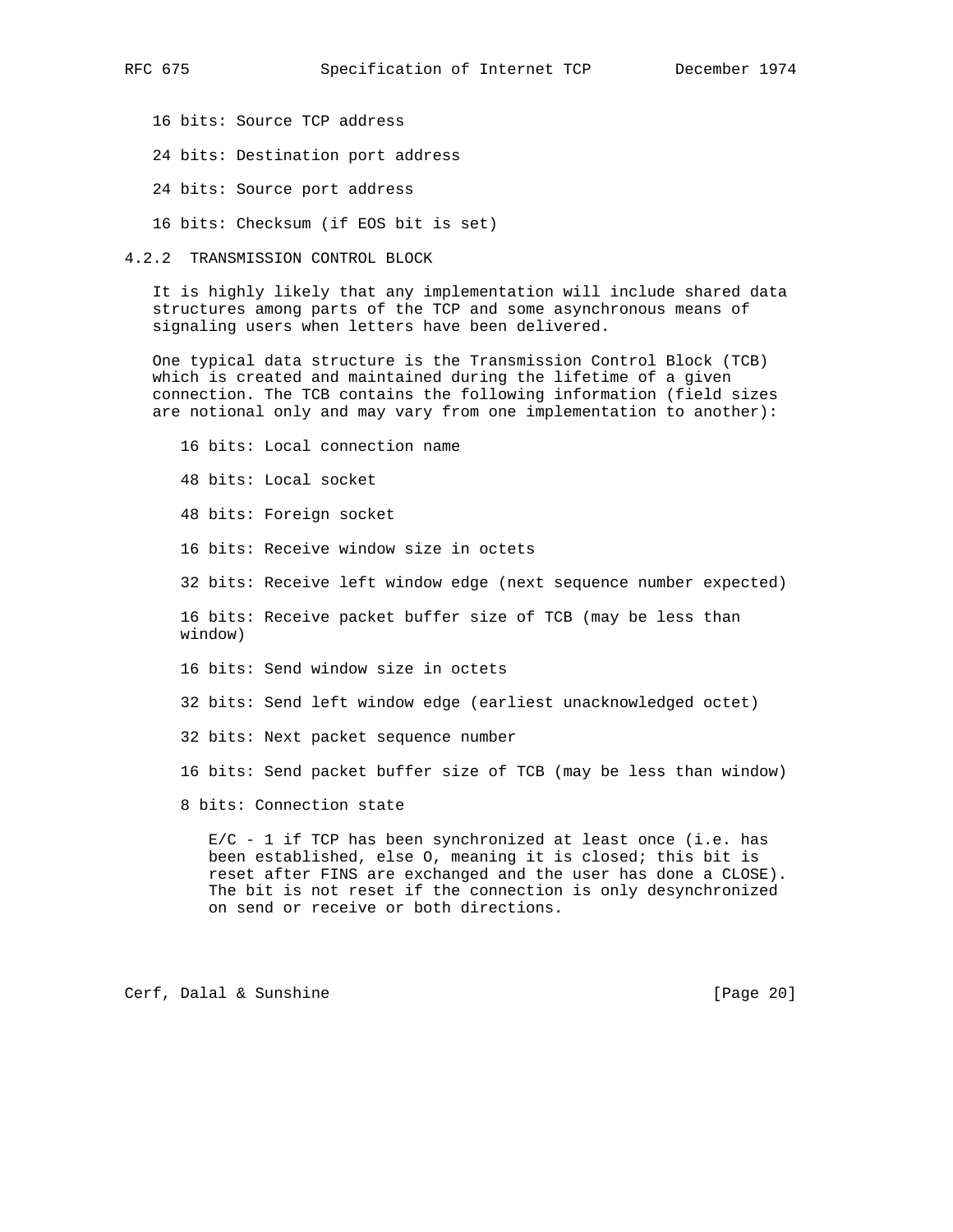- 16 bits: Source TCP address
- 24 bits: Destination port address
- 24 bits: Source port address
- 16 bits: Checksum (if EOS bit is set)
- 4.2.2 TRANSMISSION CONTROL BLOCK

 It is highly likely that any implementation will include shared data structures among parts of the TCP and some asynchronous means of signaling users when letters have been delivered.

 One typical data structure is the Transmission Control Block (TCB) which is created and maintained during the lifetime of a given connection. The TCB contains the following information (field sizes are notional only and may vary from one implementation to another):

 16 bits: Local connection name 48 bits: Local socket 48 bits: Foreign socket 16 bits: Receive window size in octets 32 bits: Receive left window edge (next sequence number expected) 16 bits: Receive packet buffer size of TCB (may be less than window) 16 bits: Send window size in octets 32 bits: Send left window edge (earliest unacknowledged octet) 32 bits: Next packet sequence number 16 bits: Send packet buffer size of TCB (may be less than window) 8 bits: Connection state

 E/C - 1 if TCP has been synchronized at least once (i.e. has been established, else O, meaning it is closed; this bit is reset after FINS are exchanged and the user has done a CLOSE). The bit is not reset if the connection is only desynchronized on send or receive or both directions.

Cerf, Dalal & Sunshine [Page 20]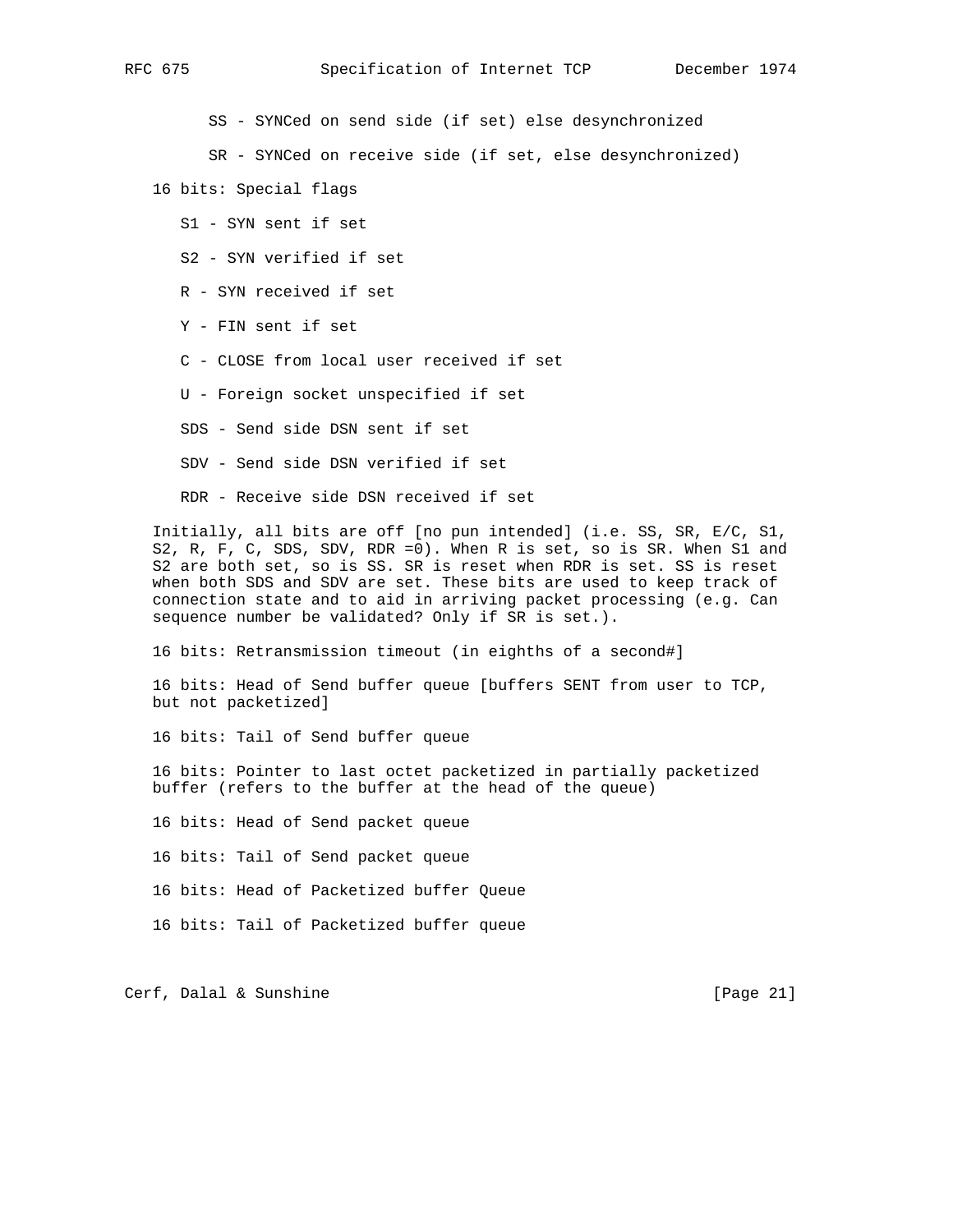SS - SYNCed on send side (if set) else desynchronized

SR - SYNCed on receive side (if set, else desynchronized)

16 bits: Special flags

S1 - SYN sent if set

S2 - SYN verified if set

R - SYN received if set

Y - FIN sent if set

C - CLOSE from local user received if set

U - Foreign socket unspecified if set

SDS - Send side DSN sent if set

SDV - Send side DSN verified if set

RDR - Receive side DSN received if set

 Initially, all bits are off [no pun intended] (i.e. SS, SR, E/C, S1, S2, R, F, C, SDS, SDV, RDR =0). When R is set, so is SR. When S1 and S2 are both set, so is SS. SR is reset when RDR is set. SS is reset when both SDS and SDV are set. These bits are used to keep track of connection state and to aid in arriving packet processing (e.g. Can sequence number be validated? Only if SR is set.).

16 bits: Retransmission timeout (in eighths of a second#]

 16 bits: Head of Send buffer queue [buffers SENT from user to TCP, but not packetized]

16 bits: Tail of Send buffer queue

 16 bits: Pointer to last octet packetized in partially packetized buffer (refers to the buffer at the head of the queue)

16 bits: Head of Send packet queue

16 bits: Tail of Send packet queue

16 bits: Head of Packetized buffer Queue

16 bits: Tail of Packetized buffer queue

Cerf, Dalal & Sunshine [Page 21]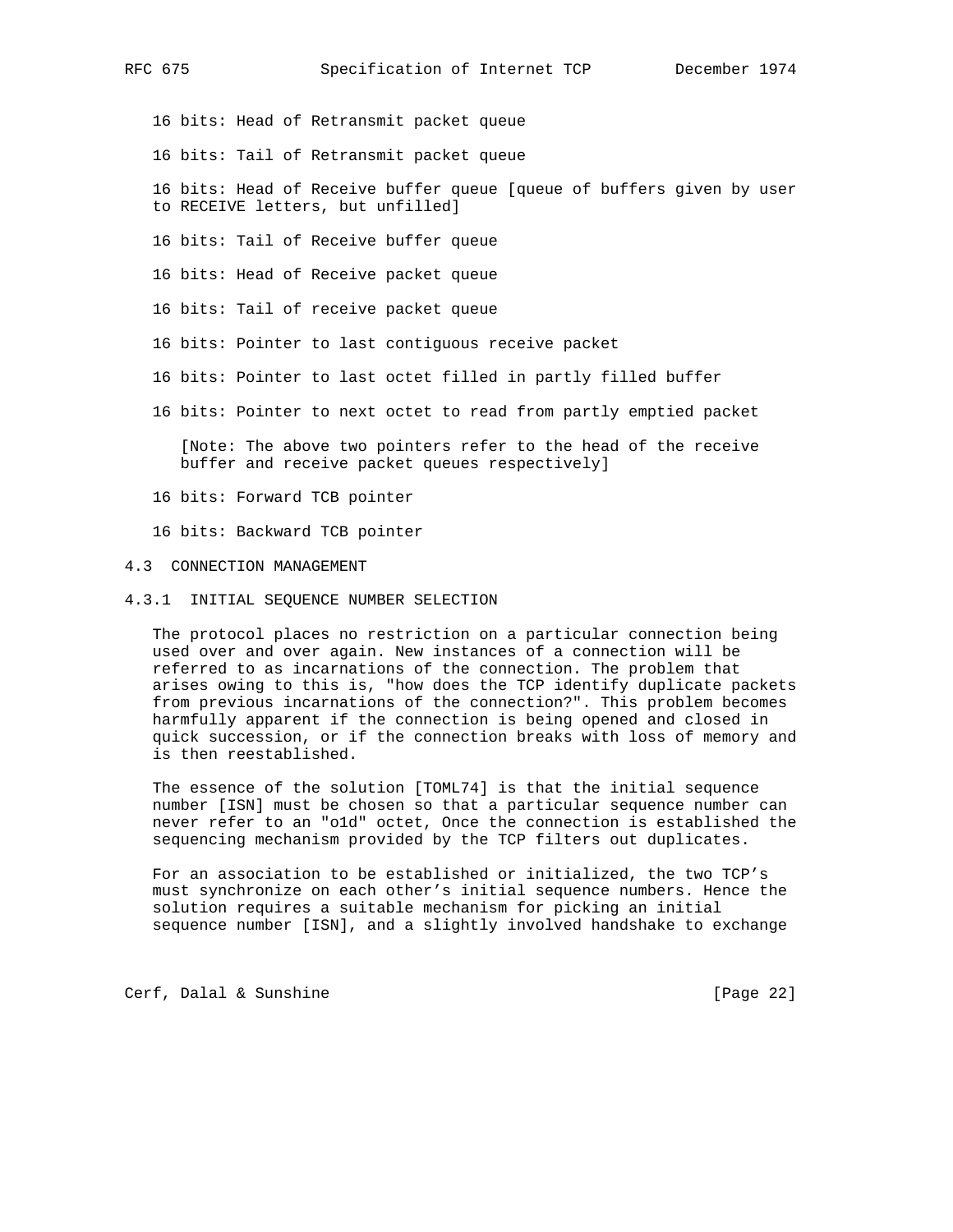- 16 bits: Head of Retransmit packet queue
- 16 bits: Tail of Retransmit packet queue
- 16 bits: Head of Receive buffer queue [queue of buffers given by user to RECEIVE letters, but unfilled]
- 16 bits: Tail of Receive buffer queue
- 16 bits: Head of Receive packet queue
- 16 bits: Tail of receive packet queue
- 16 bits: Pointer to last contiguous receive packet
- 16 bits: Pointer to last octet filled in partly filled buffer
- 16 bits: Pointer to next octet to read from partly emptied packet

 [Note: The above two pointers refer to the head of the receive buffer and receive packet queues respectively]

- 16 bits: Forward TCB pointer
- 16 bits: Backward TCB pointer
- 4.3 CONNECTION MANAGEMENT
- 4.3.1 INITIAL SEQUENCE NUMBER SELECTION

 The protocol places no restriction on a particular connection being used over and over again. New instances of a connection will be referred to as incarnations of the connection. The problem that arises owing to this is, "how does the TCP identify duplicate packets from previous incarnations of the connection?". This problem becomes harmfully apparent if the connection is being opened and closed in quick succession, or if the connection breaks with loss of memory and is then reestablished.

 The essence of the solution [TOML74] is that the initial sequence number [ISN] must be chosen so that a particular sequence number can never refer to an "o1d" octet, Once the connection is established the sequencing mechanism provided by the TCP filters out duplicates.

 For an association to be established or initialized, the two TCP's must synchronize on each other's initial sequence numbers. Hence the solution requires a suitable mechanism for picking an initial sequence number [ISN], and a slightly involved handshake to exchange

Cerf, Dalal & Sunshine [Page 22]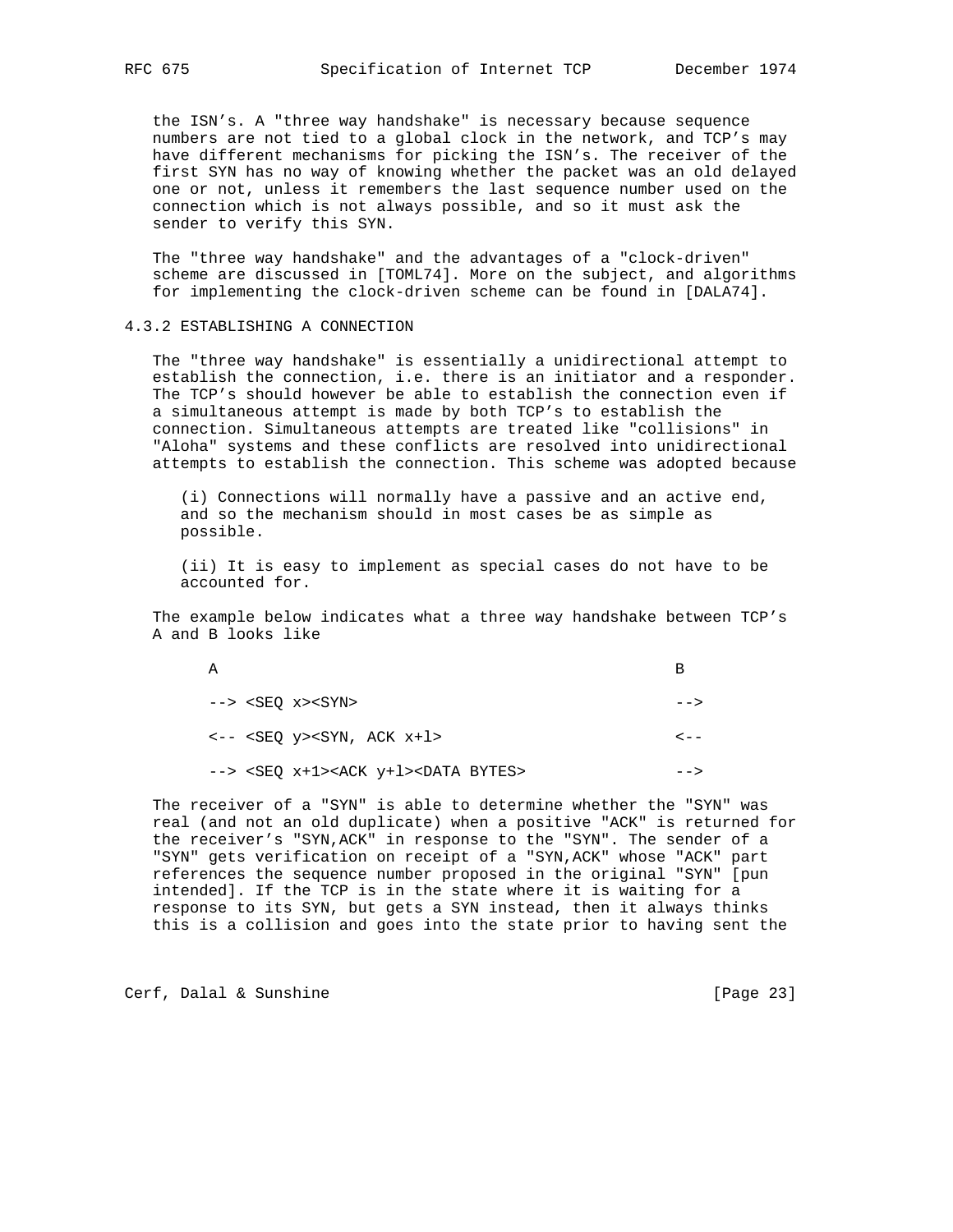the ISN's. A "three way handshake" is necessary because sequence numbers are not tied to a global clock in the network, and TCP's may have different mechanisms for picking the ISN's. The receiver of the first SYN has no way of knowing whether the packet was an old delayed one or not, unless it remembers the last sequence number used on the connection which is not always possible, and so it must ask the sender to verify this SYN.

 The "three way handshake" and the advantages of a "clock-driven" scheme are discussed in [TOML74]. More on the subject, and algorithms for implementing the clock-driven scheme can be found in [DALA74].

#### 4.3.2 ESTABLISHING A CONNECTION

 The "three way handshake" is essentially a unidirectional attempt to establish the connection, i.e. there is an initiator and a responder. The TCP's should however be able to establish the connection even if a simultaneous attempt is made by both TCP's to establish the connection. Simultaneous attempts are treated like "collisions" in "Aloha" systems and these conflicts are resolved into unidirectional attempts to establish the connection. This scheme was adopted because

 (i) Connections will normally have a passive and an active end, and so the mechanism should in most cases be as simple as possible.

 (ii) It is easy to implement as special cases do not have to be accounted for.

 The example below indicates what a three way handshake between TCP's A and B looks like

| А                                                              |                |
|----------------------------------------------------------------|----------------|
| $\leftarrow$ > <seo x=""><syn></syn></seo>                     | ——>            |
| $\leftarrow -$ <seq y=""><syn, ack="" x+1=""></syn,></seq>     | <u>- - - -</u> |
| --> <seq x+1=""><ack y+1=""><data bytes=""></data></ack></seq> |                |

 The receiver of a "SYN" is able to determine whether the "SYN" was real (and not an old duplicate) when a positive "ACK" is returned for the receiver's "SYN,ACK" in response to the "SYN". The sender of a "SYN" gets verification on receipt of a "SYN,ACK" whose "ACK" part references the sequence number proposed in the original "SYN" [pun intended]. If the TCP is in the state where it is waiting for a response to its SYN, but gets a SYN instead, then it always thinks this is a collision and goes into the state prior to having sent the

Cerf, Dalal & Sunshine [Page 23]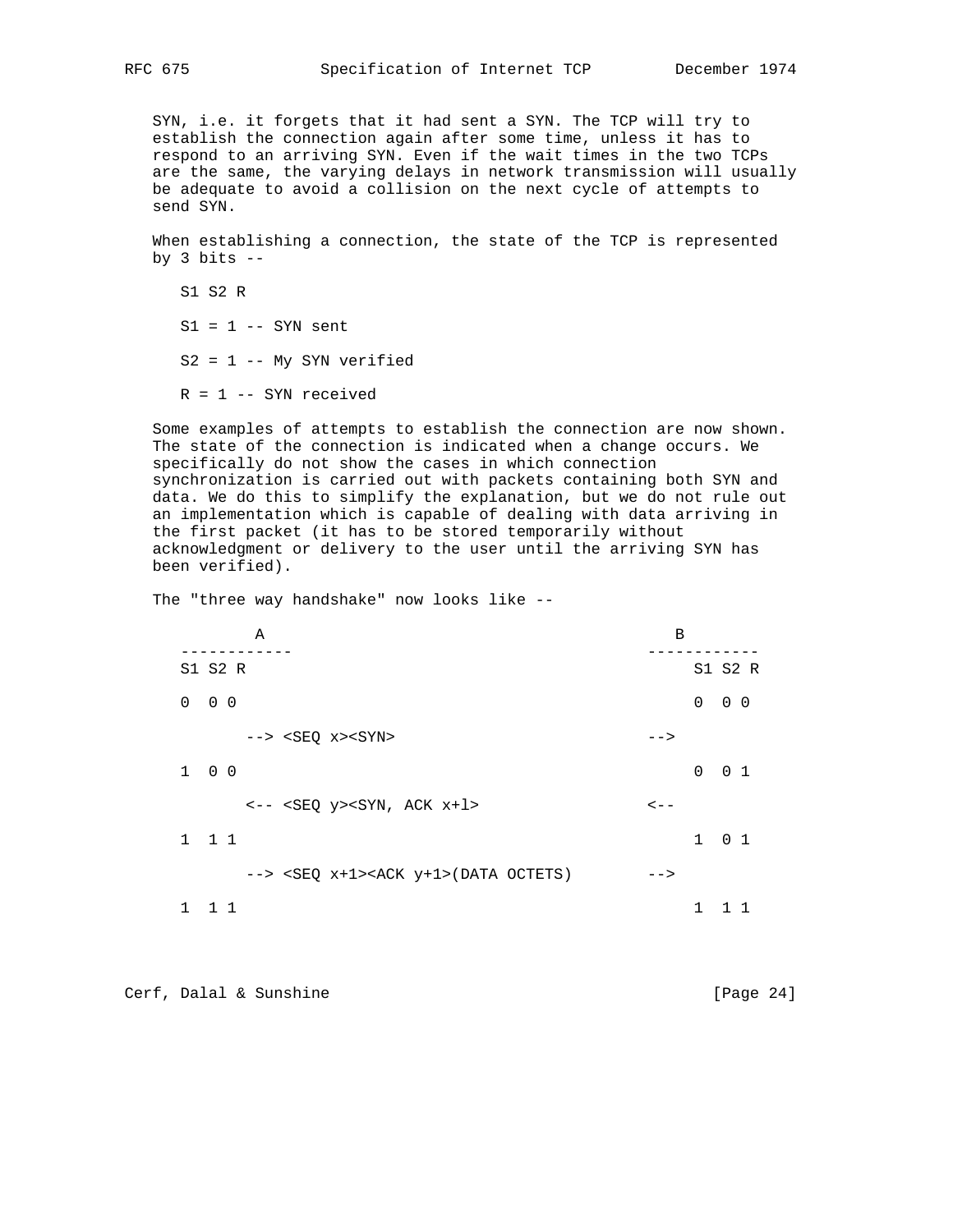SYN, i.e. it forgets that it had sent a SYN. The TCP will try to establish the connection again after some time, unless it has to respond to an arriving SYN. Even if the wait times in the two TCPs are the same, the varying delays in network transmission will usually be adequate to avoid a collision on the next cycle of attempts to send SYN.

 When establishing a connection, the state of the TCP is represented by 3 bits  $-$ 

 S1 S2 R  $S1 = 1 -- SYN sent$  $S2 = 1$  -- My SYN verified  $R = 1$  -- SYN received

 Some examples of attempts to establish the connection are now shown. The state of the connection is indicated when a change occurs. We specifically do not show the cases in which connection synchronization is carried out with packets containing both SYN and data. We do this to simplify the explanation, but we do not rule out an implementation which is capable of dealing with data arriving in the first packet (it has to be stored temporarily without acknowledgment or delivery to the user until the arriving SYN has been verified).

The "three way handshake" now looks like --

| Α                                                                            | B                             |
|------------------------------------------------------------------------------|-------------------------------|
| S1 S2 R                                                                      | S1 S2 R                       |
| $0\quad 0\quad 0$                                                            | $\mathbf 0$<br>$0\quad 0$     |
| $\leftarrow$ > <seq x=""><syn></syn></seq>                                   | $--$                          |
| $1 \quad 0 \quad 0$                                                          | $\mathbf 0$<br>0 <sub>1</sub> |
| $\leftarrow -$ <seq <math="">y&gt;<syn, <math="" ack="">x+1&gt;</syn,></seq> | $\lt$ $-$                     |
| $1 \quad 1 \quad 1$                                                          | $1 \quad 0 \quad 1$           |
| $\leftarrow$ > <seq x+1=""><ack y+1="">(DATA OCTETS)</ack></seq>             | $--$                          |
| $\mathbf{1}$<br>$1\quad1$                                                    | 1                             |

Cerf, Dalal & Sunshine [Page 24]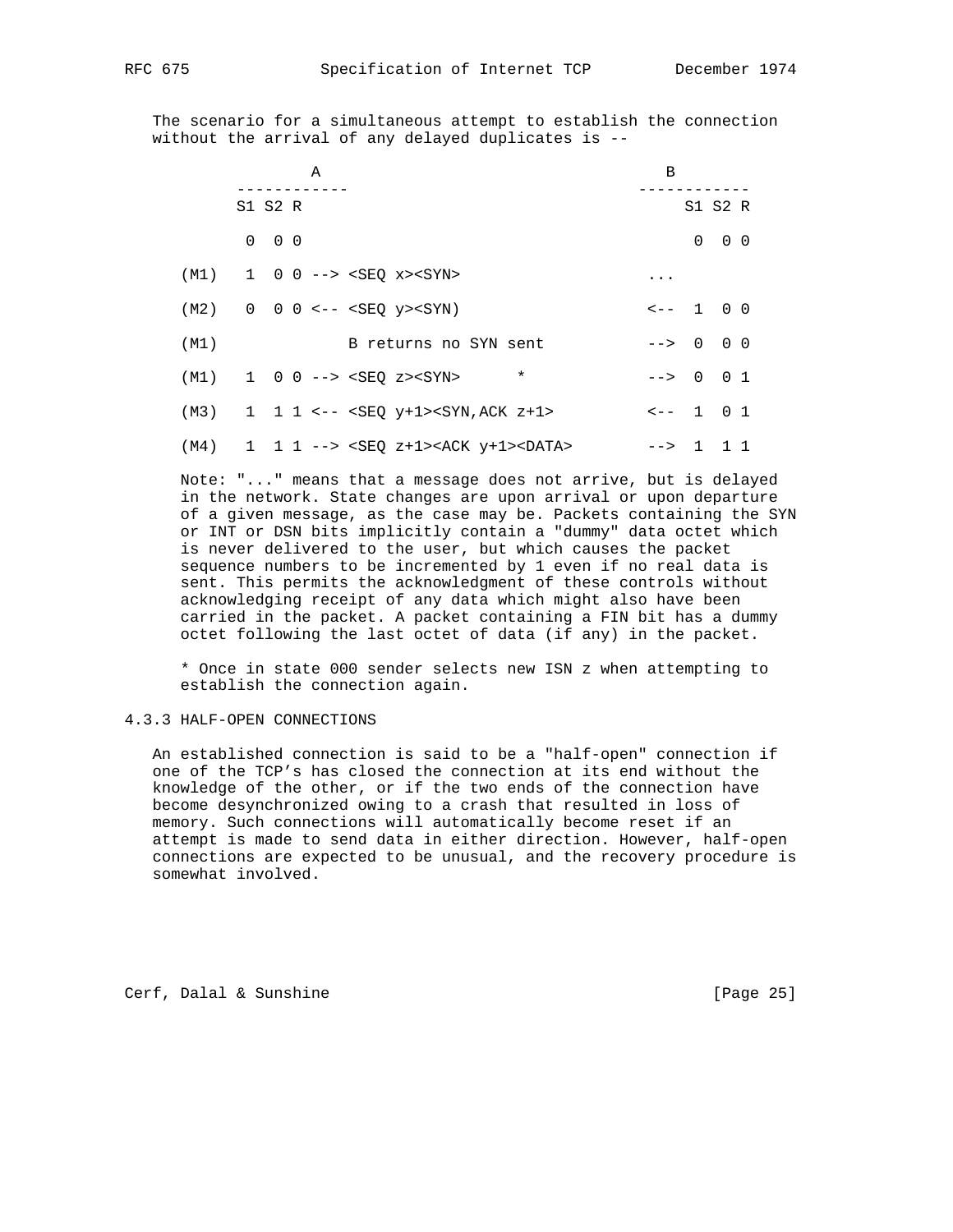The scenario for a simultaneous attempt to establish the connection without the arrival of any delayed duplicates is --

|      | Α                                                                                                               |                       | B                    |                   |
|------|-----------------------------------------------------------------------------------------------------------------|-----------------------|----------------------|-------------------|
|      | S1 S2 R                                                                                                         |                       |                      | S1 S2 R           |
|      | $0\quad 0\quad 0$                                                                                               |                       |                      | $0\quad 0\quad 0$ |
|      | $(M1)$ 1 0 0 --> <seq x=""><syn></syn></seq>                                                                    |                       | $\cdots$             |                   |
|      | $(M2)$ 0 0 0 <-- <seo y=""><syn)< td=""><td></td><td><math>\leftarrow -1</math> 0 0</td><td></td></syn)<></seo> |                       | $\leftarrow -1$ 0 0  |                   |
| (M1) |                                                                                                                 | B returns no SYN sent | $-- & 0 & 0 & 0$     |                   |
|      | $(M1)$ 1 0 0 --> <seq z=""><syn></syn></seq>                                                                    | $\ast$                | $\leftarrow$ > 0 0 1 |                   |
| (M3) |                                                                                                                 |                       | $\leftarrow -1$ 0 1  |                   |
| (M4) |                                                                                                                 |                       | $\leftarrow$ > 1 1 1 |                   |

 Note: "..." means that a message does not arrive, but is delayed in the network. State changes are upon arrival or upon departure of a given message, as the case may be. Packets containing the SYN or INT or DSN bits implicitly contain a "dummy" data octet which is never delivered to the user, but which causes the packet sequence numbers to be incremented by 1 even if no real data is sent. This permits the acknowledgment of these controls without acknowledging receipt of any data which might also have been carried in the packet. A packet containing a FIN bit has a dummy octet following the last octet of data (if any) in the packet.

 \* Once in state 000 sender selects new ISN z when attempting to establish the connection again.

# 4.3.3 HALF-OPEN CONNECTIONS

 An established connection is said to be a "half-open" connection if one of the TCP's has closed the connection at its end without the knowledge of the other, or if the two ends of the connection have become desynchronized owing to a crash that resulted in loss of memory. Such connections will automatically become reset if an attempt is made to send data in either direction. However, half-open connections are expected to be unusual, and the recovery procedure is somewhat involved.

Cerf, Dalal & Sunshine [Page 25]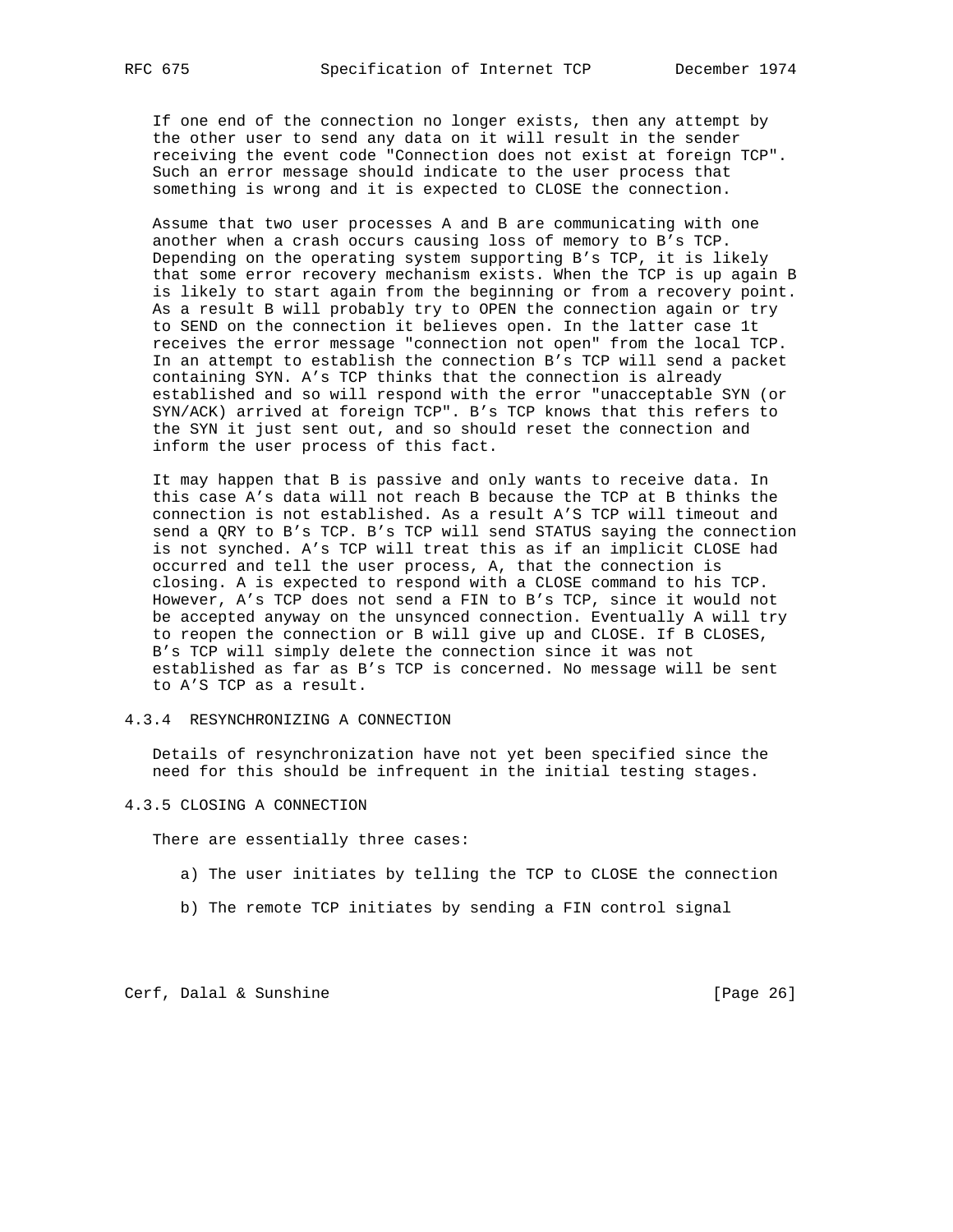If one end of the connection no longer exists, then any attempt by the other user to send any data on it will result in the sender receiving the event code "Connection does not exist at foreign TCP". Such an error message should indicate to the user process that something is wrong and it is expected to CLOSE the connection.

 Assume that two user processes A and B are communicating with one another when a crash occurs causing loss of memory to B's TCP. Depending on the operating system supporting B's TCP, it is likely that some error recovery mechanism exists. When the TCP is up again B is likely to start again from the beginning or from a recovery point. As a result B will probably try to OPEN the connection again or try to SEND on the connection it believes open. In the latter case 1t receives the error message "connection not open" from the local TCP. In an attempt to establish the connection B's TCP will send a packet containing SYN. A's TCP thinks that the connection is already established and so will respond with the error "unacceptable SYN (or SYN/ACK) arrived at foreign TCP". B's TCP knows that this refers to the SYN it just sent out, and so should reset the connection and inform the user process of this fact.

 It may happen that B is passive and only wants to receive data. In this case A's data will not reach B because the TCP at B thinks the connection is not established. As a result A'S TCP will timeout and send a QRY to B's TCP. B's TCP will send STATUS saying the connection is not synched. A's TCP will treat this as if an implicit CLOSE had occurred and tell the user process, A, that the connection is closing. A is expected to respond with a CLOSE command to his TCP. However, A's TCP does not send a FIN to B's TCP, since it would not be accepted anyway on the unsynced connection. Eventually A will try to reopen the connection or B will give up and CLOSE. If B CLOSES, B's TCP will simply delete the connection since it was not established as far as B's TCP is concerned. No message will be sent to A'S TCP as a result.

4.3.4 RESYNCHRONIZING A CONNECTION

 Details of resynchronization have not yet been specified since the need for this should be infrequent in the initial testing stages.

4.3.5 CLOSING A CONNECTION

There are essentially three cases:

- a) The user initiates by telling the TCP to CLOSE the connection
- b) The remote TCP initiates by sending a FIN control signal

Cerf, Dalal & Sunshine [Page 26]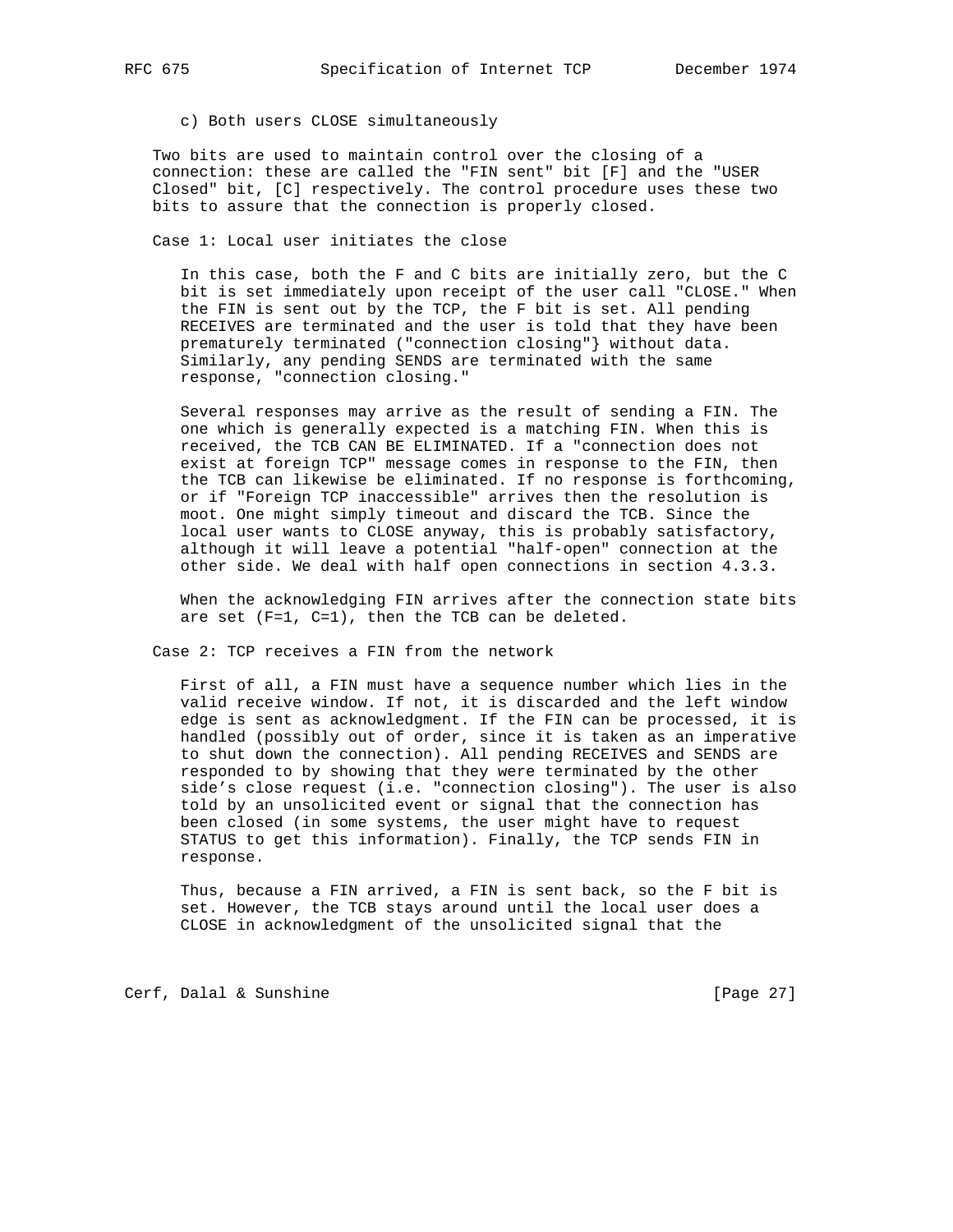c) Both users CLOSE simultaneously

 Two bits are used to maintain control over the closing of a connection: these are called the "FIN sent" bit [F] and the "USER Closed" bit, [C] respectively. The control procedure uses these two bits to assure that the connection is properly closed.

Case 1: Local user initiates the close

 In this case, both the F and C bits are initially zero, but the C bit is set immediately upon receipt of the user call "CLOSE." When the FIN is sent out by the TCP, the F bit is set. All pending RECEIVES are terminated and the user is told that they have been prematurely terminated ("connection closing"} without data. Similarly, any pending SENDS are terminated with the same response, "connection closing."

 Several responses may arrive as the result of sending a FIN. The one which is generally expected is a matching FIN. When this is received, the TCB CAN BE ELIMINATED. If a "connection does not exist at foreign TCP" message comes in response to the FIN, then the TCB can likewise be eliminated. If no response is forthcoming, or if "Foreign TCP inaccessible" arrives then the resolution is moot. One might simply timeout and discard the TCB. Since the local user wants to CLOSE anyway, this is probably satisfactory, although it will leave a potential "half-open" connection at the other side. We deal with half open connections in section 4.3.3.

 When the acknowledging FIN arrives after the connection state bits are set (F=1, C=1), then the TCB can be deleted.

Case 2: TCP receives a FIN from the network

 First of all, a FIN must have a sequence number which lies in the valid receive window. If not, it is discarded and the left window edge is sent as acknowledgment. If the FIN can be processed, it is handled (possibly out of order, since it is taken as an imperative to shut down the connection). All pending RECEIVES and SENDS are responded to by showing that they were terminated by the other side's close request (i.e. "connection closing"). The user is also told by an unsolicited event or signal that the connection has been closed (in some systems, the user might have to request STATUS to get this information). Finally, the TCP sends FIN in response.

 Thus, because a FIN arrived, a FIN is sent back, so the F bit is set. However, the TCB stays around until the local user does a CLOSE in acknowledgment of the unsolicited signal that the

Cerf, Dalal & Sunshine [Page 27]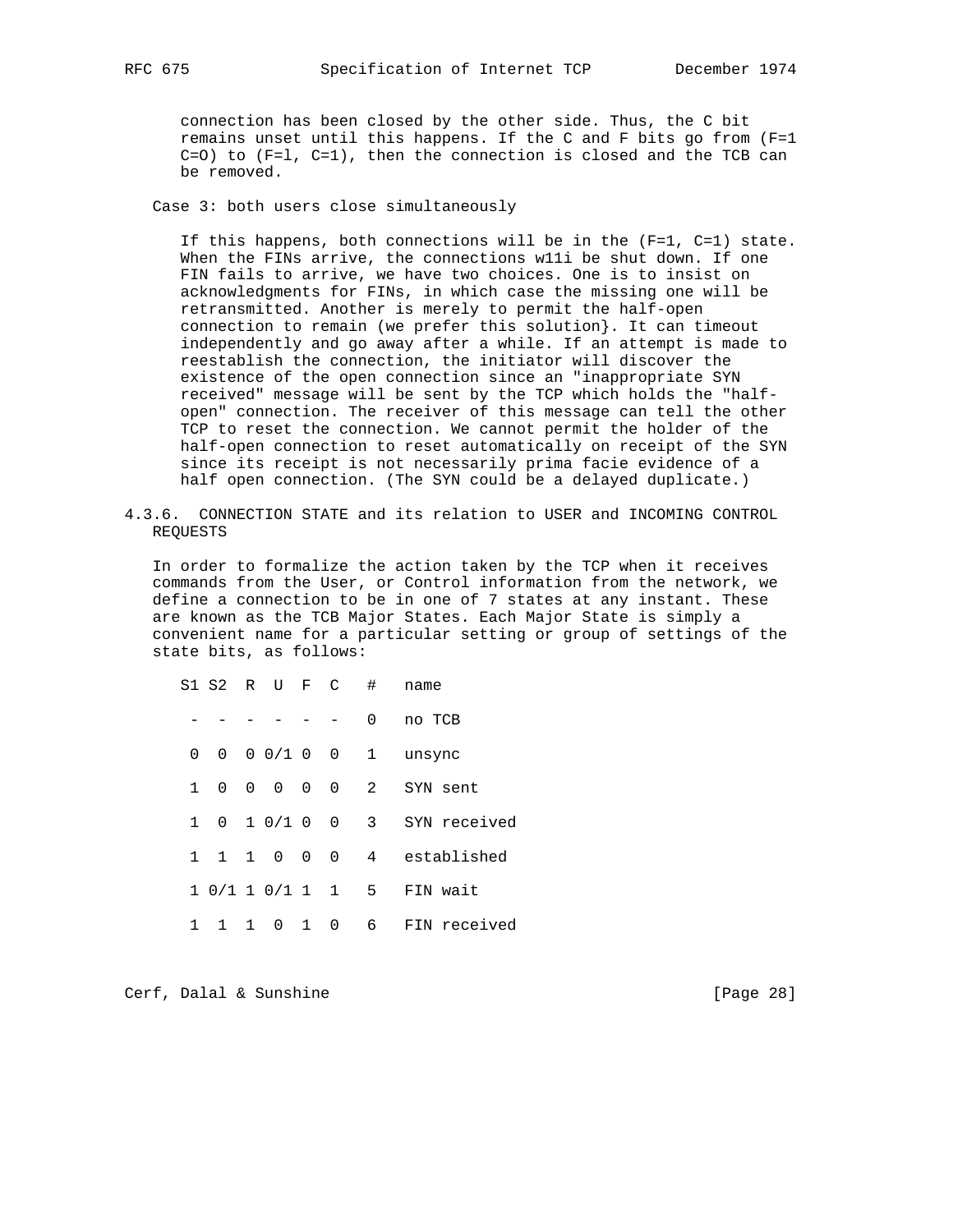connection has been closed by the other side. Thus, the C bit remains unset until this happens. If the C and F bits go from (F=1 C=O) to (F=l, C=1), then the connection is closed and the TCB can be removed.

Case 3: both users close simultaneously

 If this happens, both connections will be in the (F=1, C=1) state. When the FINs arrive, the connections w11i be shut down. If one FIN fails to arrive, we have two choices. One is to insist on acknowledgments for FINs, in which case the missing one will be retransmitted. Another is merely to permit the half-open connection to remain (we prefer this solution}. It can timeout independently and go away after a while. If an attempt is made to reestablish the connection, the initiator will discover the existence of the open connection since an "inappropriate SYN received" message will be sent by the TCP which holds the "half open" connection. The receiver of this message can tell the other TCP to reset the connection. We cannot permit the holder of the half-open connection to reset automatically on receipt of the SYN since its receipt is not necessarily prima facie evidence of a half open connection. (The SYN could be a delayed duplicate.)

4.3.6. CONNECTION STATE and its relation to USER and INCOMING CONTROL REQUESTS

 In order to formalize the action taken by the TCP when it receives commands from the User, or Control information from the network, we define a connection to be in one of 7 states at any instant. These are known as the TCB Major States. Each Major State is simply a convenient name for a particular setting or group of settings of the state bits, as follows:

 S1 S2 R U F C # name - - - - - - 0 no TCB 0 0 0 0 / 1 0 0 1 unsync 1 0 0 0 0 0 2 SYN sent 1 0 1 0/1 0 0 3 SYN received 1 1 1 0 0 0 4 established 1 0/1 1 0/1 1 1 5 FIN wait 1 1 1 0 1 0 6 FIN received

Cerf, Dalal & Sunshine [Page 28]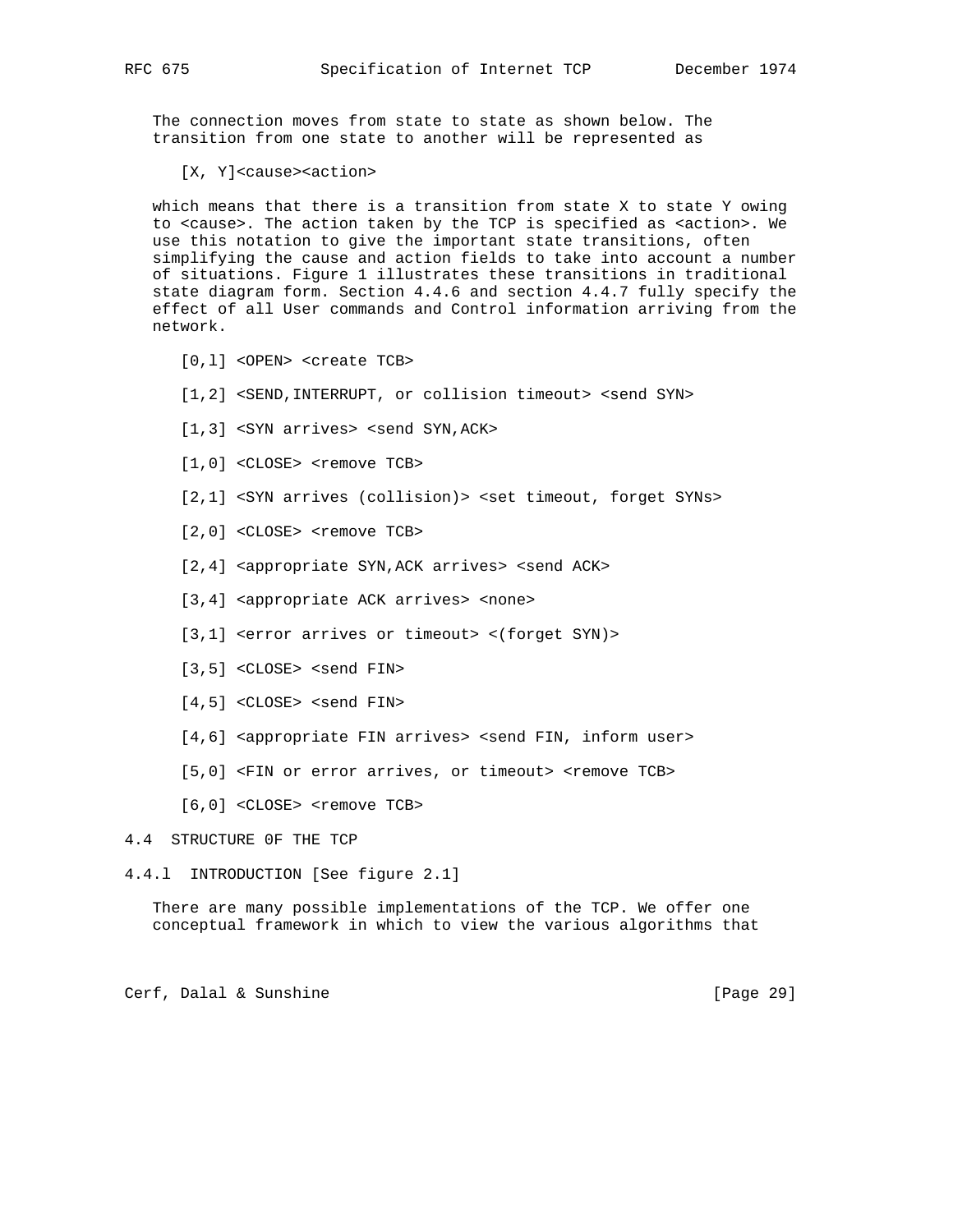The connection moves from state to state as shown below. The transition from one state to another will be represented as

[X, Y]<cause><action>

 which means that there is a transition from state X to state Y owing to <cause>. The action taken by the TCP is specified as <action>. We use this notation to give the important state transitions, often simplifying the cause and action fields to take into account a number of situations. Figure 1 illustrates these transitions in traditional state diagram form. Section 4.4.6 and section 4.4.7 fully specify the effect of all User commands and Control information arriving from the network.

- [0,l] <OPEN> <create TCB>
- [1,2] <SEND, INTERRUPT, or collision timeout> <send SYN>
- [1,3] <SYN arrives> <send SYN, ACK>
- [1,0] <CLOSE> <remove TCB>
- [2,1] <SYN arrives (collision)> <set timeout, forget SYNs>
- [2,0] <CLOSE> <remove TCB>
- [2,4] <appropriate SYN, ACK arrives> <send ACK>
- [3,4] <appropriate ACK arrives> <none>
- [3,1] <error arrives or timeout> <(forget SYN)>
- [3,5] <CLOSE> <send FIN>
- [4,5] <CLOSE> <send FIN>
- [4,6] <appropriate FIN arrives> <send FIN, inform user>
- [5,0] <FIN or error arrives, or timeout> <remove TCB>
- [6,0] <CLOSE> <remove TCB>

## 4.4 STRUCTURE 0F THE TCP

4.4.l INTRODUCTION [See figure 2.1]

 There are many possible implementations of the TCP. We offer one conceptual framework in which to view the various algorithms that

Cerf, Dalal & Sunshine [Page 29]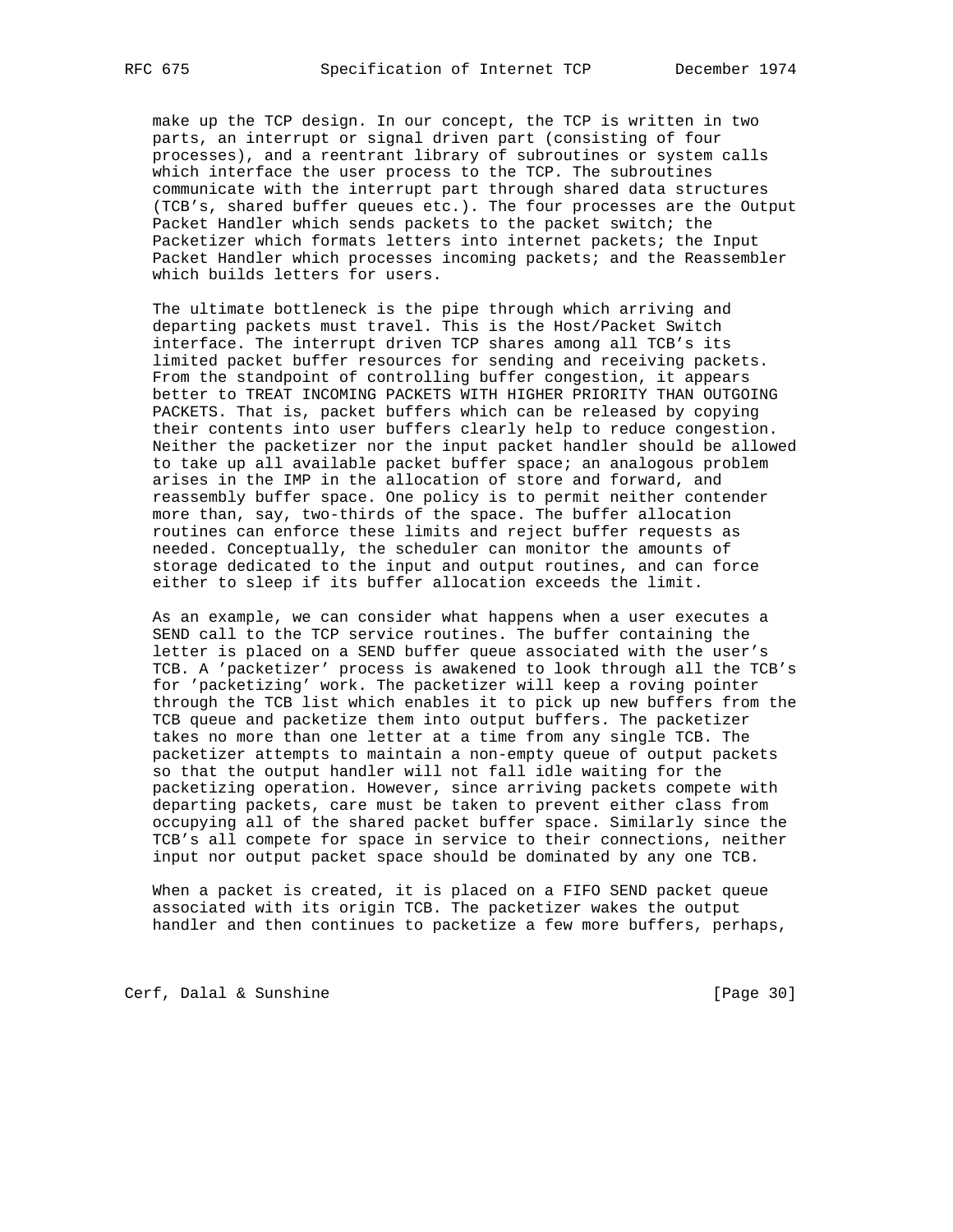make up the TCP design. In our concept, the TCP is written in two parts, an interrupt or signal driven part (consisting of four processes), and a reentrant library of subroutines or system calls which interface the user process to the TCP. The subroutines communicate with the interrupt part through shared data structures (TCB's, shared buffer queues etc.). The four processes are the Output Packet Handler which sends packets to the packet switch; the Packetizer which formats letters into internet packets; the Input Packet Handler which processes incoming packets; and the Reassembler which builds letters for users.

 The ultimate bottleneck is the pipe through which arriving and departing packets must travel. This is the Host/Packet Switch interface. The interrupt driven TCP shares among all TCB's its limited packet buffer resources for sending and receiving packets. From the standpoint of controlling buffer congestion, it appears better to TREAT INCOMING PACKETS WITH HIGHER PRIORITY THAN OUTGOING PACKETS. That is, packet buffers which can be released by copying their contents into user buffers clearly help to reduce congestion. Neither the packetizer nor the input packet handler should be allowed to take up all available packet buffer space; an analogous problem arises in the IMP in the allocation of store and forward, and reassembly buffer space. One policy is to permit neither contender more than, say, two-thirds of the space. The buffer allocation routines can enforce these limits and reject buffer requests as needed. Conceptually, the scheduler can monitor the amounts of storage dedicated to the input and output routines, and can force either to sleep if its buffer allocation exceeds the limit.

 As an example, we can consider what happens when a user executes a SEND call to the TCP service routines. The buffer containing the letter is placed on a SEND buffer queue associated with the user's TCB. A 'packetizer' process is awakened to look through all the TCB's for 'packetizing' work. The packetizer will keep a roving pointer through the TCB list which enables it to pick up new buffers from the TCB queue and packetize them into output buffers. The packetizer takes no more than one letter at a time from any single TCB. The packetizer attempts to maintain a non-empty queue of output packets so that the output handler will not fall idle waiting for the packetizing operation. However, since arriving packets compete with departing packets, care must be taken to prevent either class from occupying all of the shared packet buffer space. Similarly since the TCB's all compete for space in service to their connections, neither input nor output packet space should be dominated by any one TCB.

 When a packet is created, it is placed on a FIFO SEND packet queue associated with its origin TCB. The packetizer wakes the output handler and then continues to packetize a few more buffers, perhaps,

Cerf, Dalal & Sunshine [Page 30]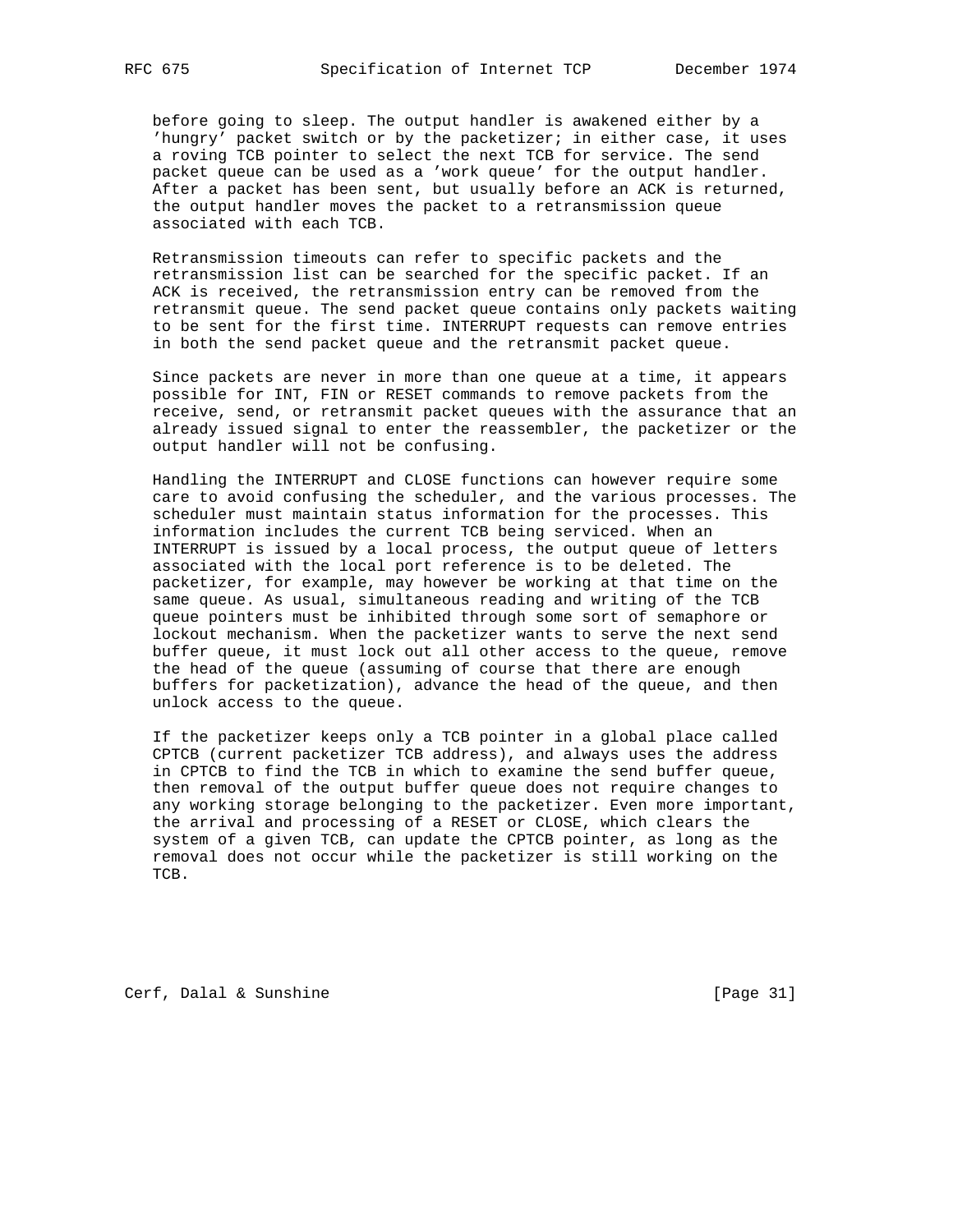before going to sleep. The output handler is awakened either by a 'hungry' packet switch or by the packetizer; in either case, it uses a roving TCB pointer to select the next TCB for service. The send packet queue can be used as a 'work queue' for the output handler. After a packet has been sent, but usually before an ACK is returned, the output handler moves the packet to a retransmission queue associated with each TCB.

 Retransmission timeouts can refer to specific packets and the retransmission list can be searched for the specific packet. If an ACK is received, the retransmission entry can be removed from the retransmit queue. The send packet queue contains only packets waiting to be sent for the first time. INTERRUPT requests can remove entries in both the send packet queue and the retransmit packet queue.

 Since packets are never in more than one queue at a time, it appears possible for INT, FIN or RESET commands to remove packets from the receive, send, or retransmit packet queues with the assurance that an already issued signal to enter the reassembler, the packetizer or the output handler will not be confusing.

 Handling the INTERRUPT and CLOSE functions can however require some care to avoid confusing the scheduler, and the various processes. The scheduler must maintain status information for the processes. This information includes the current TCB being serviced. When an INTERRUPT is issued by a local process, the output queue of letters associated with the local port reference is to be deleted. The packetizer, for example, may however be working at that time on the same queue. As usual, simultaneous reading and writing of the TCB queue pointers must be inhibited through some sort of semaphore or lockout mechanism. When the packetizer wants to serve the next send buffer queue, it must lock out all other access to the queue, remove the head of the queue (assuming of course that there are enough buffers for packetization), advance the head of the queue, and then unlock access to the queue.

 If the packetizer keeps only a TCB pointer in a global place called CPTCB (current packetizer TCB address), and always uses the address in CPTCB to find the TCB in which to examine the send buffer queue, then removal of the output buffer queue does not require changes to any working storage belonging to the packetizer. Even more important, the arrival and processing of a RESET or CLOSE, which clears the system of a given TCB, can update the CPTCB pointer, as long as the removal does not occur while the packetizer is still working on the TCB.

Cerf, Dalal & Sunshine [Page 31]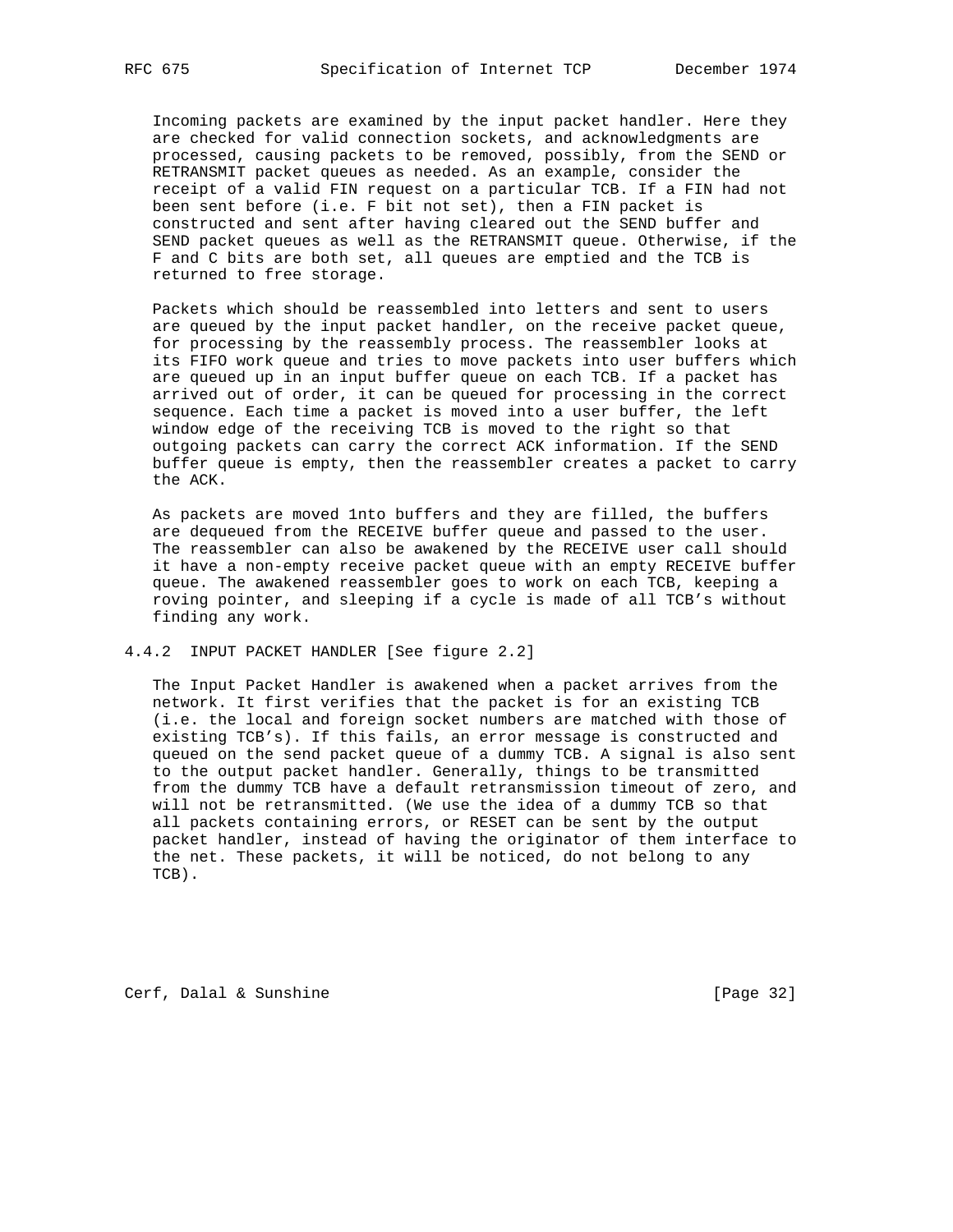Incoming packets are examined by the input packet handler. Here they are checked for valid connection sockets, and acknowledgments are processed, causing packets to be removed, possibly, from the SEND or RETRANSMIT packet queues as needed. As an example, consider the receipt of a valid FIN request on a particular TCB. If a FIN had not been sent before (i.e. F bit not set), then a FIN packet is constructed and sent after having cleared out the SEND buffer and SEND packet queues as well as the RETRANSMIT queue. Otherwise, if the F and C bits are both set, all queues are emptied and the TCB is returned to free storage.

 Packets which should be reassembled into letters and sent to users are queued by the input packet handler, on the receive packet queue, for processing by the reassembly process. The reassembler looks at its FIFO work queue and tries to move packets into user buffers which are queued up in an input buffer queue on each TCB. If a packet has arrived out of order, it can be queued for processing in the correct sequence. Each time a packet is moved into a user buffer, the left window edge of the receiving TCB is moved to the right so that outgoing packets can carry the correct ACK information. If the SEND buffer queue is empty, then the reassembler creates a packet to carry the ACK.

 As packets are moved 1nto buffers and they are filled, the buffers are dequeued from the RECEIVE buffer queue and passed to the user. The reassembler can also be awakened by the RECEIVE user call should it have a non-empty receive packet queue with an empty RECEIVE buffer queue. The awakened reassembler goes to work on each TCB, keeping a roving pointer, and sleeping if a cycle is made of all TCB's without finding any work.

4.4.2 INPUT PACKET HANDLER [See figure 2.2]

 The Input Packet Handler is awakened when a packet arrives from the network. It first verifies that the packet is for an existing TCB (i.e. the local and foreign socket numbers are matched with those of existing TCB's). If this fails, an error message is constructed and queued on the send packet queue of a dummy TCB. A signal is also sent to the output packet handler. Generally, things to be transmitted from the dummy TCB have a default retransmission timeout of zero, and will not be retransmitted. (We use the idea of a dummy TCB so that all packets containing errors, or RESET can be sent by the output packet handler, instead of having the originator of them interface to the net. These packets, it will be noticed, do not belong to any TCB).

Cerf, Dalal & Sunshine [Page 32]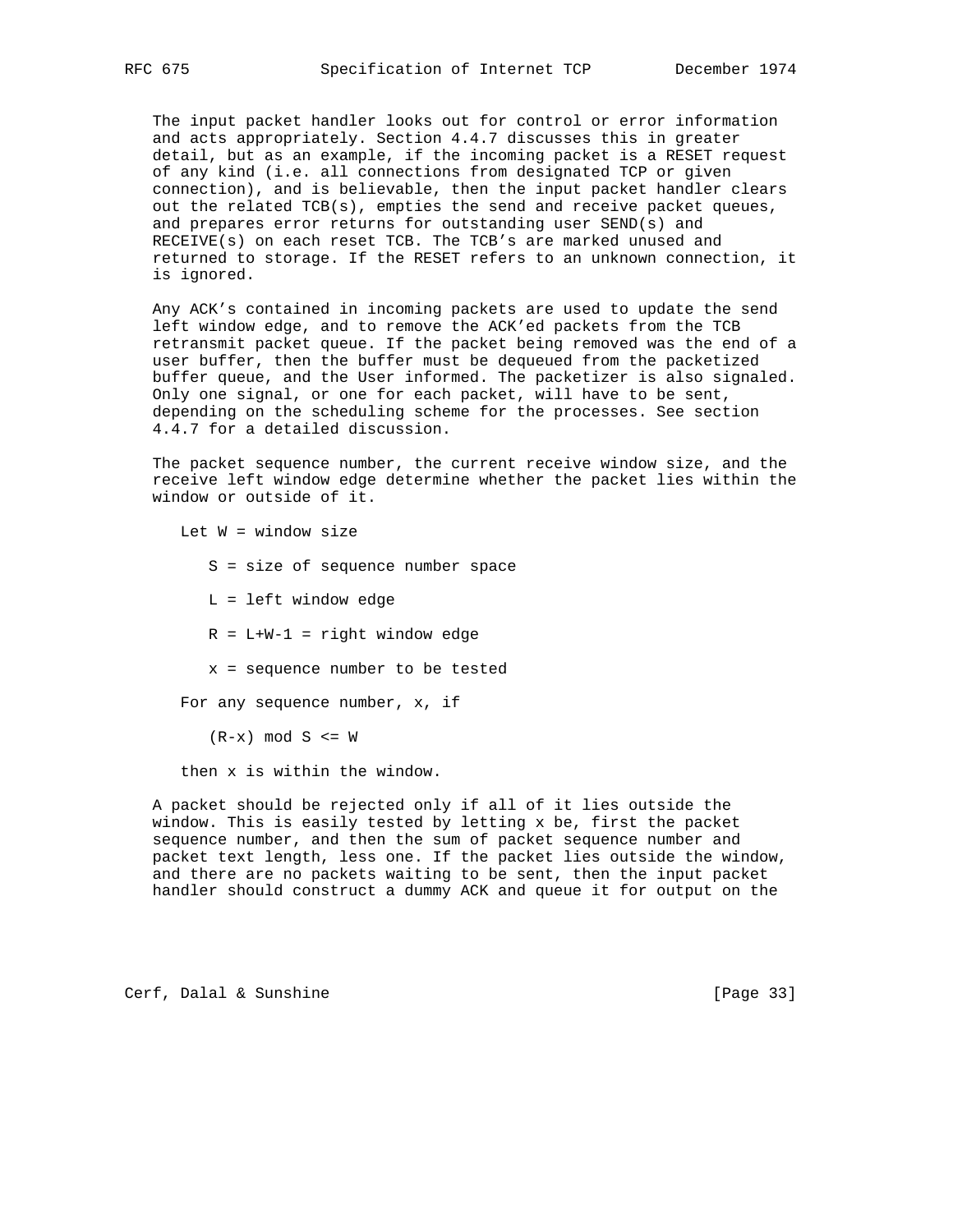The input packet handler looks out for control or error information and acts appropriately. Section 4.4.7 discusses this in greater detail, but as an example, if the incoming packet is a RESET request of any kind (i.e. all connections from designated TCP or given connection), and is believable, then the input packet handler clears out the related TCB(s), empties the send and receive packet queues, and prepares error returns for outstanding user SEND(s) and RECEIVE(s) on each reset TCB. The TCB's are marked unused and returned to storage. If the RESET refers to an unknown connection, it is ignored.

 Any ACK's contained in incoming packets are used to update the send left window edge, and to remove the ACK'ed packets from the TCB retransmit packet queue. If the packet being removed was the end of a user buffer, then the buffer must be dequeued from the packetized buffer queue, and the User informed. The packetizer is also signaled. Only one signal, or one for each packet, will have to be sent, depending on the scheduling scheme for the processes. See section 4.4.7 for a detailed discussion.

 The packet sequence number, the current receive window size, and the receive left window edge determine whether the packet lies within the window or outside of it.

Let  $W =$  window size

- S = size of sequence number space
- L = left window edge
- $R = L+W-1 = right window edge$
- x = sequence number to be tested

For any sequence number, x, if

 $(R-x)$  mod  $S \leq W$ 

then x is within the window.

 A packet should be rejected only if all of it lies outside the window. This is easily tested by letting x be, first the packet sequence number, and then the sum of packet sequence number and packet text length, less one. If the packet lies outside the window, and there are no packets waiting to be sent, then the input packet handler should construct a dummy ACK and queue it for output on the

Cerf, Dalal & Sunshine [Page 33]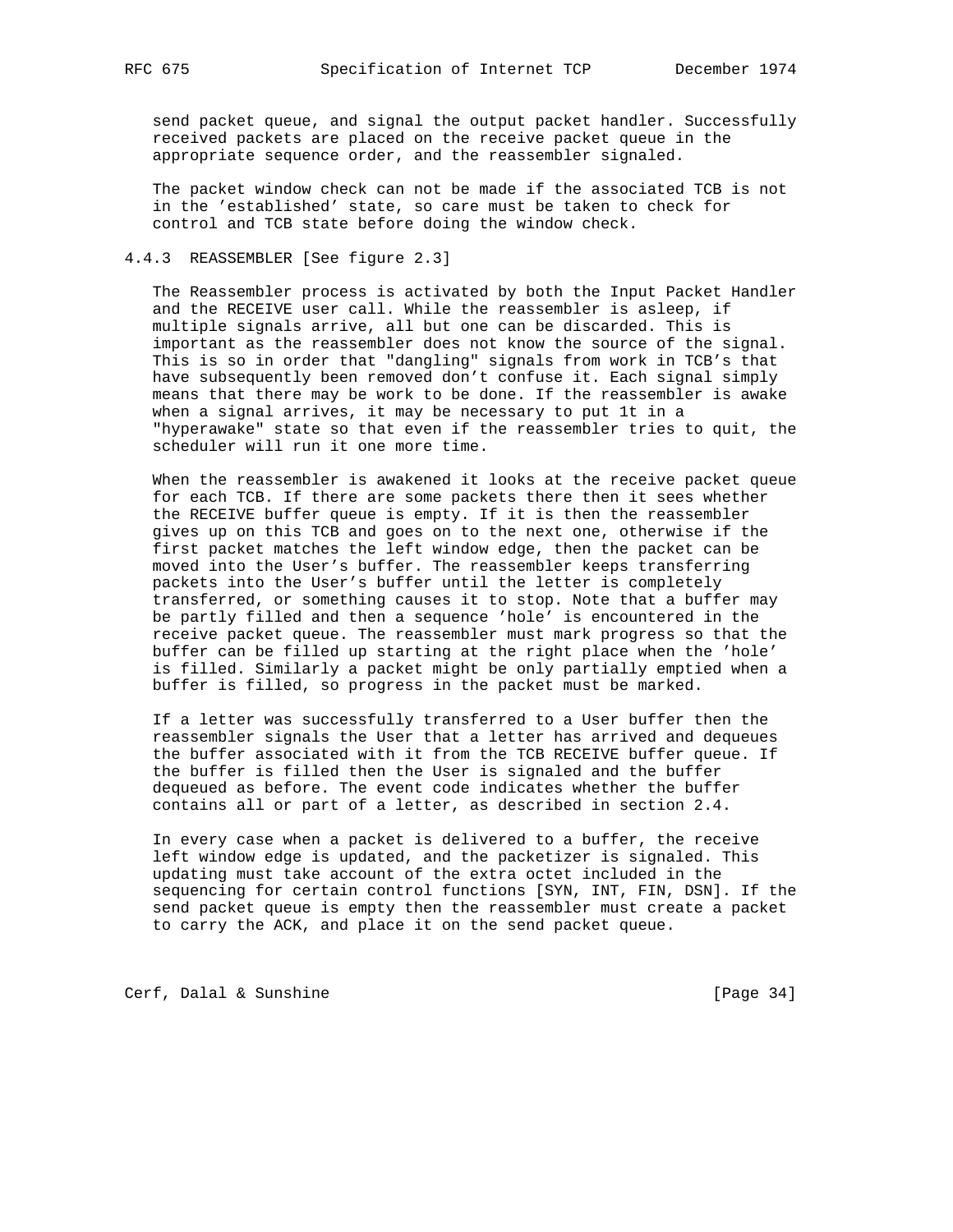send packet queue, and signal the output packet handler. Successfully received packets are placed on the receive packet queue in the appropriate sequence order, and the reassembler signaled.

 The packet window check can not be made if the associated TCB is not in the 'established' state, so care must be taken to check for control and TCB state before doing the window check.

### 4.4.3 REASSEMBLER [See figure 2.3]

 The Reassembler process is activated by both the Input Packet Handler and the RECEIVE user call. While the reassembler is asleep, if multiple signals arrive, all but one can be discarded. This is important as the reassembler does not know the source of the signal. This is so in order that "dangling" signals from work in TCB's that have subsequently been removed don't confuse it. Each signal simply means that there may be work to be done. If the reassembler is awake when a signal arrives, it may be necessary to put 1t in a "hyperawake" state so that even if the reassembler tries to quit, the scheduler will run it one more time.

 When the reassembler is awakened it looks at the receive packet queue for each TCB. If there are some packets there then it sees whether the RECEIVE buffer queue is empty. If it is then the reassembler gives up on this TCB and goes on to the next one, otherwise if the first packet matches the left window edge, then the packet can be moved into the User's buffer. The reassembler keeps transferring packets into the User's buffer until the letter is completely transferred, or something causes it to stop. Note that a buffer may be partly filled and then a sequence 'hole' is encountered in the receive packet queue. The reassembler must mark progress so that the buffer can be filled up starting at the right place when the 'hole' is filled. Similarly a packet might be only partially emptied when a buffer is filled, so progress in the packet must be marked.

 If a letter was successfully transferred to a User buffer then the reassembler signals the User that a letter has arrived and dequeues the buffer associated with it from the TCB RECEIVE buffer queue. If the buffer is filled then the User is signaled and the buffer dequeued as before. The event code indicates whether the buffer contains all or part of a letter, as described in section 2.4.

 In every case when a packet is delivered to a buffer, the receive left window edge is updated, and the packetizer is signaled. This updating must take account of the extra octet included in the sequencing for certain control functions [SYN, INT, FIN, DSN]. If the send packet queue is empty then the reassembler must create a packet to carry the ACK, and place it on the send packet queue.

Cerf, Dalal & Sunshine [Page 34]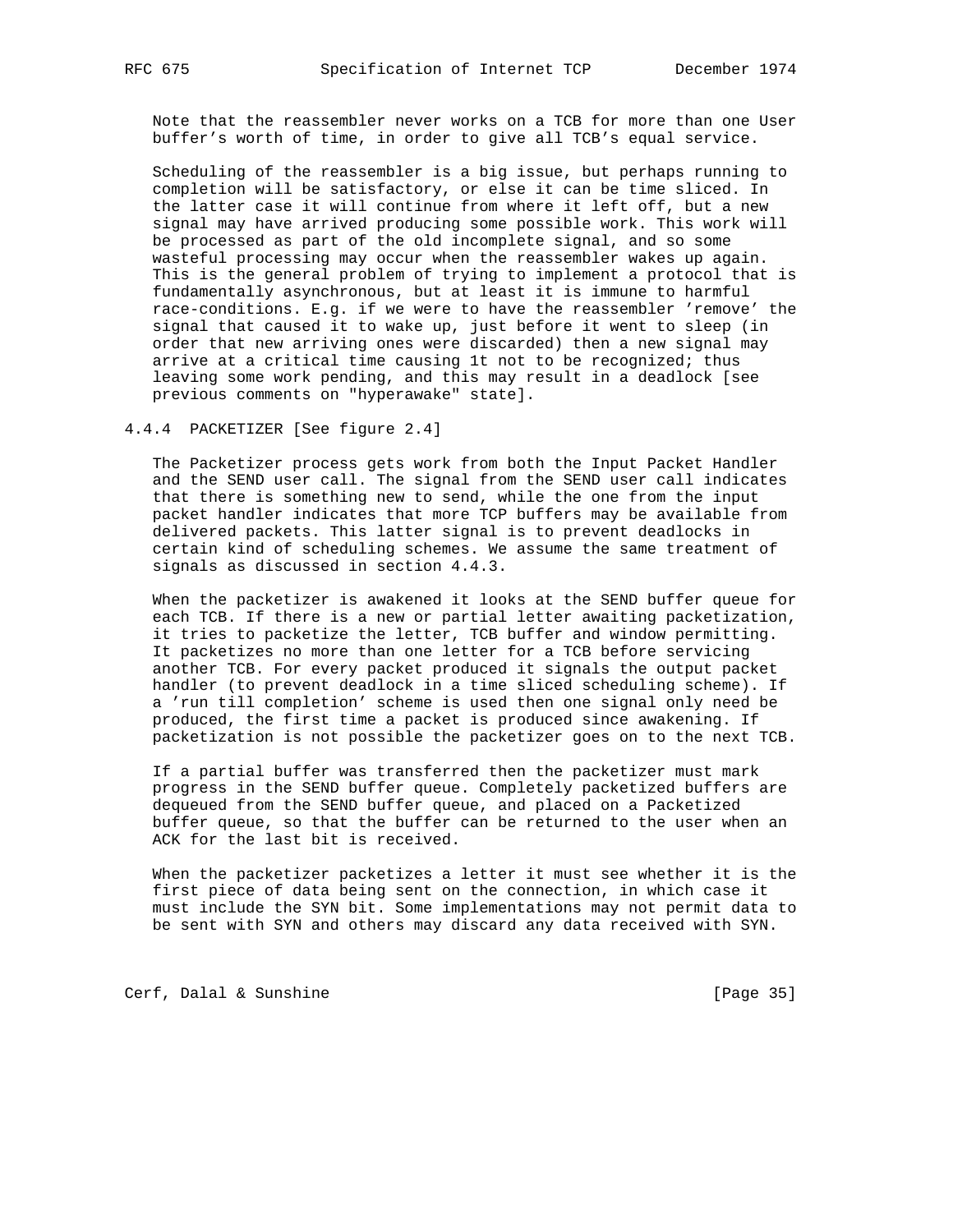Note that the reassembler never works on a TCB for more than one User buffer's worth of time, in order to give all TCB's equal service.

 Scheduling of the reassembler is a big issue, but perhaps running to completion will be satisfactory, or else it can be time sliced. In the latter case it will continue from where it left off, but a new signal may have arrived producing some possible work. This work will be processed as part of the old incomplete signal, and so some wasteful processing may occur when the reassembler wakes up again. This is the general problem of trying to implement a protocol that is fundamentally asynchronous, but at least it is immune to harmful race-conditions. E.g. if we were to have the reassembler 'remove' the signal that caused it to wake up, just before it went to sleep (in order that new arriving ones were discarded) then a new signal may arrive at a critical time causing 1t not to be recognized; thus leaving some work pending, and this may result in a deadlock [see previous comments on "hyperawake" state].

4.4.4 PACKETIZER [See figure 2.4]

 The Packetizer process gets work from both the Input Packet Handler and the SEND user call. The signal from the SEND user call indicates that there is something new to send, while the one from the input packet handler indicates that more TCP buffers may be available from delivered packets. This latter signal is to prevent deadlocks in certain kind of scheduling schemes. We assume the same treatment of signals as discussed in section 4.4.3.

 When the packetizer is awakened it looks at the SEND buffer queue for each TCB. If there is a new or partial letter awaiting packetization, it tries to packetize the letter, TCB buffer and window permitting. It packetizes no more than one letter for a TCB before servicing another TCB. For every packet produced it signals the output packet handler (to prevent deadlock in a time sliced scheduling scheme). If a 'run till completion' scheme is used then one signal only need be produced, the first time a packet is produced since awakening. If packetization is not possible the packetizer goes on to the next TCB.

 If a partial buffer was transferred then the packetizer must mark progress in the SEND buffer queue. Completely packetized buffers are dequeued from the SEND buffer queue, and placed on a Packetized buffer queue, so that the buffer can be returned to the user when an ACK for the last bit is received.

 When the packetizer packetizes a letter it must see whether it is the first piece of data being sent on the connection, in which case it must include the SYN bit. Some implementations may not permit data to be sent with SYN and others may discard any data received with SYN.

Cerf, Dalal & Sunshine [Page 35]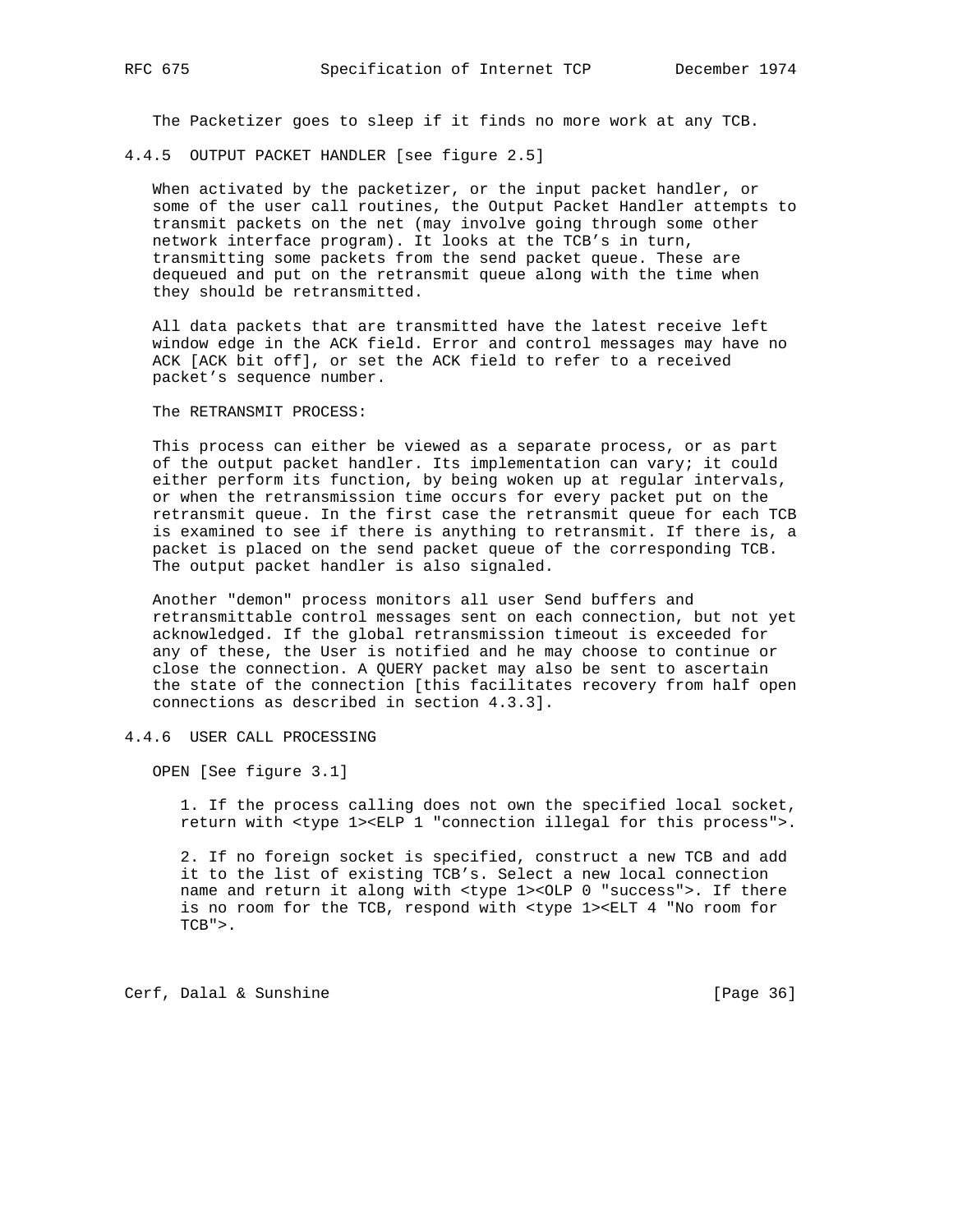The Packetizer goes to sleep if it finds no more work at any TCB.

4.4.5 OUTPUT PACKET HANDLER [see figure 2.5]

 When activated by the packetizer, or the input packet handler, or some of the user call routines, the Output Packet Handler attempts to transmit packets on the net (may involve going through some other network interface program). It looks at the TCB's in turn, transmitting some packets from the send packet queue. These are dequeued and put on the retransmit queue along with the time when they should be retransmitted.

 All data packets that are transmitted have the latest receive left window edge in the ACK field. Error and control messages may have no ACK [ACK bit off], or set the ACK field to refer to a received packet's sequence number.

The RETRANSMIT PROCESS:

 This process can either be viewed as a separate process, or as part of the output packet handler. Its implementation can vary; it could either perform its function, by being woken up at regular intervals, or when the retransmission time occurs for every packet put on the retransmit queue. In the first case the retransmit queue for each TCB is examined to see if there is anything to retransmit. If there is, a packet is placed on the send packet queue of the corresponding TCB. The output packet handler is also signaled.

 Another "demon" process monitors all user Send buffers and retransmittable control messages sent on each connection, but not yet acknowledged. If the global retransmission timeout is exceeded for any of these, the User is notified and he may choose to continue or close the connection. A QUERY packet may also be sent to ascertain the state of the connection [this facilitates recovery from half open connections as described in section 4.3.3].

4.4.6 USER CALL PROCESSING

OPEN [See figure 3.1]

 1. If the process calling does not own the specified local socket, return with <type 1><ELP 1 "connection illegal for this process">.

 2. If no foreign socket is specified, construct a new TCB and add it to the list of existing TCB's. Select a new local connection name and return it along with <type 1><OLP 0 "success">. If there is no room for the TCB, respond with <type 1><ELT 4 "No room for  $TCB"$ 

Cerf, Dalal & Sunshine [Page 36]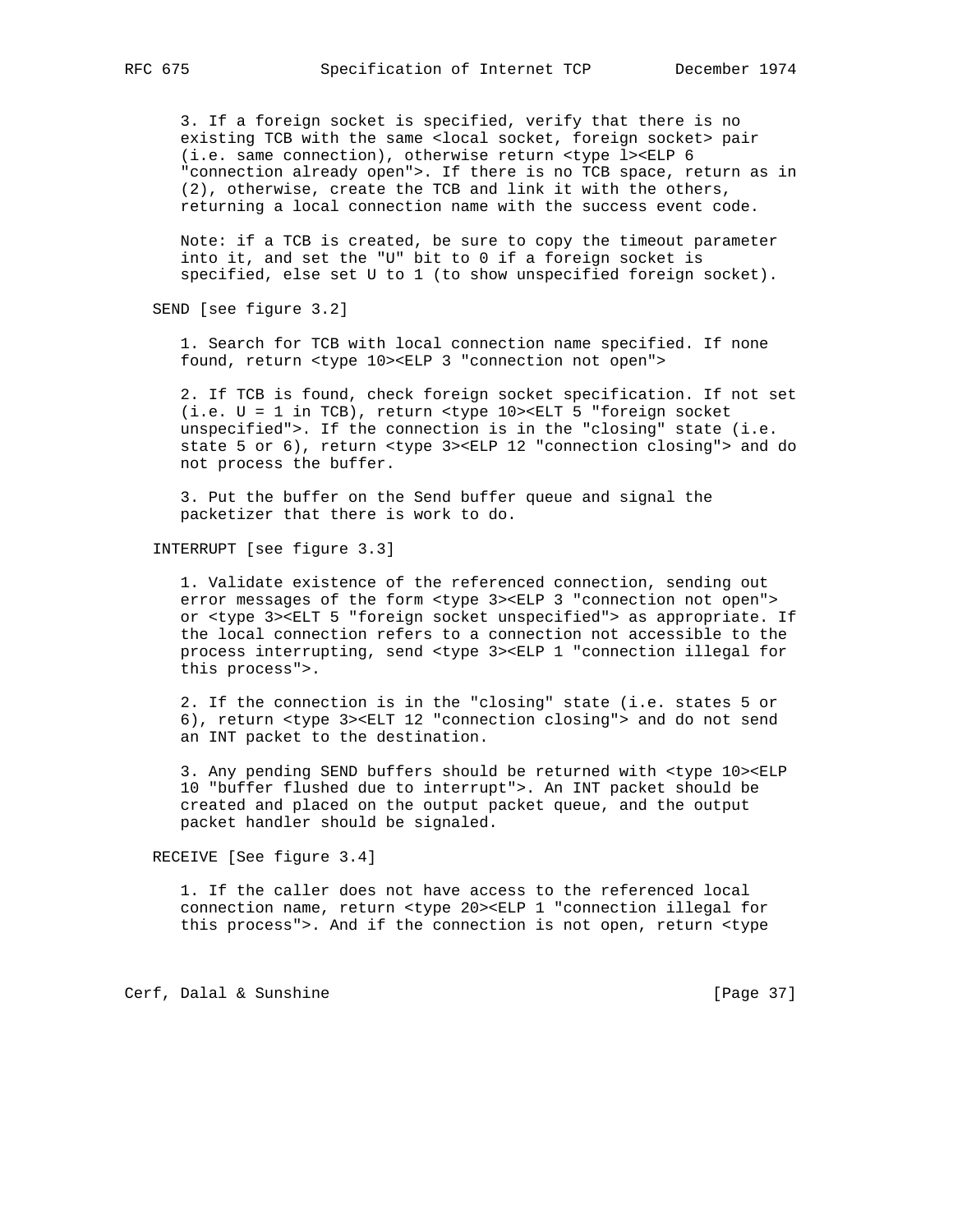3. If a foreign socket is specified, verify that there is no existing TCB with the same <local socket, foreign socket> pair (i.e. same connection), otherwise return <type l><ELP 6 "connection already open">. If there is no TCB space, return as in (2), otherwise, create the TCB and link it with the others, returning a local connection name with the success event code.

 Note: if a TCB is created, be sure to copy the timeout parameter into it, and set the "U" bit to 0 if a foreign socket is specified, else set U to 1 (to show unspecified foreign socket).

SEND [see figure 3.2]

 1. Search for TCB with local connection name specified. If none found, return <type 10><ELP 3 "connection not open">

 2. If TCB is found, check foreign socket specification. If not set (i.e. U = 1 in TCB), return <type 10><ELT 5 "foreign socket unspecified">. If the connection is in the "closing" state (i.e. state 5 or 6), return <type 3><ELP 12 "connection closing"> and do not process the buffer.

 3. Put the buffer on the Send buffer queue and signal the packetizer that there is work to do.

INTERRUPT [see figure 3.3]

 1. Validate existence of the referenced connection, sending out error messages of the form <type 3><ELP 3 "connection not open"> or <type 3><ELT 5 "foreign socket unspecified"> as appropriate. If the local connection refers to a connection not accessible to the process interrupting, send <type 3><ELP 1 "connection illegal for this process">.

 2. If the connection is in the "closing" state (i.e. states 5 or 6), return <type 3><ELT 12 "connection closing"> and do not send an INT packet to the destination.

 3. Any pending SEND buffers should be returned with <type 10><ELP 10 "buffer flushed due to interrupt">. An INT packet should be created and placed on the output packet queue, and the output packet handler should be signaled.

RECEIVE [See figure 3.4]

 1. If the caller does not have access to the referenced local connection name, return <type 20><ELP 1 "connection illegal for this process">. And if the connection is not open, return <type

Cerf, Dalal & Sunshine [Page 37]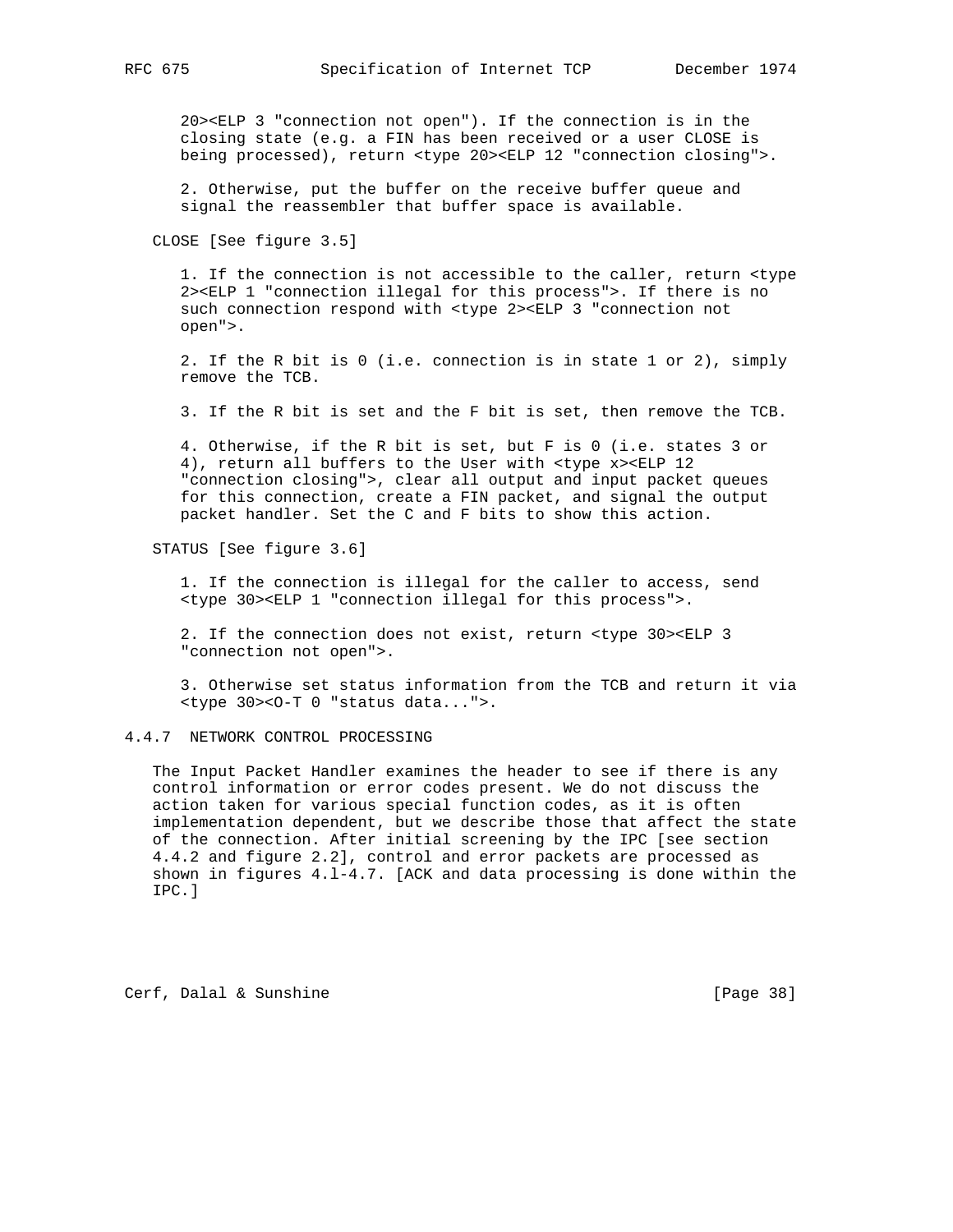20><ELP 3 "connection not open"). If the connection is in the closing state (e.g. a FIN has been received or a user CLOSE is being processed), return <type 20><ELP 12 "connection closing">.

 2. Otherwise, put the buffer on the receive buffer queue and signal the reassembler that buffer space is available.

CLOSE [See figure 3.5]

 1. If the connection is not accessible to the caller, return <type 2><ELP 1 "connection illegal for this process">. If there is no such connection respond with <type 2><ELP 3 "connection not open">.

 2. If the R bit is 0 (i.e. connection is in state 1 or 2), simply remove the TCB.

3. If the R bit is set and the F bit is set, then remove the TCB.

 4. Otherwise, if the R bit is set, but F is 0 (i.e. states 3 or 4), return all buffers to the User with <type x><ELP 12 "connection closing">, clear all output and input packet queues for this connection, create a FIN packet, and signal the output packet handler. Set the C and F bits to show this action.

STATUS [See figure 3.6]

 1. If the connection is illegal for the caller to access, send <type 30><ELP 1 "connection illegal for this process">.

 2. If the connection does not exist, return <type 30><ELP 3 "connection not open">.

 3. Otherwise set status information from the TCB and return it via <type 30><O-T 0 "status data...">.

4.4.7 NETWORK CONTROL PROCESSING

 The Input Packet Handler examines the header to see if there is any control information or error codes present. We do not discuss the action taken for various special function codes, as it is often implementation dependent, but we describe those that affect the state of the connection. After initial screening by the IPC [see section 4.4.2 and figure 2.2], control and error packets are processed as shown in figures 4.l-4.7. [ACK and data processing is done within the IPC.]

Cerf, Dalal & Sunshine [Page 38]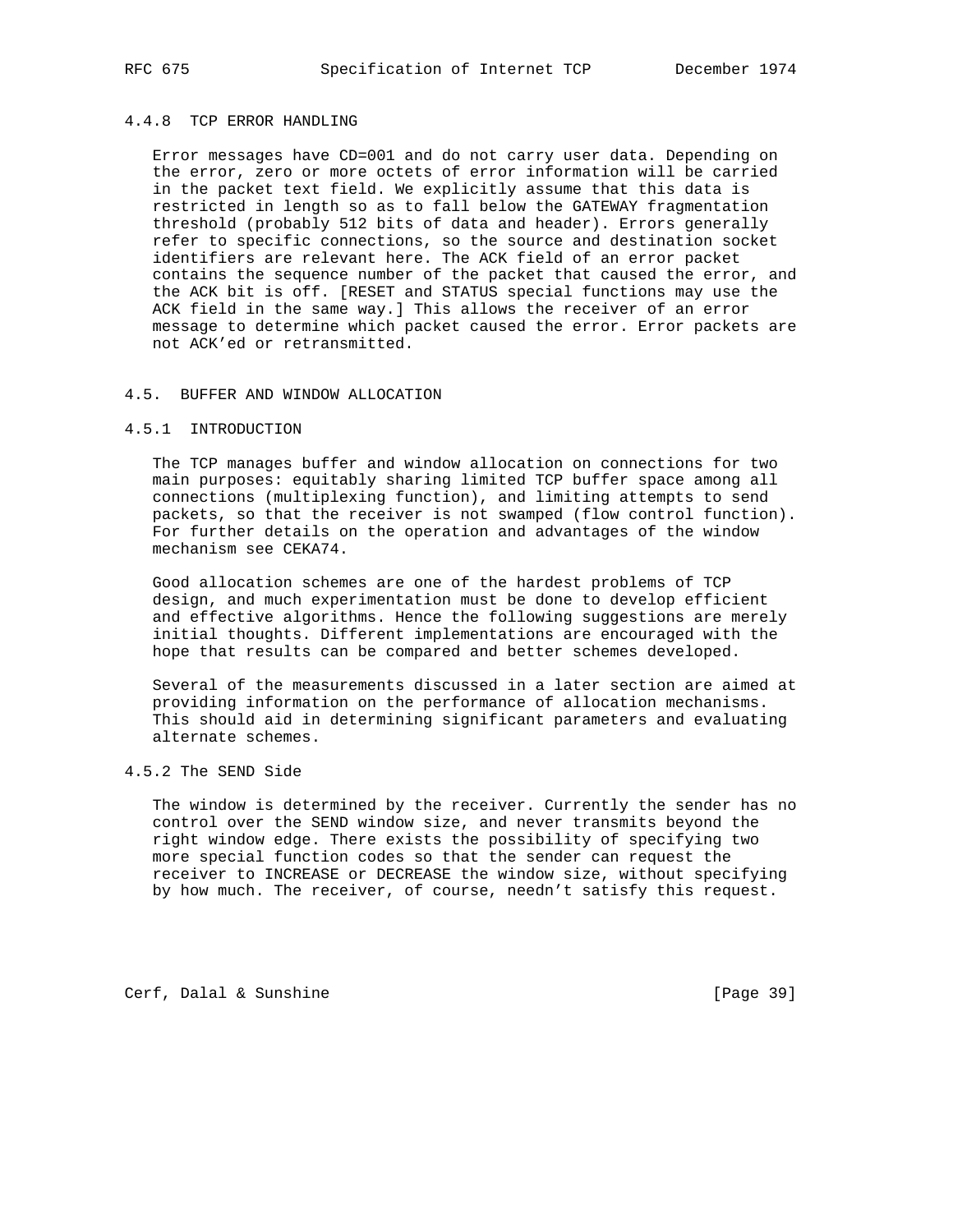## 4.4.8 TCP ERROR HANDLING

 Error messages have CD=001 and do not carry user data. Depending on the error, zero or more octets of error information will be carried in the packet text field. We explicitly assume that this data is restricted in length so as to fall below the GATEWAY fragmentation threshold (probably 512 bits of data and header). Errors generally refer to specific connections, so the source and destination socket identifiers are relevant here. The ACK field of an error packet contains the sequence number of the packet that caused the error, and the ACK bit is off. [RESET and STATUS special functions may use the ACK field in the same way.] This allows the receiver of an error message to determine which packet caused the error. Error packets are not ACK'ed or retransmitted.

#### 4.5. BUFFER AND WINDOW ALLOCATION

### 4.5.1 INTRODUCTION

 The TCP manages buffer and window allocation on connections for two main purposes: equitably sharing limited TCP buffer space among all connections (multiplexing function), and limiting attempts to send packets, so that the receiver is not swamped (flow control function). For further details on the operation and advantages of the window mechanism see CEKA74.

 Good allocation schemes are one of the hardest problems of TCP design, and much experimentation must be done to develop efficient and effective algorithms. Hence the following suggestions are merely initial thoughts. Different implementations are encouraged with the hope that results can be compared and better schemes developed.

 Several of the measurements discussed in a later section are aimed at providing information on the performance of allocation mechanisms. This should aid in determining significant parameters and evaluating alternate schemes.

## 4.5.2 The SEND Side

 The window is determined by the receiver. Currently the sender has no control over the SEND window size, and never transmits beyond the right window edge. There exists the possibility of specifying two more special function codes so that the sender can request the receiver to INCREASE or DECREASE the window size, without specifying by how much. The receiver, of course, needn't satisfy this request.

Cerf, Dalal & Sunshine [Page 39]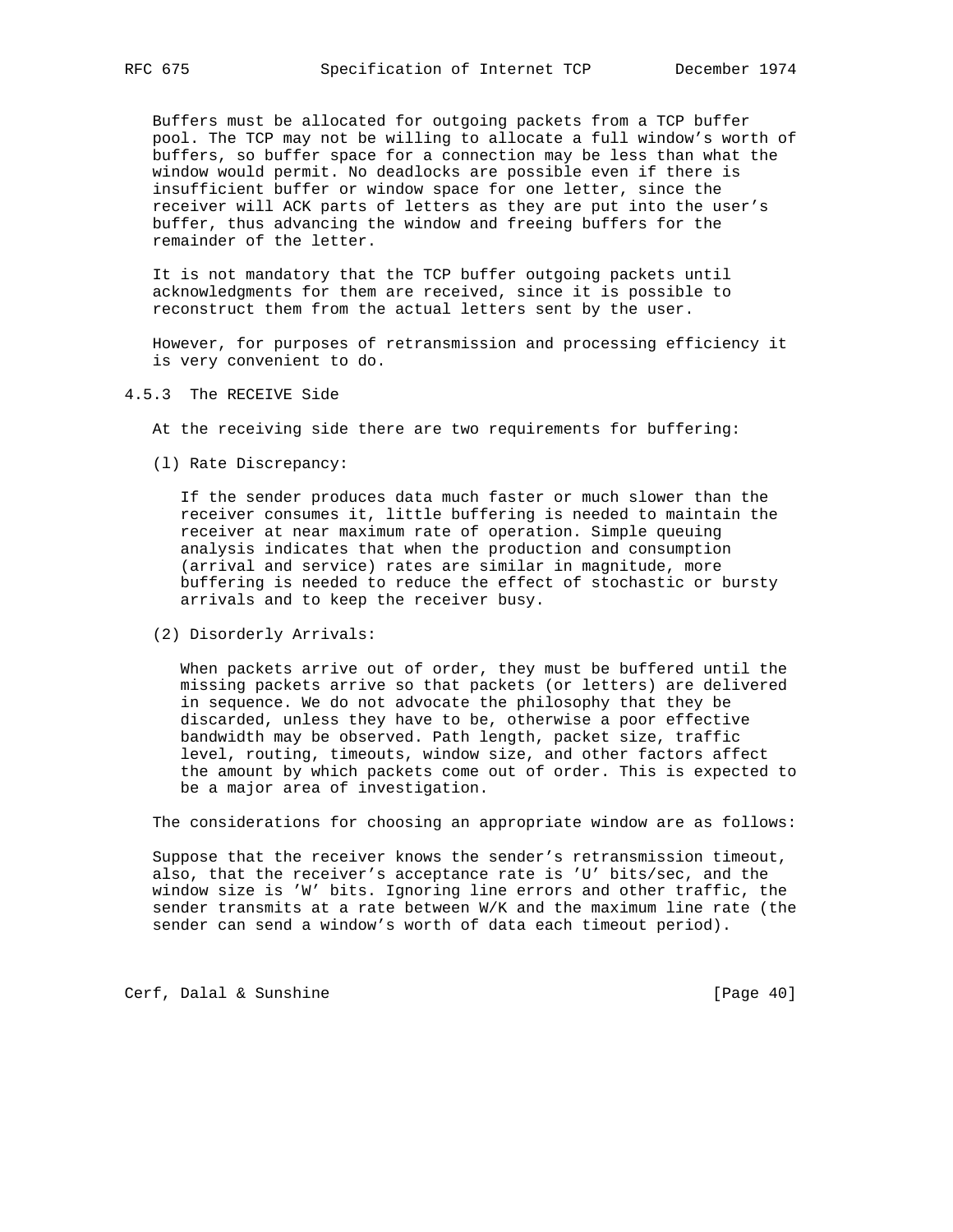Buffers must be allocated for outgoing packets from a TCP buffer pool. The TCP may not be willing to allocate a full window's worth of buffers, so buffer space for a connection may be less than what the window would permit. No deadlocks are possible even if there is insufficient buffer or window space for one letter, since the receiver will ACK parts of letters as they are put into the user's buffer, thus advancing the window and freeing buffers for the remainder of the letter.

 It is not mandatory that the TCP buffer outgoing packets until acknowledgments for them are received, since it is possible to reconstruct them from the actual letters sent by the user.

 However, for purposes of retransmission and processing efficiency it is very convenient to do.

4.5.3 The RECEIVE Side

At the receiving side there are two requirements for buffering:

(l) Rate Discrepancy:

 If the sender produces data much faster or much slower than the receiver consumes it, little buffering is needed to maintain the receiver at near maximum rate of operation. Simple queuing analysis indicates that when the production and consumption (arrival and service) rates are similar in magnitude, more buffering is needed to reduce the effect of stochastic or bursty arrivals and to keep the receiver busy.

(2) Disorderly Arrivals:

 When packets arrive out of order, they must be buffered until the missing packets arrive so that packets (or letters) are delivered in sequence. We do not advocate the philosophy that they be discarded, unless they have to be, otherwise a poor effective bandwidth may be observed. Path length, packet size, traffic level, routing, timeouts, window size, and other factors affect the amount by which packets come out of order. This is expected to be a major area of investigation.

The considerations for choosing an appropriate window are as follows:

 Suppose that the receiver knows the sender's retransmission timeout, also, that the receiver's acceptance rate is 'U' bits/sec, and the window size is 'W' bits. Ignoring line errors and other traffic, the sender transmits at a rate between W/K and the maximum line rate (the sender can send a window's worth of data each timeout period).

Cerf, Dalal & Sunshine [Page 40]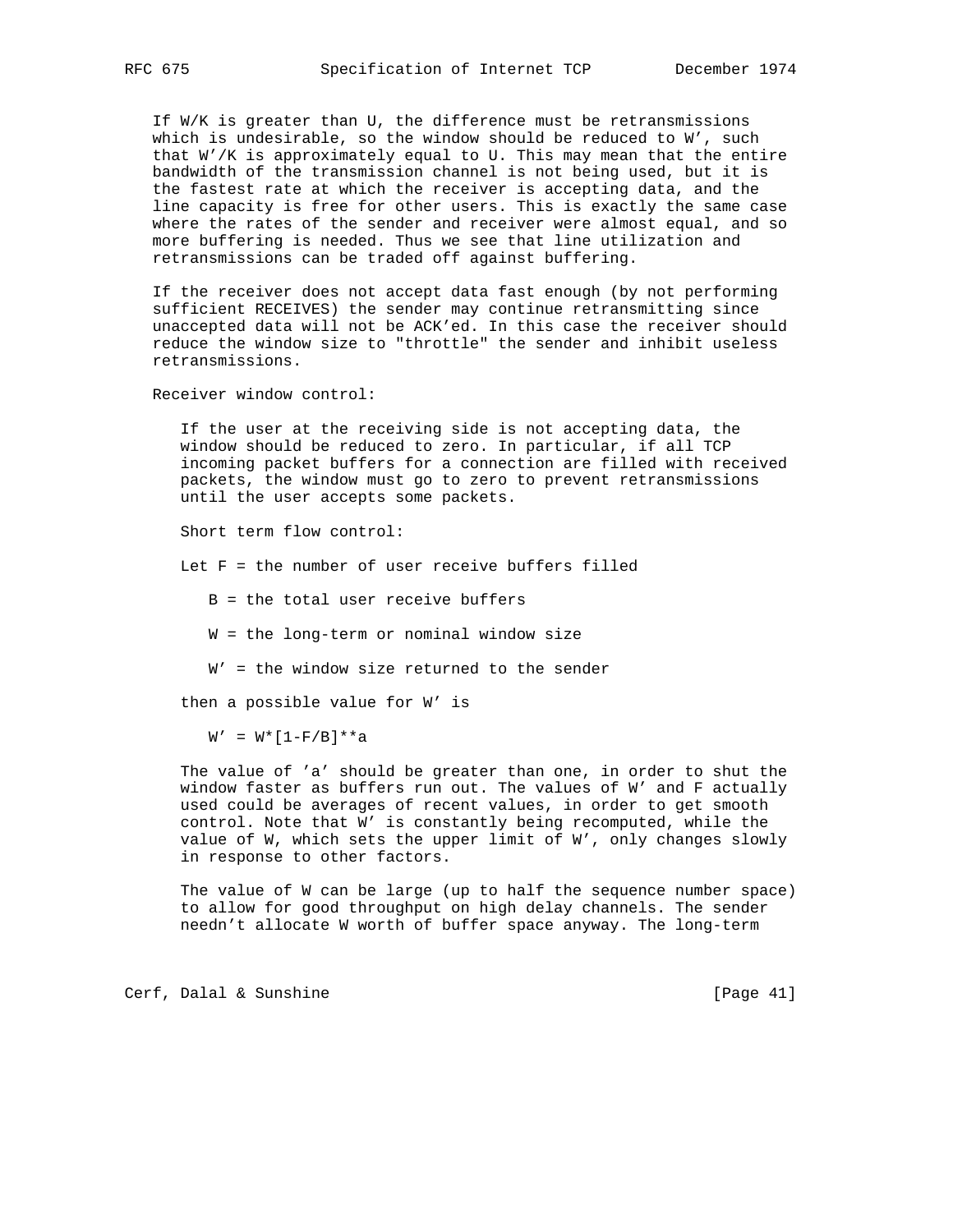If W/K is greater than U, the difference must be retransmissions which is undesirable, so the window should be reduced to W', such that W'/K is approximately equal to U. This may mean that the entire bandwidth of the transmission channel is not being used, but it is the fastest rate at which the receiver is accepting data, and the line capacity is free for other users. This is exactly the same case where the rates of the sender and receiver were almost equal, and so more buffering is needed. Thus we see that line utilization and retransmissions can be traded off against buffering.

 If the receiver does not accept data fast enough (by not performing sufficient RECEIVES) the sender may continue retransmitting since unaccepted data will not be ACK'ed. In this case the receiver should reduce the window size to "throttle" the sender and inhibit useless retransmissions.

Receiver window control:

 If the user at the receiving side is not accepting data, the window should be reduced to zero. In particular, if all TCP incoming packet buffers for a connection are filled with received packets, the window must go to zero to prevent retransmissions until the user accepts some packets.

Short term flow control:

Let  $F =$  the number of user receive buffers filled

B = the total user receive buffers

W = the long-term or nominal window size

W' = the window size returned to the sender

then a possible value for W' is

 $W' = W^*[1-F/B]^*a$ 

 The value of 'a' should be greater than one, in order to shut the window faster as buffers run out. The values of W' and F actually used could be averages of recent values, in order to get smooth control. Note that W' is constantly being recomputed, while the value of W, which sets the upper limit of W', only changes slowly in response to other factors.

 The value of W can be large (up to half the sequence number space) to allow for good throughput on high delay channels. The sender needn't allocate W worth of buffer space anyway. The long-term

Cerf, Dalal & Sunshine [Page 41]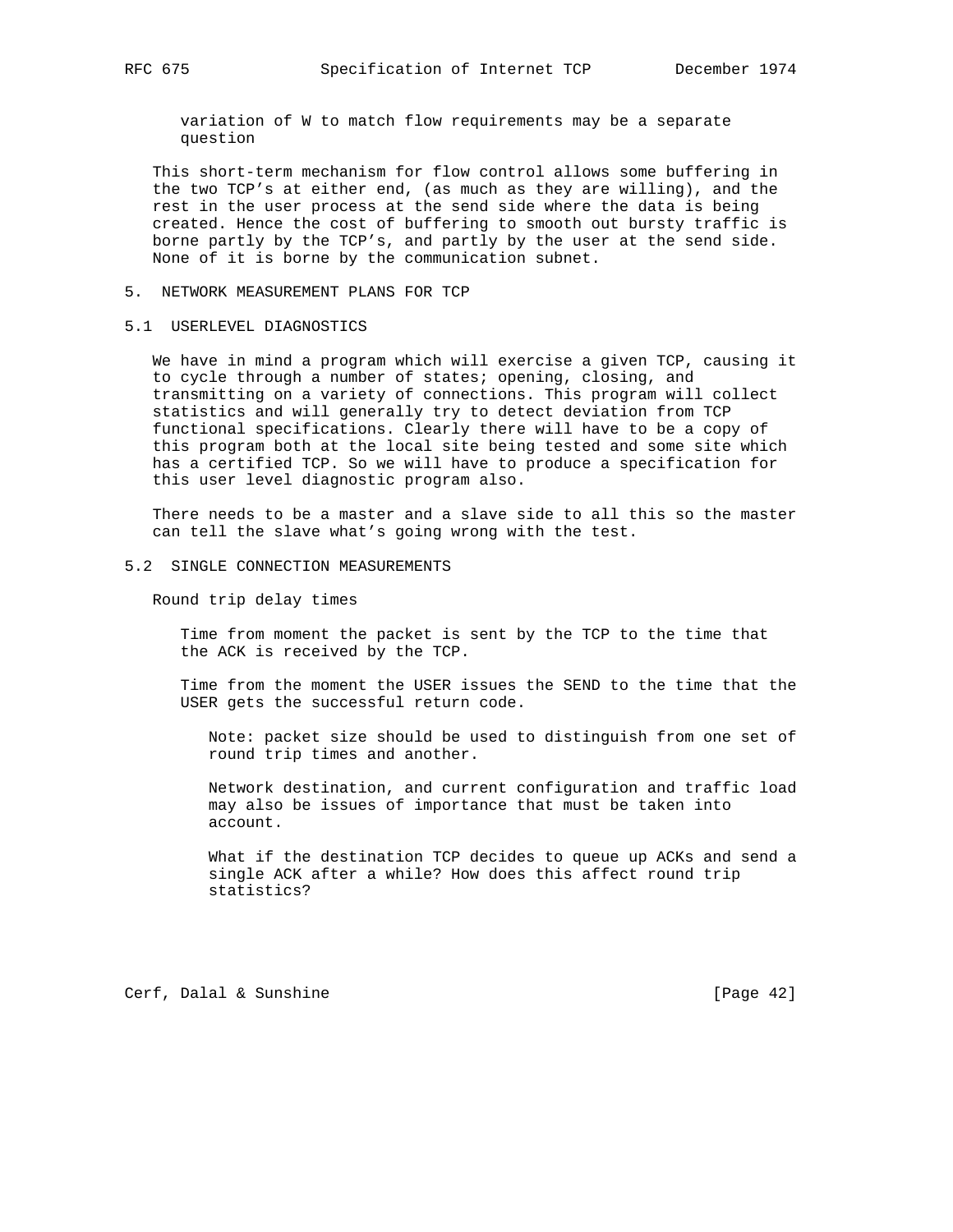variation of W to match flow requirements may be a separate question

 This short-term mechanism for flow control allows some buffering in the two TCP's at either end, (as much as they are willing), and the rest in the user process at the send side where the data is being created. Hence the cost of buffering to smooth out bursty traffic is borne partly by the TCP's, and partly by the user at the send side. None of it is borne by the communication subnet.

- 5. NETWORK MEASUREMENT PLANS FOR TCP
- 5.1 USERLEVEL DIAGNOSTICS

 We have in mind a program which will exercise a given TCP, causing it to cycle through a number of states; opening, closing, and transmitting on a variety of connections. This program will collect statistics and will generally try to detect deviation from TCP functional specifications. Clearly there will have to be a copy of this program both at the local site being tested and some site which has a certified TCP. So we will have to produce a specification for this user level diagnostic program also.

 There needs to be a master and a slave side to all this so the master can tell the slave what's going wrong with the test.

5.2 SINGLE CONNECTION MEASUREMENTS

Round trip delay times

 Time from moment the packet is sent by the TCP to the time that the ACK is received by the TCP.

 Time from the moment the USER issues the SEND to the time that the USER gets the successful return code.

 Note: packet size should be used to distinguish from one set of round trip times and another.

 Network destination, and current configuration and traffic load may also be issues of importance that must be taken into account.

 What if the destination TCP decides to queue up ACKs and send a single ACK after a while? How does this affect round trip statistics?

Cerf, Dalal & Sunshine [Page 42]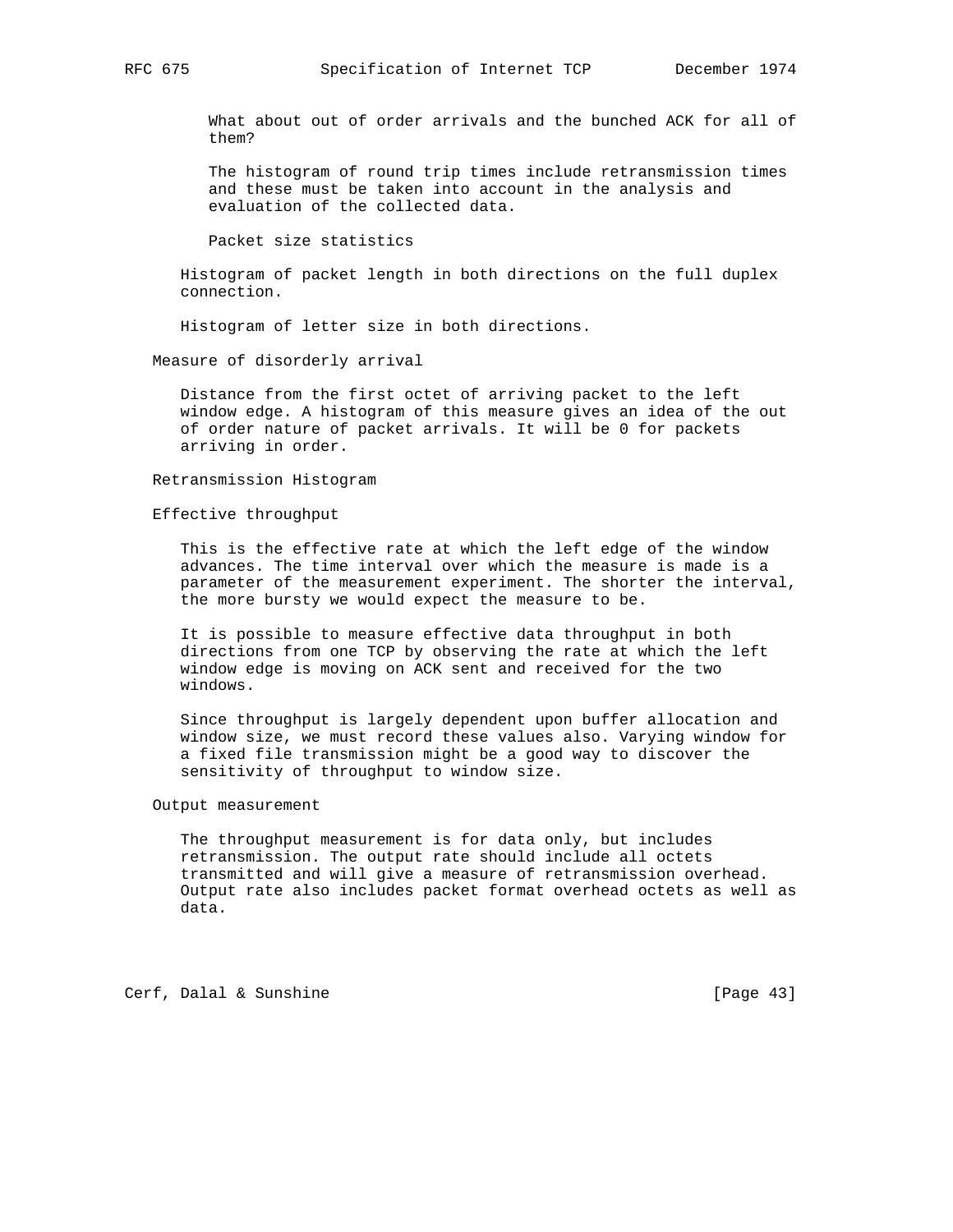What about out of order arrivals and the bunched ACK for all of them?

 The histogram of round trip times include retransmission times and these must be taken into account in the analysis and evaluation of the collected data.

Packet size statistics

 Histogram of packet length in both directions on the full duplex connection.

Histogram of letter size in both directions.

Measure of disorderly arrival

 Distance from the first octet of arriving packet to the left window edge. A histogram of this measure gives an idea of the out of order nature of packet arrivals. It will be 0 for packets arriving in order.

Retransmission Histogram

Effective throughput

 This is the effective rate at which the left edge of the window advances. The time interval over which the measure is made is a parameter of the measurement experiment. The shorter the interval, the more bursty we would expect the measure to be.

 It is possible to measure effective data throughput in both directions from one TCP by observing the rate at which the left window edge is moving on ACK sent and received for the two windows.

 Since throughput is largely dependent upon buffer allocation and window size, we must record these values also. Varying window for a fixed file transmission might be a good way to discover the sensitivity of throughput to window size.

Output measurement

 The throughput measurement is for data only, but includes retransmission. The output rate should include all octets transmitted and will give a measure of retransmission overhead. Output rate also includes packet format overhead octets as well as data.

Cerf, Dalal & Sunshine [Page 43]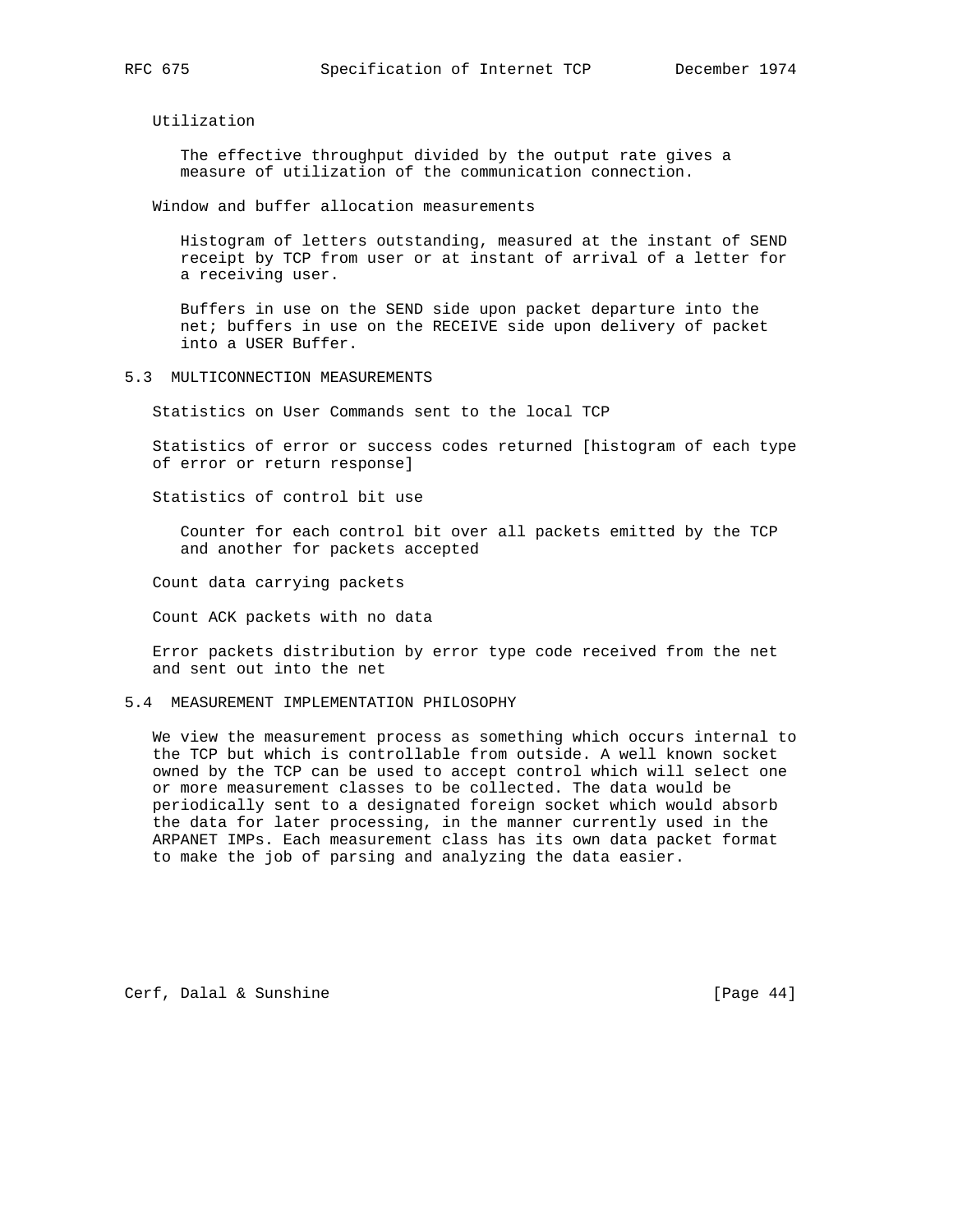Utilization

 The effective throughput divided by the output rate gives a measure of utilization of the communication connection.

Window and buffer allocation measurements

 Histogram of letters outstanding, measured at the instant of SEND receipt by TCP from user or at instant of arrival of a letter for a receiving user.

 Buffers in use on the SEND side upon packet departure into the net; buffers in use on the RECEIVE side upon delivery of packet into a USER Buffer.

#### 5.3 MULTICONNECTION MEASUREMENTS

Statistics on User Commands sent to the local TCP

 Statistics of error or success codes returned [histogram of each type of error or return response]

Statistics of control bit use

 Counter for each control bit over all packets emitted by the TCP and another for packets accepted

Count data carrying packets

Count ACK packets with no data

 Error packets distribution by error type code received from the net and sent out into the net

## 5.4 MEASUREMENT IMPLEMENTATION PHILOSOPHY

 We view the measurement process as something which occurs internal to the TCP but which is controllable from outside. A well known socket owned by the TCP can be used to accept control which will select one or more measurement classes to be collected. The data would be periodically sent to a designated foreign socket which would absorb the data for later processing, in the manner currently used in the ARPANET IMPs. Each measurement class has its own data packet format to make the job of parsing and analyzing the data easier.

Cerf, Dalal & Sunshine [Page 44]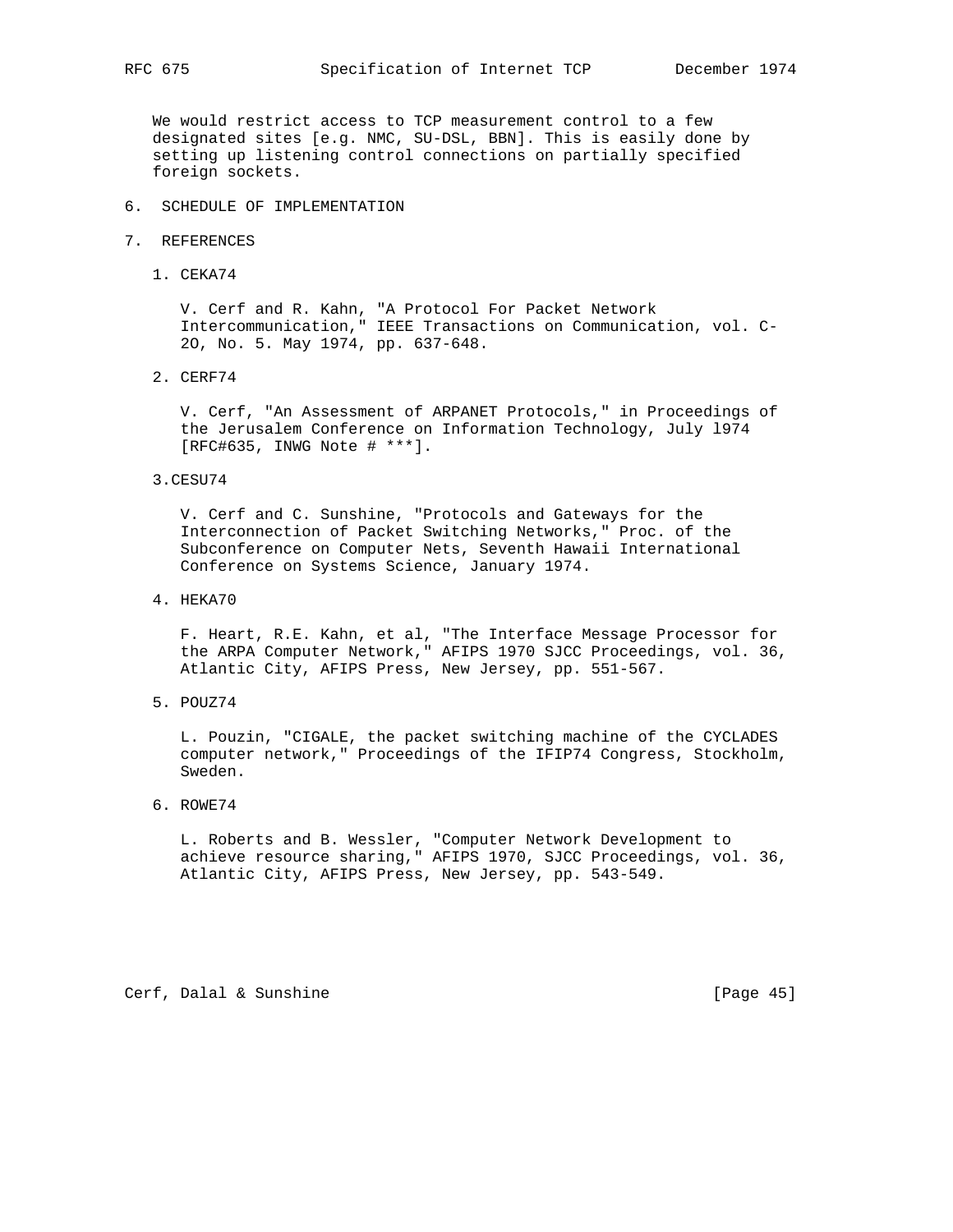We would restrict access to TCP measurement control to a few designated sites [e.g. NMC, SU-DSL, BBN]. This is easily done by setting up listening control connections on partially specified foreign sockets.

- 6. SCHEDULE OF IMPLEMENTATION
- 7. REFERENCES
	- 1. CEKA74

 V. Cerf and R. Kahn, "A Protocol For Packet Network Intercommunication," IEEE Transactions on Communication, vol. C- 2O, No. 5. May 1974, pp. 637-648.

2. CERF74

 V. Cerf, "An Assessment of ARPANET Protocols," in Proceedings of the Jerusalem Conference on Information Technology, July l974 [RFC#635, INWG Note # \*\*\*].

3.CESU74

 V. Cerf and C. Sunshine, "Protocols and Gateways for the Interconnection of Packet Switching Networks," Proc. of the Subconference on Computer Nets, Seventh Hawaii International Conference on Systems Science, January 1974.

4. HEKA70

 F. Heart, R.E. Kahn, et al, "The Interface Message Processor for the ARPA Computer Network," AFIPS 1970 SJCC Proceedings, vol. 36, Atlantic City, AFIPS Press, New Jersey, pp. 551-567.

5. POUZ74

 L. Pouzin, "CIGALE, the packet switching machine of the CYCLADES computer network," Proceedings of the IFIP74 Congress, Stockholm, Sweden.

6. ROWE74

 L. Roberts and B. Wessler, "Computer Network Development to achieve resource sharing," AFIPS 1970, SJCC Proceedings, vol. 36, Atlantic City, AFIPS Press, New Jersey, pp. 543-549.

Cerf, Dalal & Sunshine [Page 45]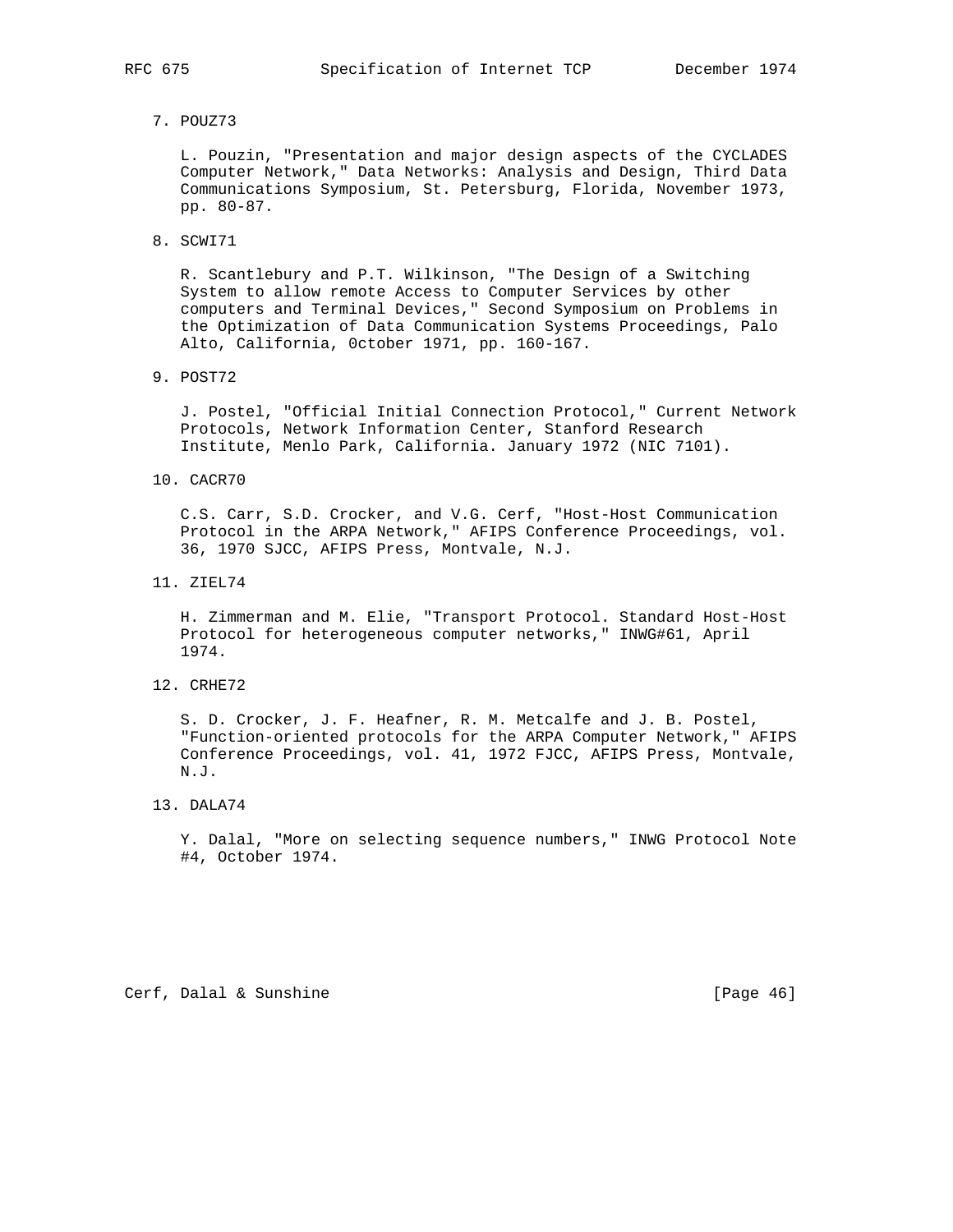- - 7. POUZ73

 L. Pouzin, "Presentation and major design aspects of the CYCLADES Computer Network," Data Networks: Analysis and Design, Third Data Communications Symposium, St. Petersburg, Florida, November 1973, pp. 80-87.

8. SCWI71

 R. Scantlebury and P.T. Wilkinson, "The Design of a Switching System to allow remote Access to Computer Services by other computers and Terminal Devices," Second Symposium on Problems in the Optimization of Data Communication Systems Proceedings, Palo Alto, California, 0ctober 1971, pp. 160-167.

9. POST72

 J. Postel, "Official Initial Connection Protocol," Current Network Protocols, Network Information Center, Stanford Research Institute, Menlo Park, California. January 1972 (NIC 7101).

10. CACR70

 C.S. Carr, S.D. Crocker, and V.G. Cerf, "Host-Host Communication Protocol in the ARPA Network," AFIPS Conference Proceedings, vol. 36, 1970 SJCC, AFIPS Press, Montvale, N.J.

11. ZIEL74

 H. Zimmerman and M. Elie, "Transport Protocol. Standard Host-Host Protocol for heterogeneous computer networks," INWG#61, April 1974.

12. CRHE72

 S. D. Crocker, J. F. Heafner, R. M. Metcalfe and J. B. Postel, "Function-oriented protocols for the ARPA Computer Network," AFIPS Conference Proceedings, vol. 41, 1972 FJCC, AFIPS Press, Montvale, N.J.

13. DALA74

 Y. Dalal, "More on selecting sequence numbers," INWG Protocol Note #4, October 1974.

Cerf, Dalal & Sunshine [Page 46]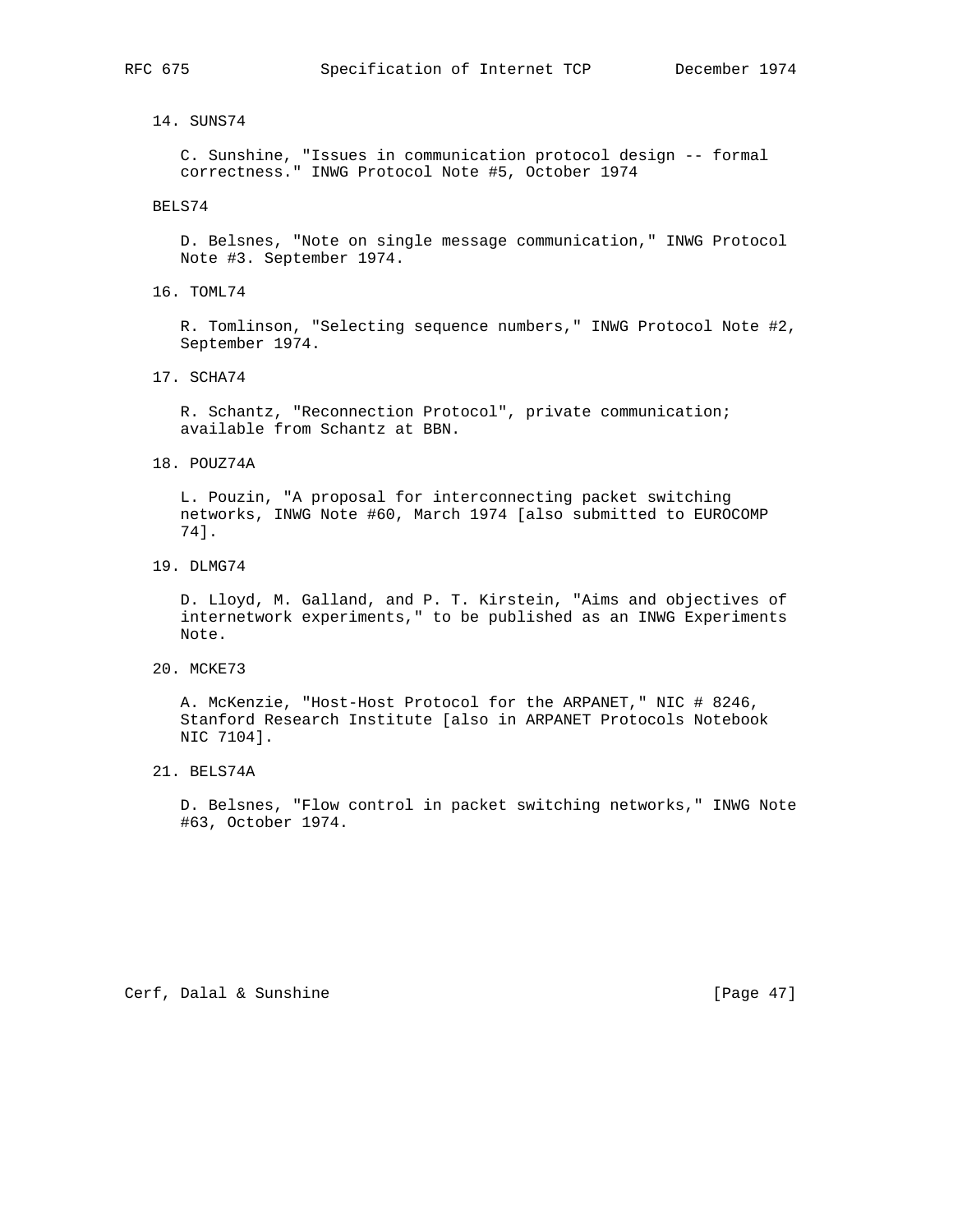14. SUNS74

 C. Sunshine, "Issues in communication protocol design -- formal correctness." INWG Protocol Note #5, October 1974

BELS74

 D. Belsnes, "Note on single message communication," INWG Protocol Note #3. September 1974.

16. TOML74

 R. Tomlinson, "Selecting sequence numbers," INWG Protocol Note #2, September 1974.

17. SCHA74

 R. Schantz, "Reconnection Protocol", private communication; available from Schantz at BBN.

18. POUZ74A

 L. Pouzin, "A proposal for interconnecting packet switching networks, INWG Note #60, March 1974 [also submitted to EUROCOMP 74].

19. DLMG74

 D. Lloyd, M. Galland, and P. T. Kirstein, "Aims and objectives of internetwork experiments," to be published as an INWG Experiments Note.

20. MCKE73

 A. McKenzie, "Host-Host Protocol for the ARPANET," NIC # 8246, Stanford Research Institute [also in ARPANET Protocols Notebook NIC 7104].

21. BELS74A

 D. Belsnes, "Flow control in packet switching networks," INWG Note #63, October 1974.

Cerf, Dalal & Sunshine [Page 47]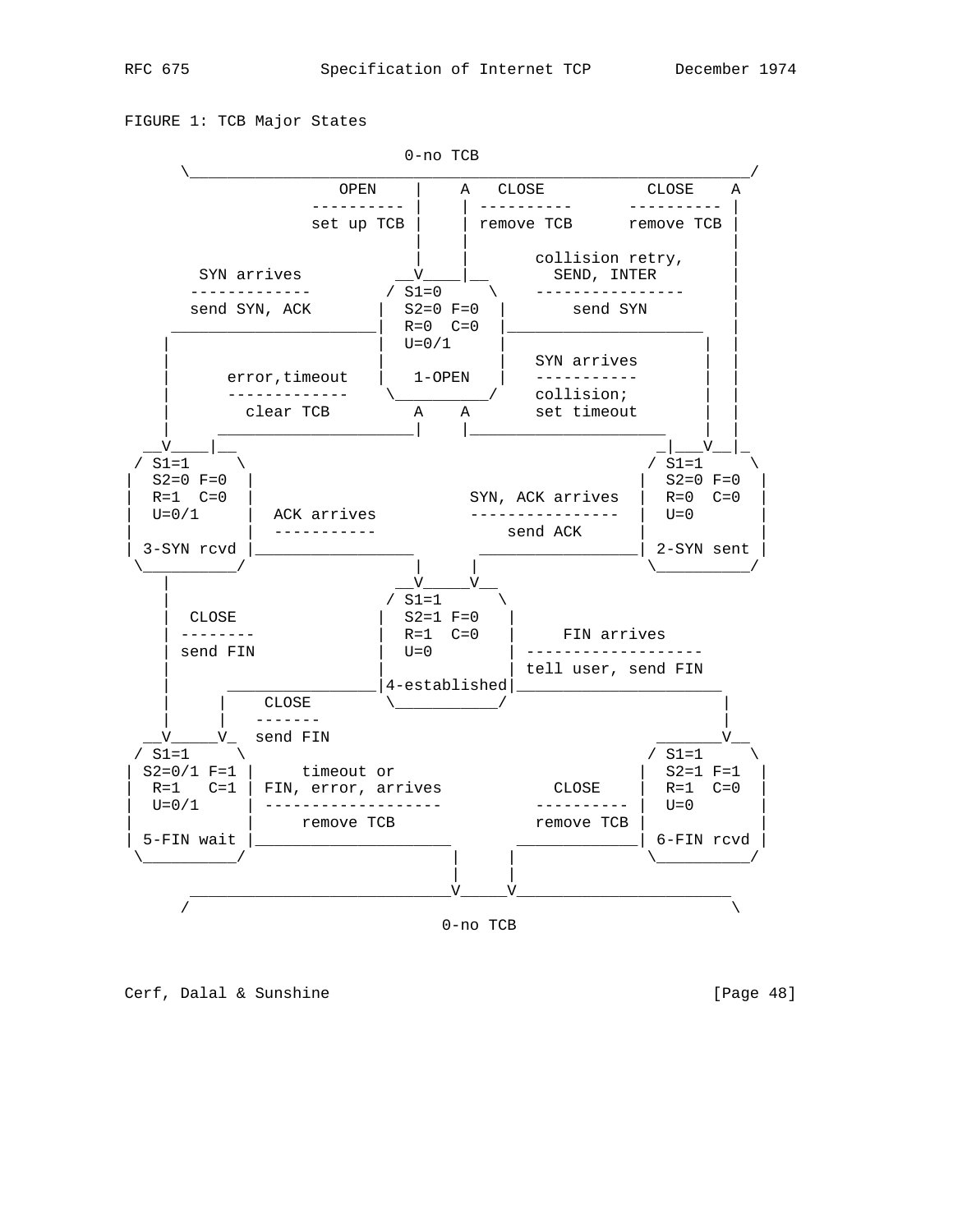FIGURE 1: TCB Major States





Cerf, Dalal & Sunshine [Page 48]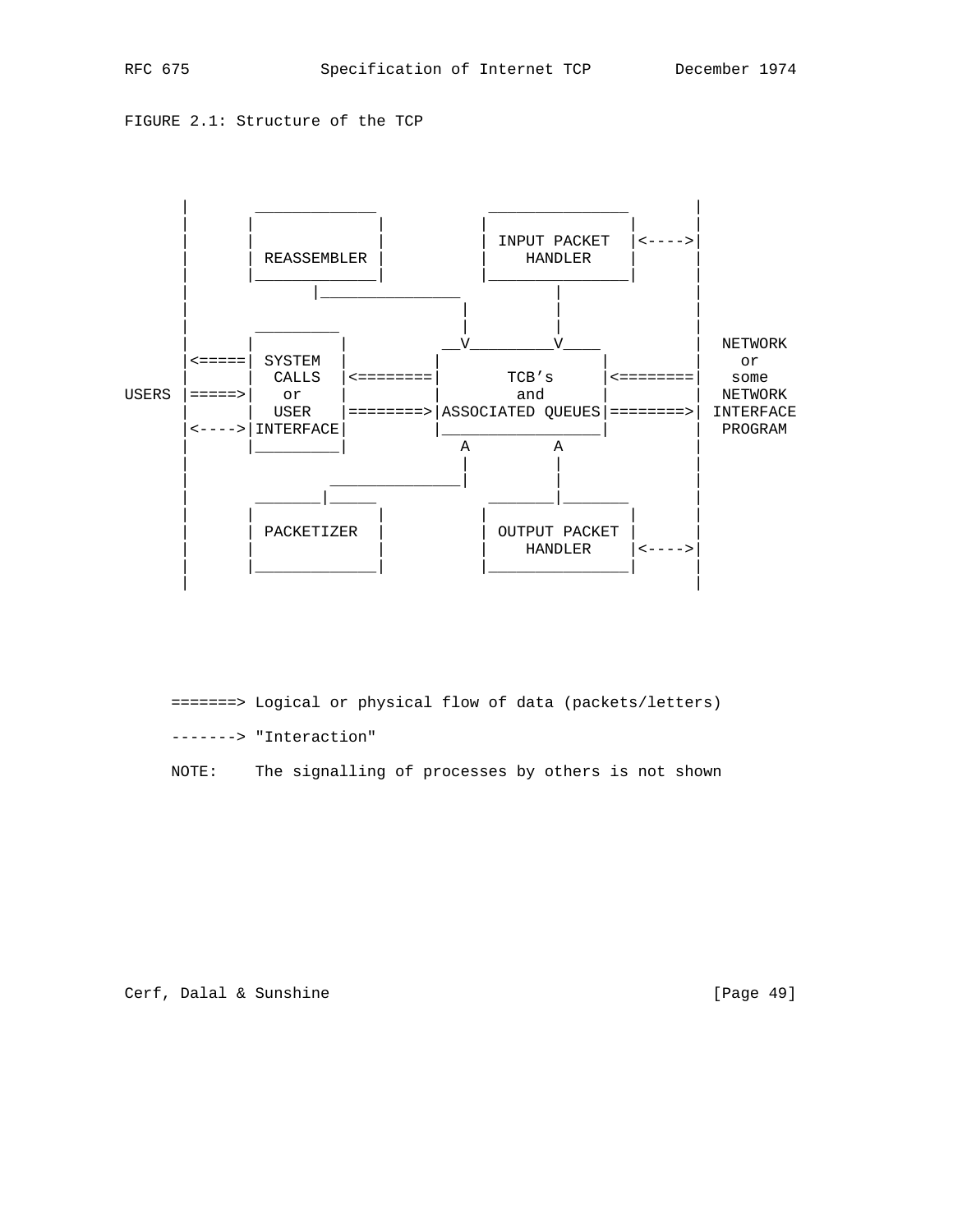FIGURE 2.1: Structure of the TCP



 =======> Logical or physical flow of data (packets/letters) -------> "Interaction"

NOTE: The signalling of processes by others is not shown

Cerf, Dalal & Sunshine [Page 49]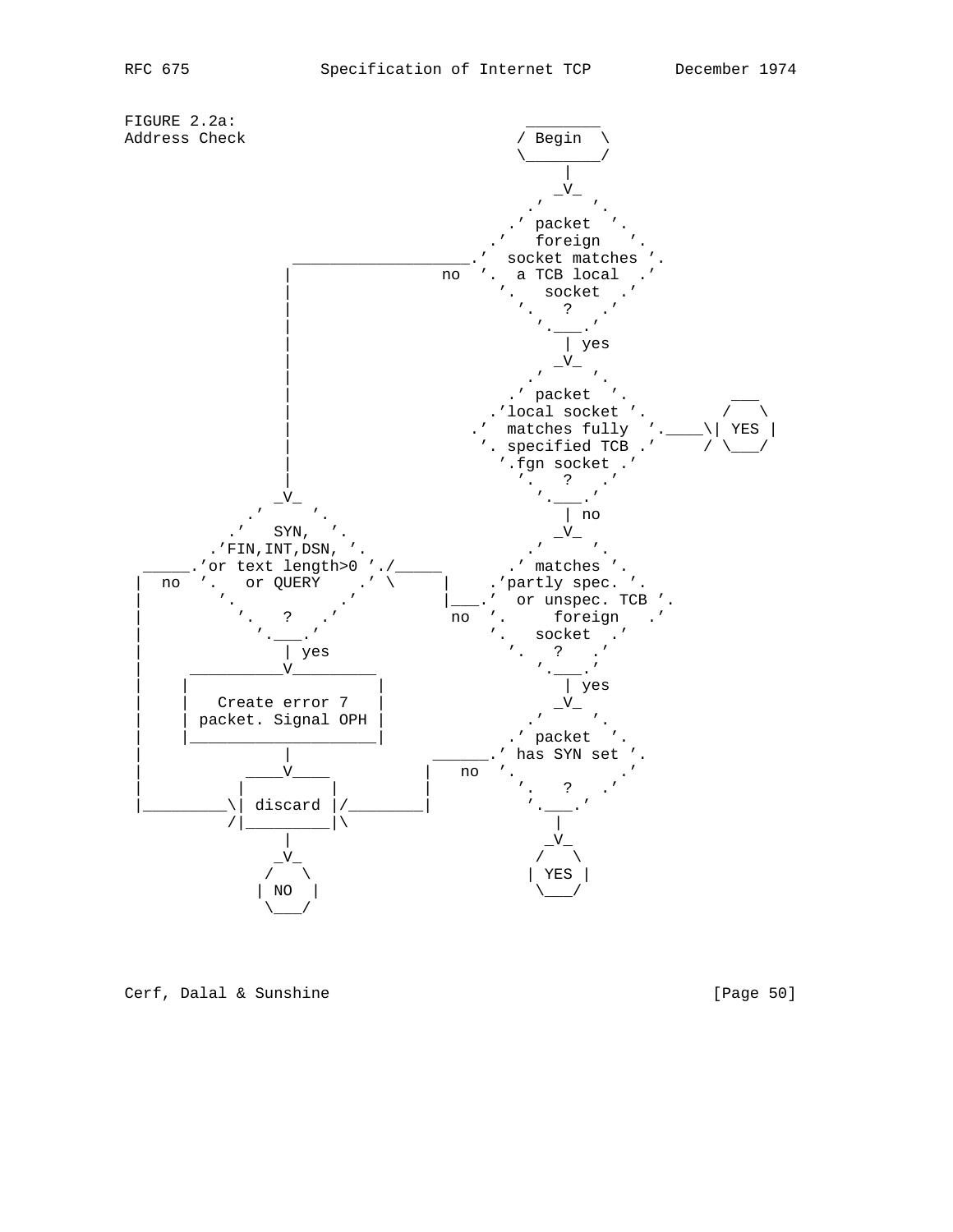

Cerf, Dalal & Sunshine [Page 50]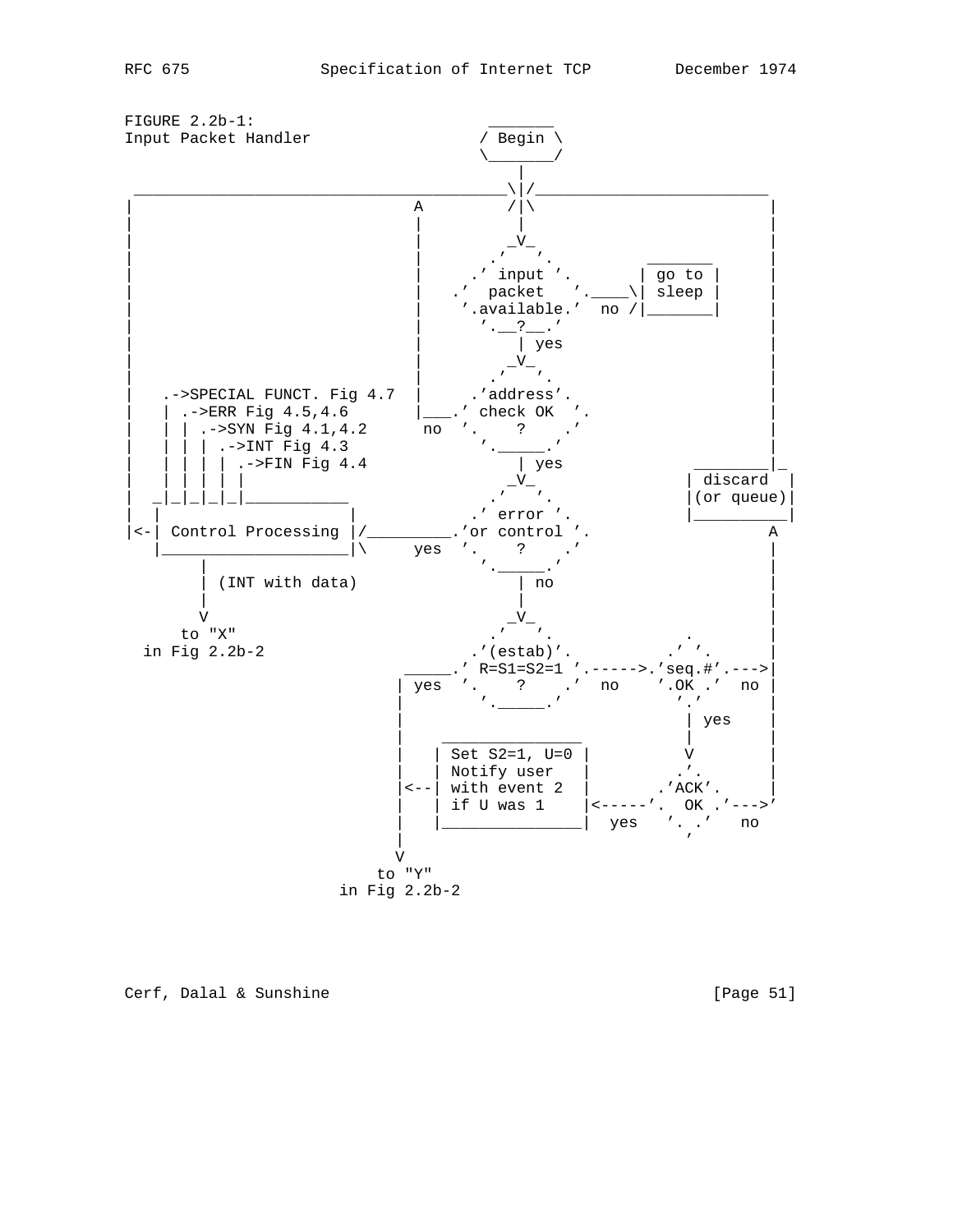

Cerf, Dalal & Sunshine [Page 51]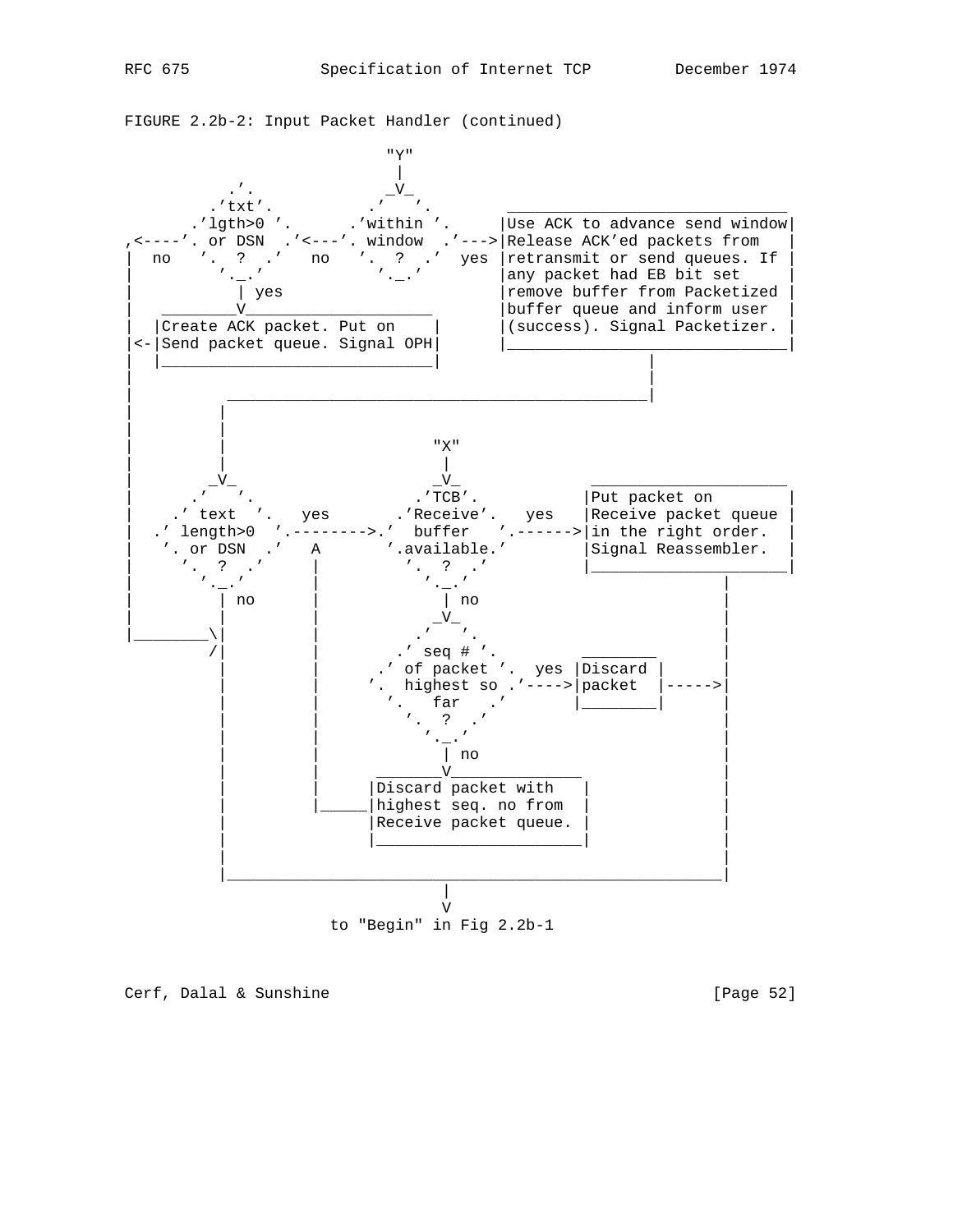



to "Begin" in Fig 2.2b-1

Cerf, Dalal & Sunshine [Page 52]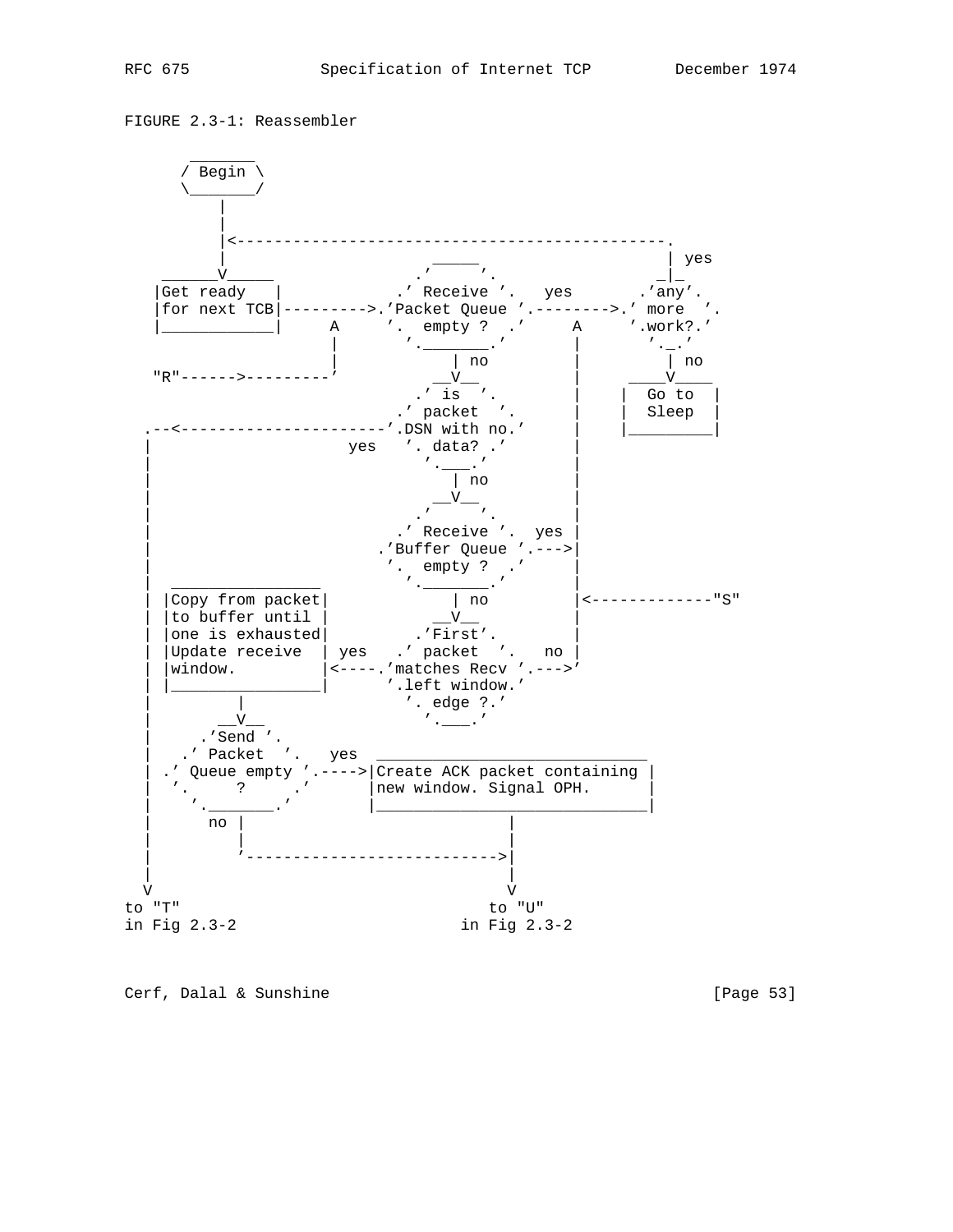FIGURE 2.3-1: Reassembler



Cerf, Dalal & Sunshine [Page 53]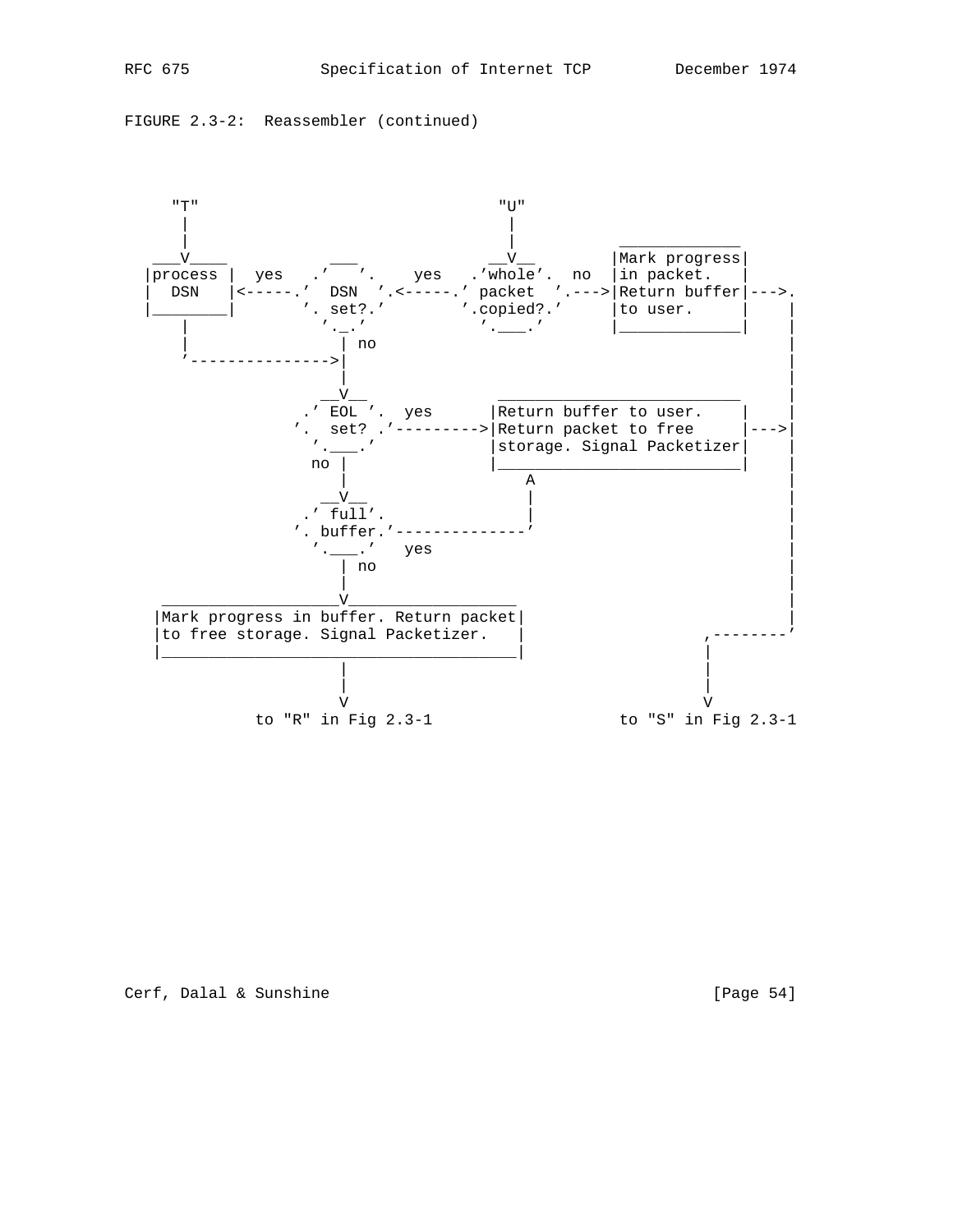FIGURE 2.3-2: Reassembler (continued)

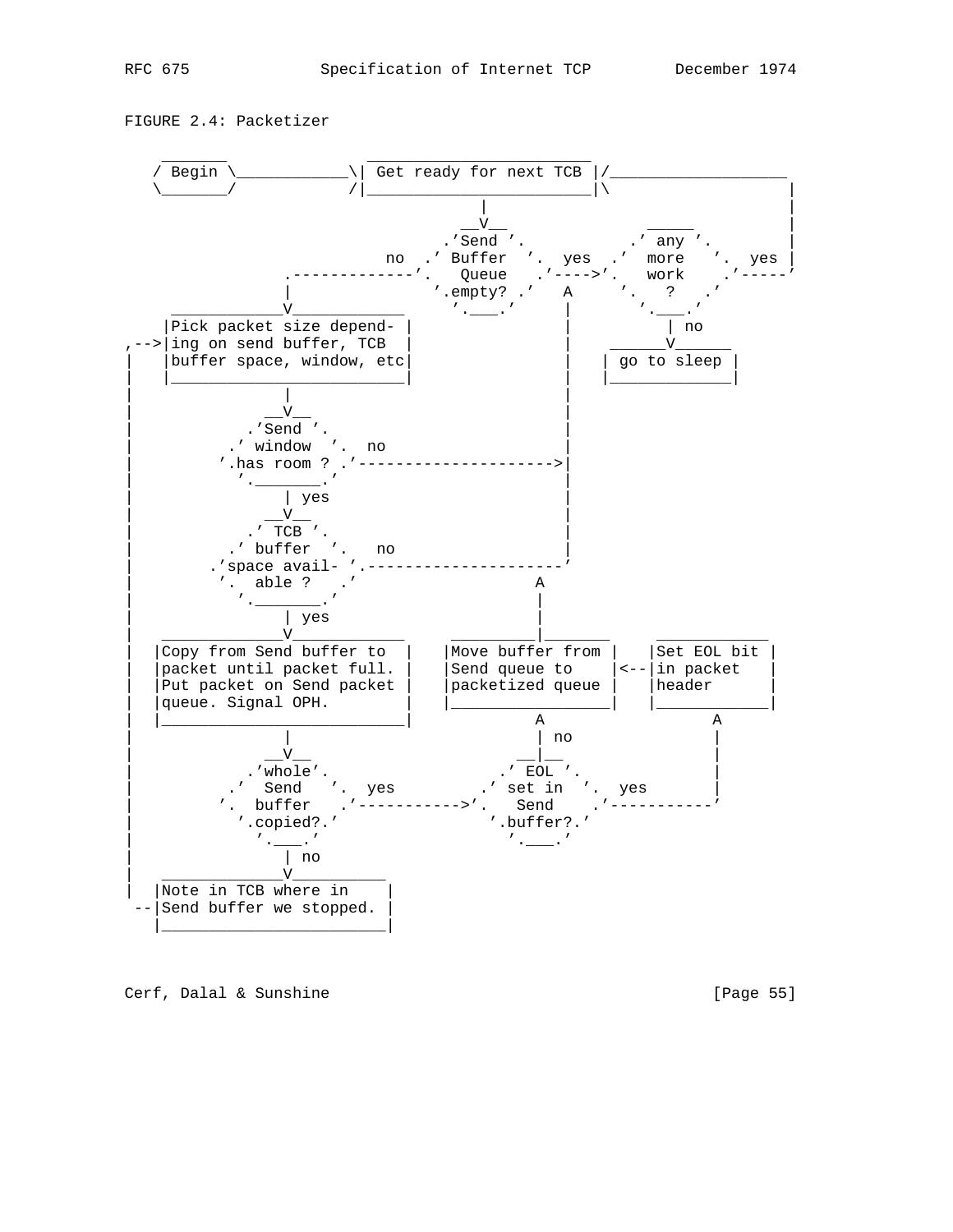FIGURE 2.4: Packetizer



Cerf, Dalal & Sunshine [Page 55]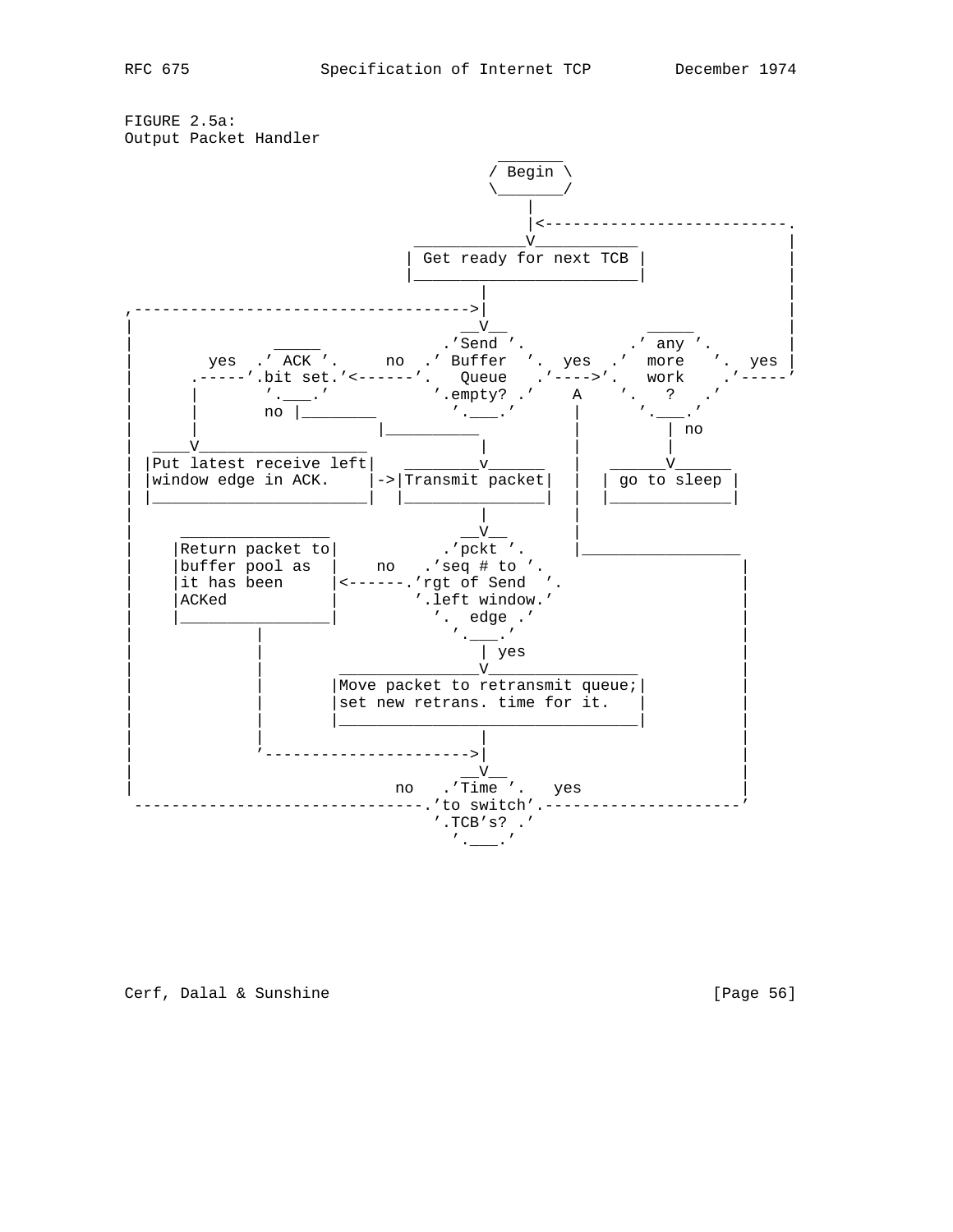FIGURE 2.5a: Output Packet Handler



Cerf, Dalal & Sunshine [Page 56]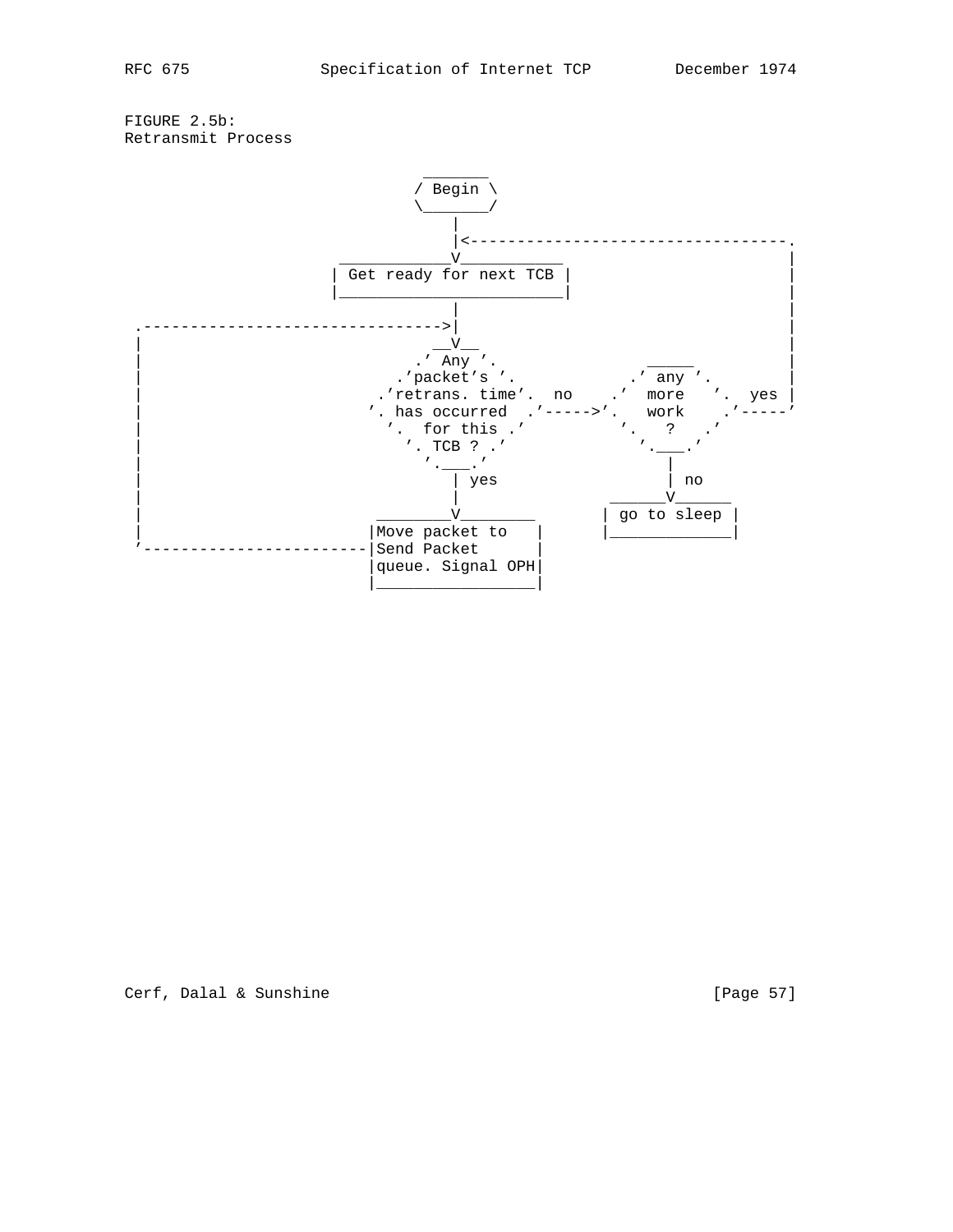FIGURE 2.5b: Retransmit Process

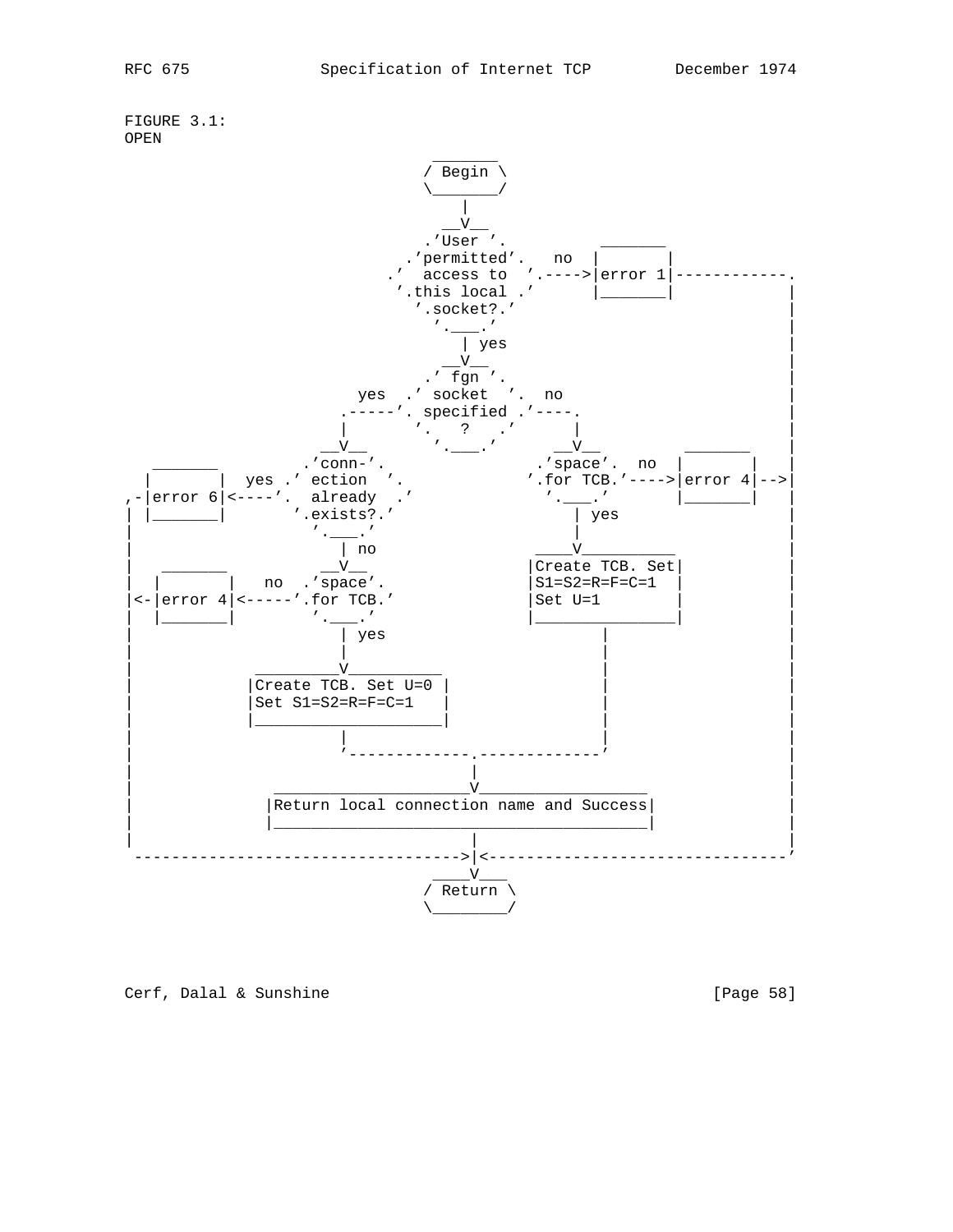

Cerf, Dalal & Sunshine [Page 58]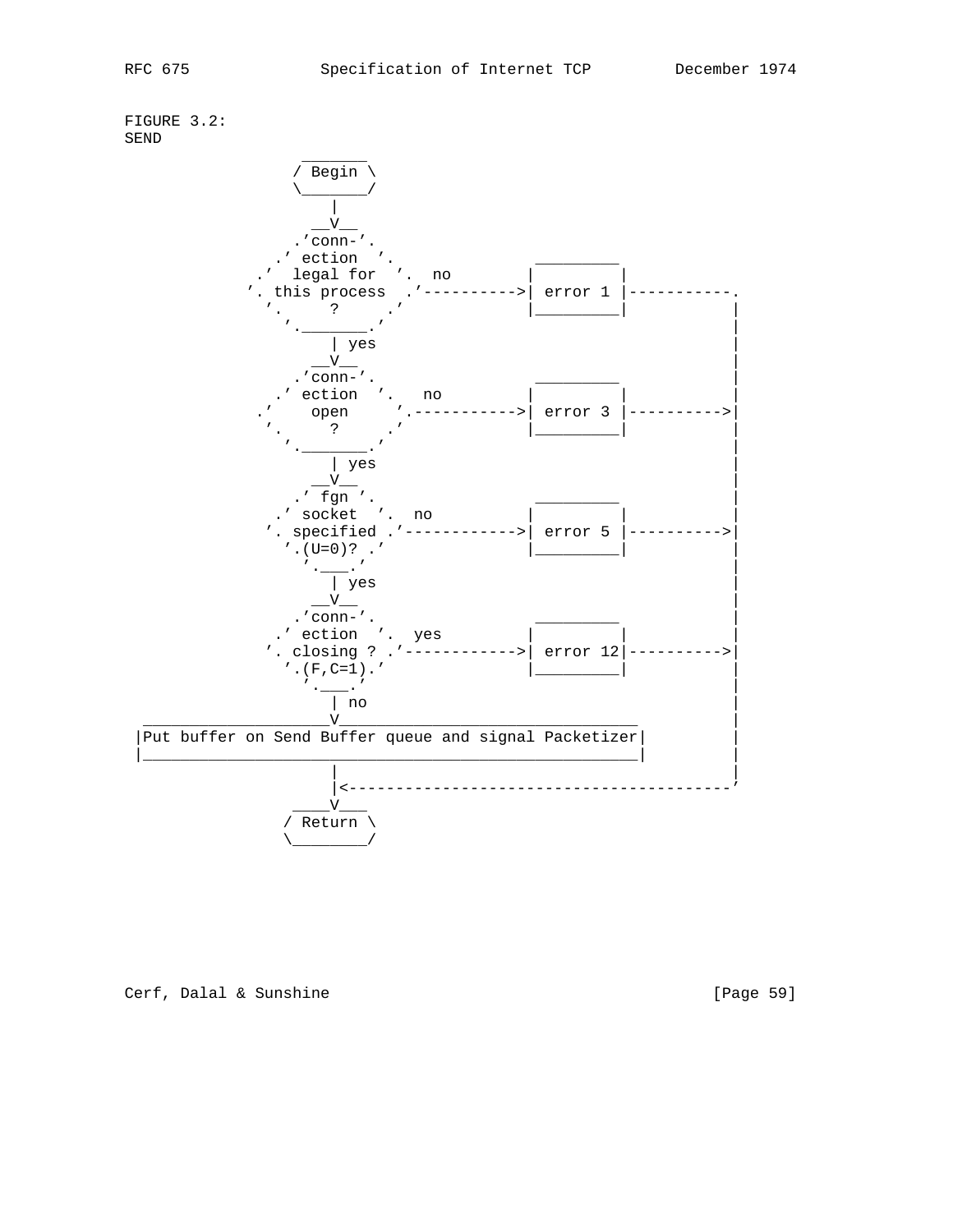FIGURE 3.2: SEND



Cerf, Dalal & Sunshine [Page 59]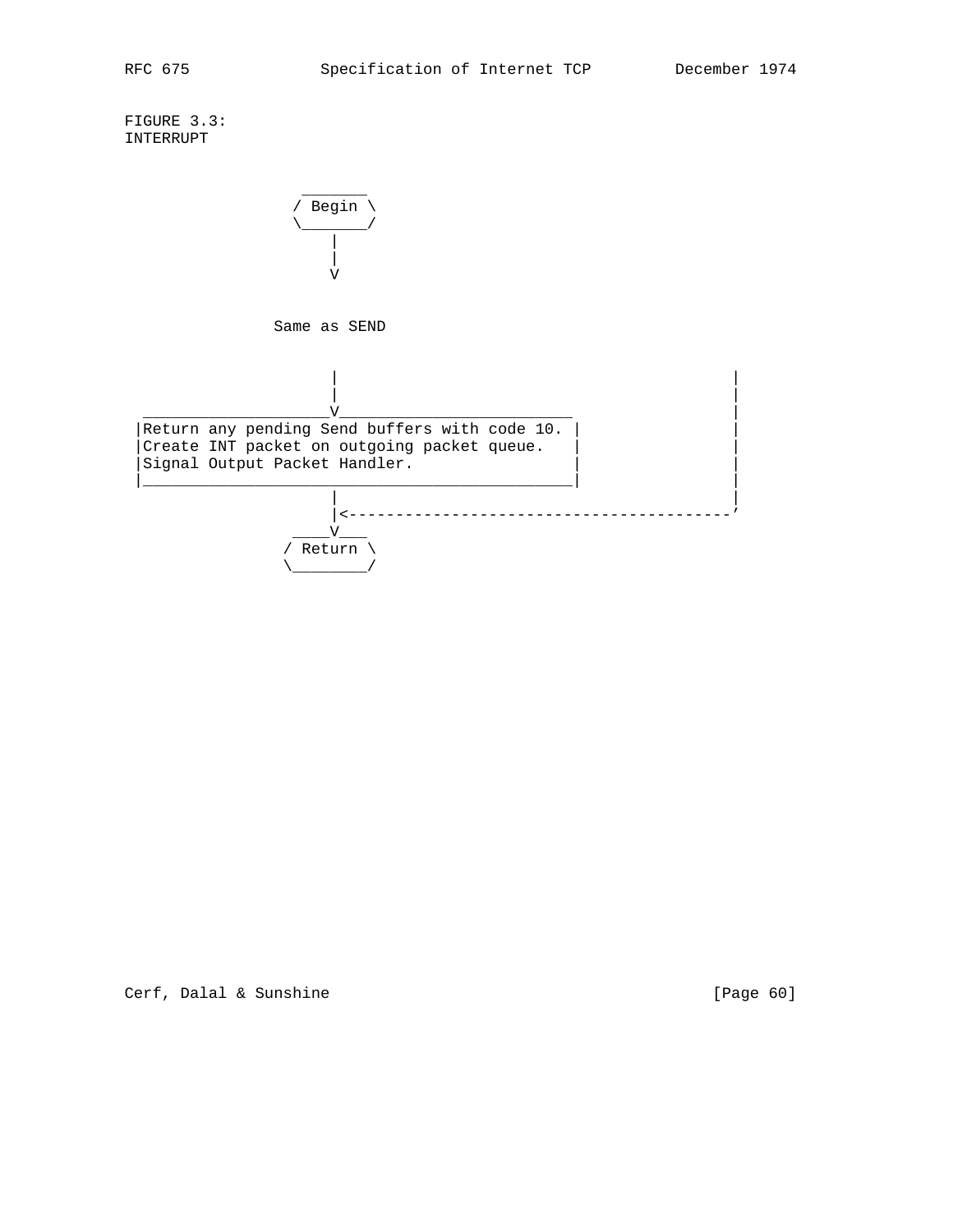FIGURE 3.3: INTERRUPT

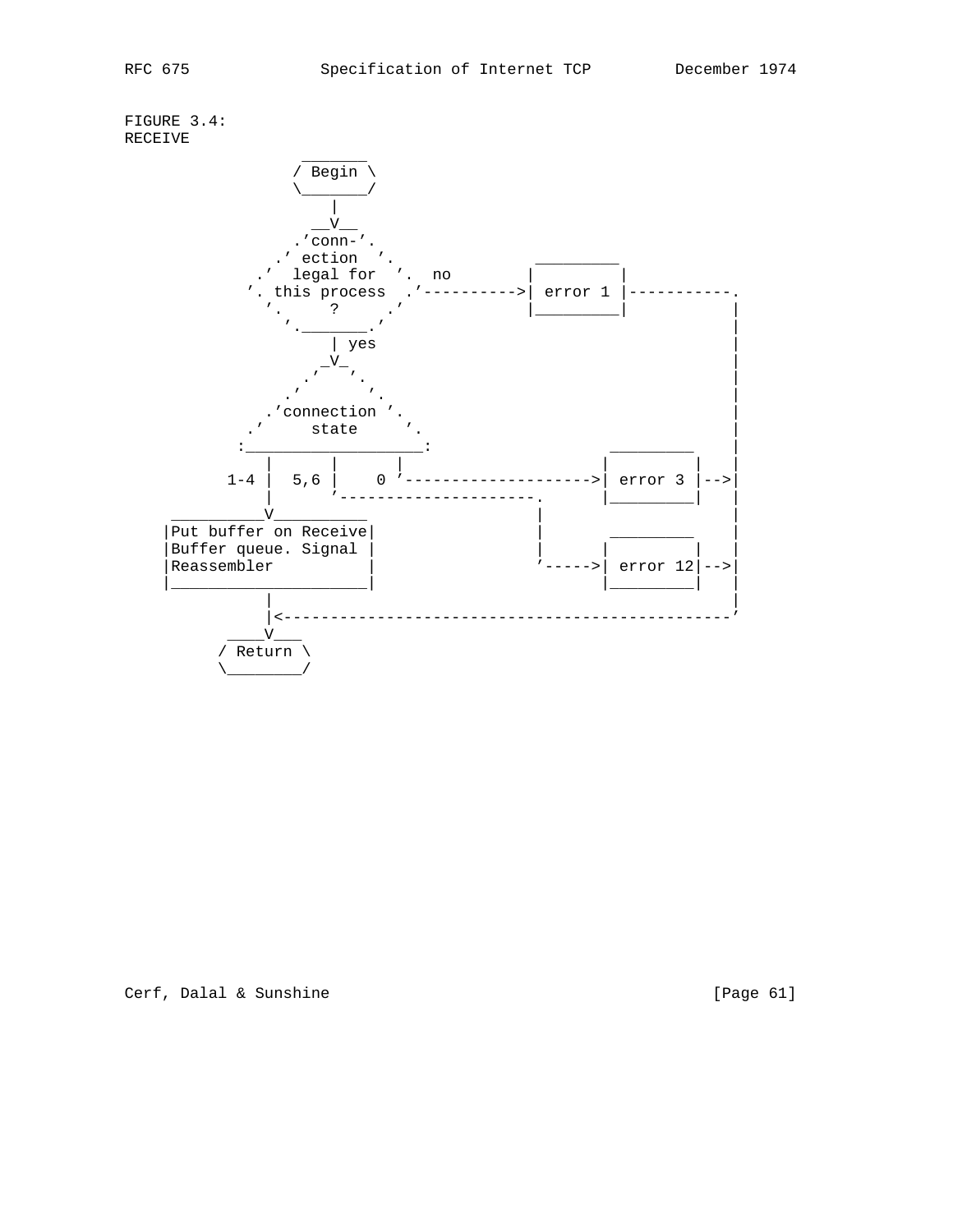FIGURE 3.4: RECEIVE



Cerf, Dalal & Sunshine [Page 61]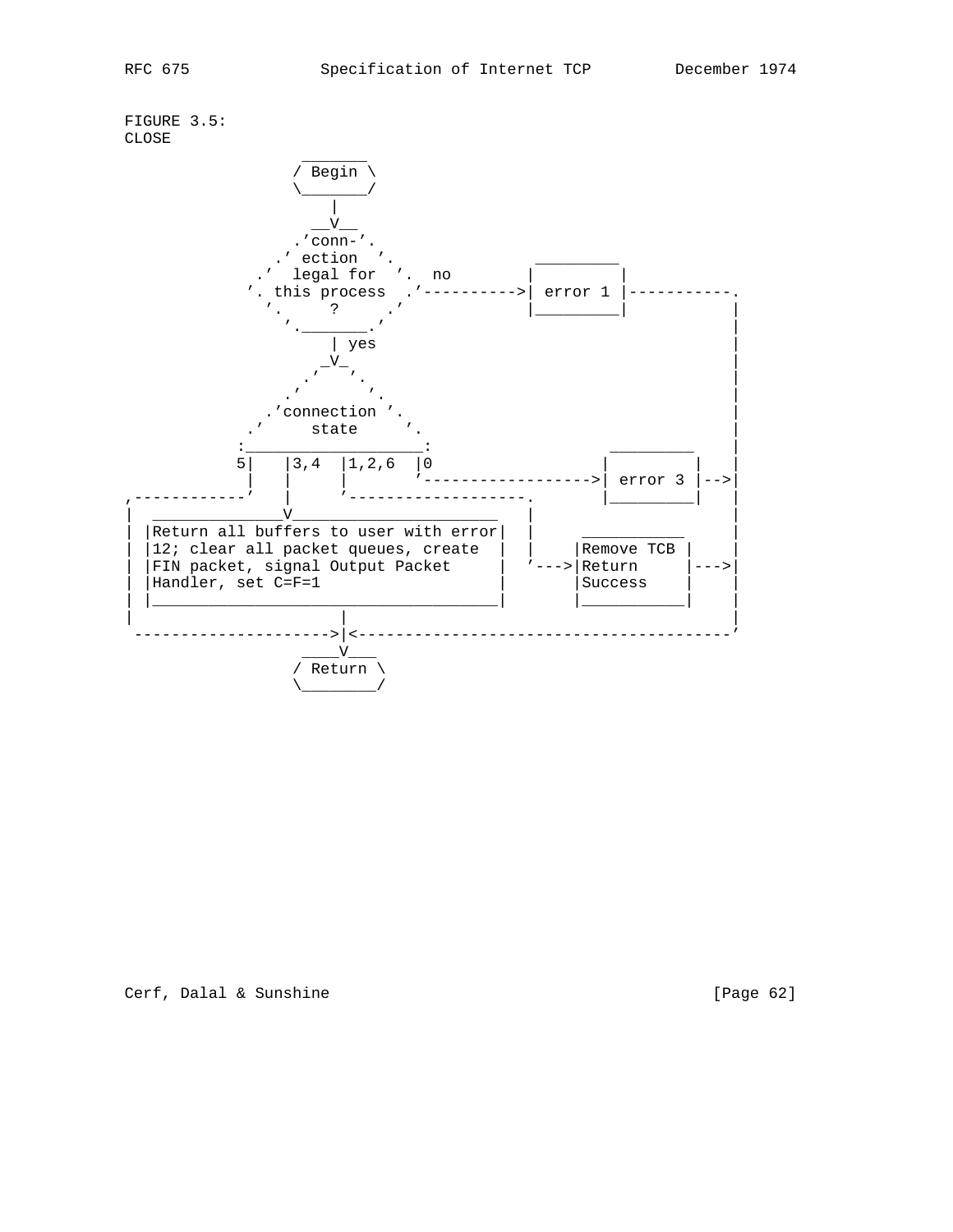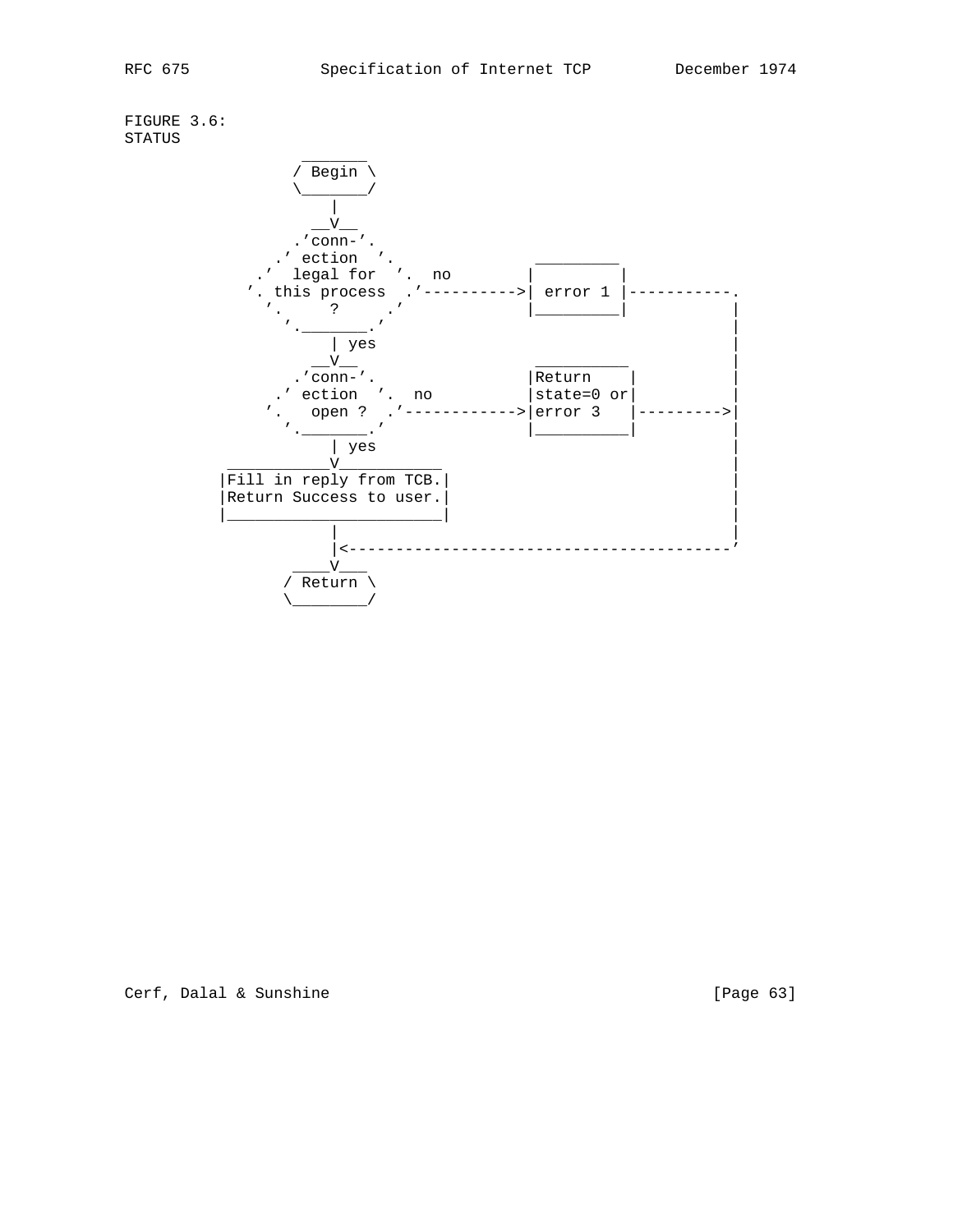FIGURE 3.6: STATUS

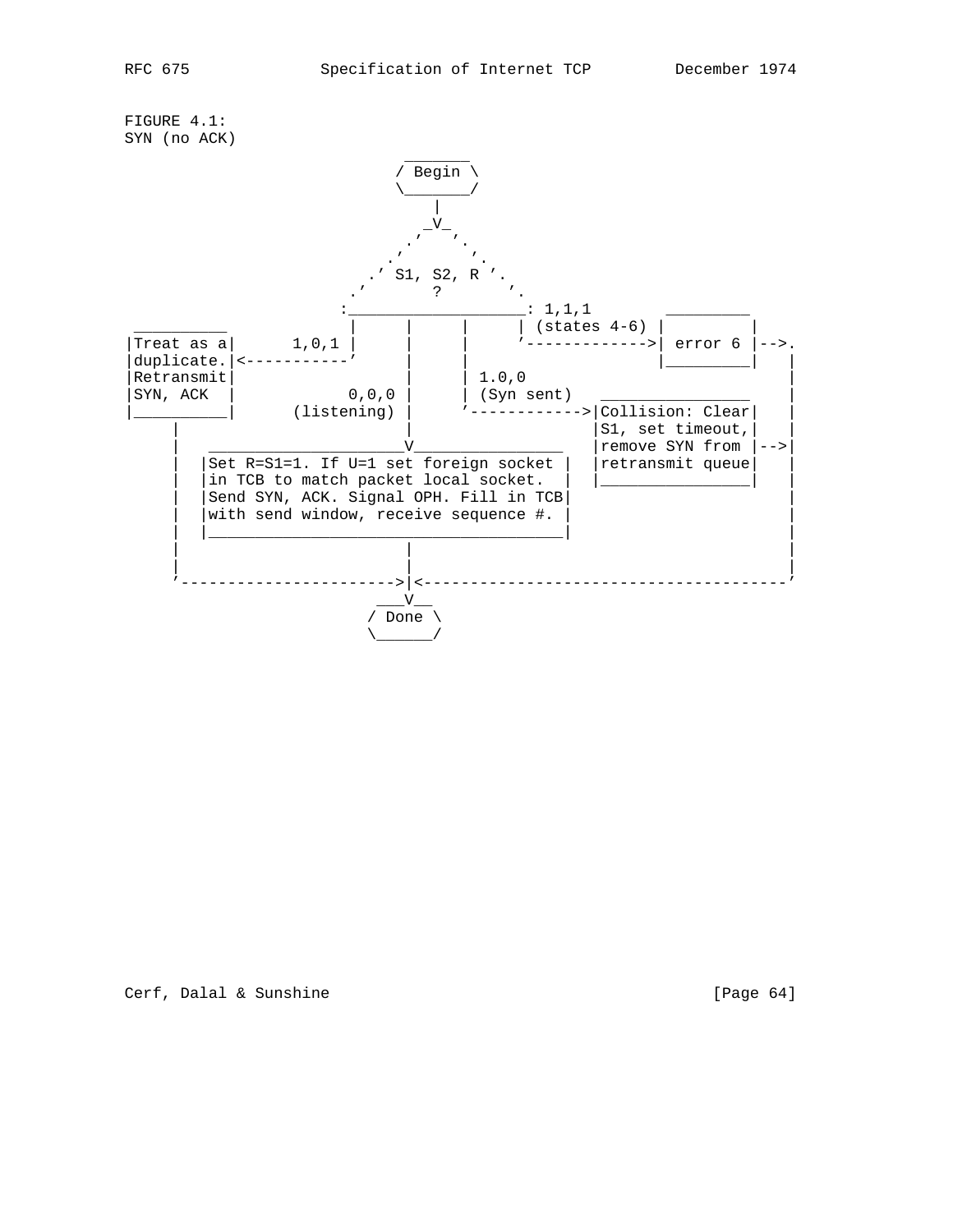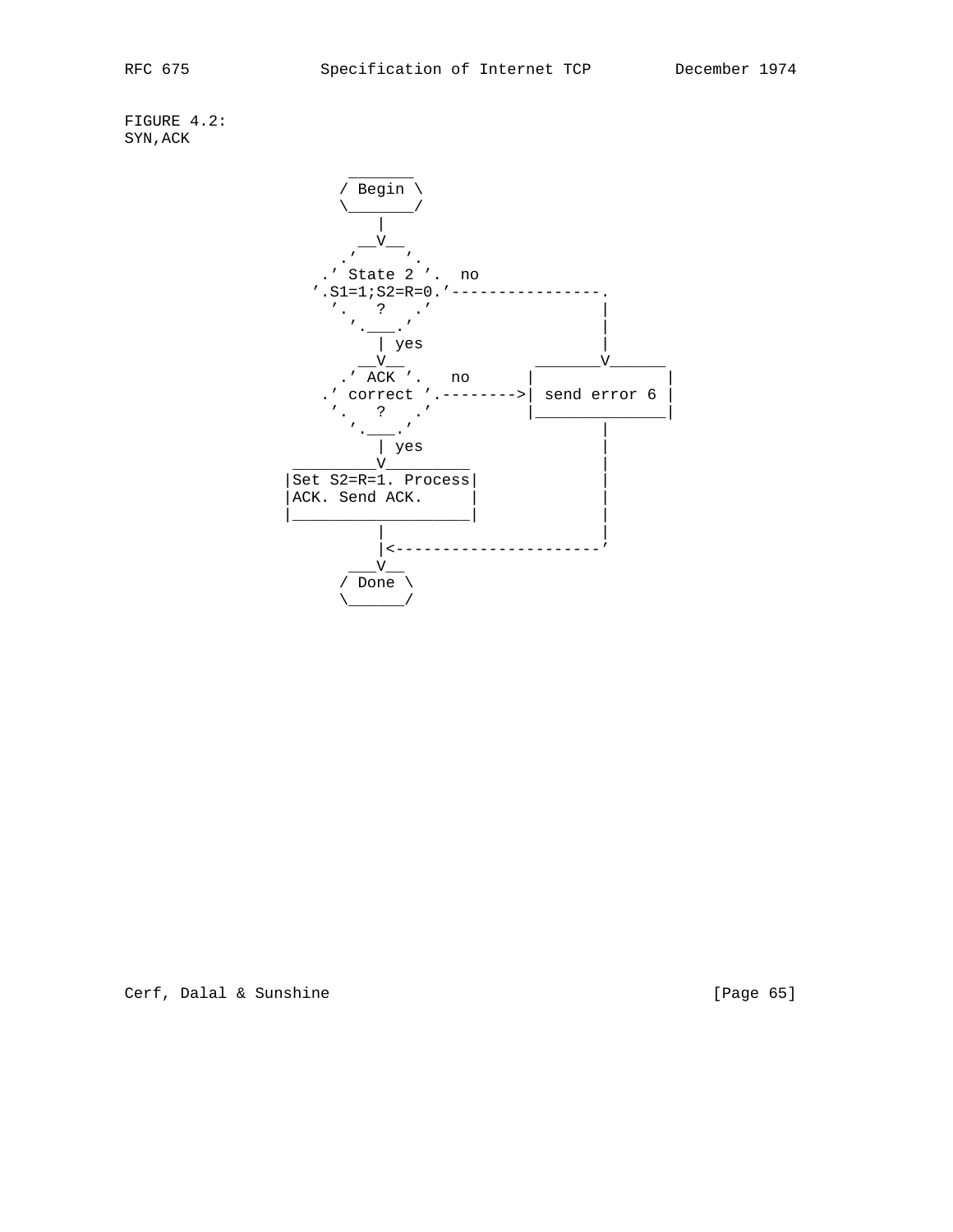FIGURE 4.2: SYN,ACK



Cerf, Dalal & Sunshine [Page 65]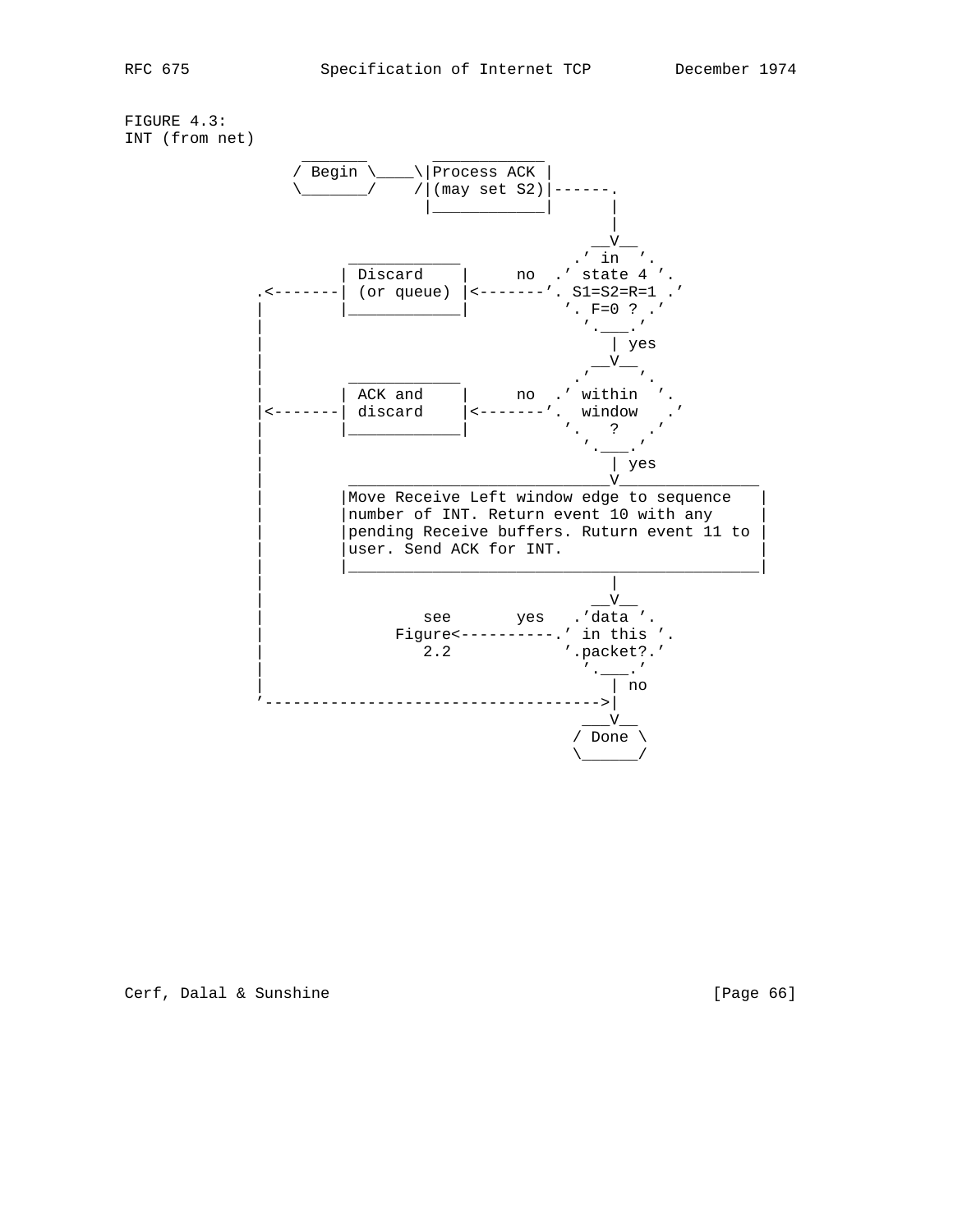FIGURE 4.3: INT (from net)

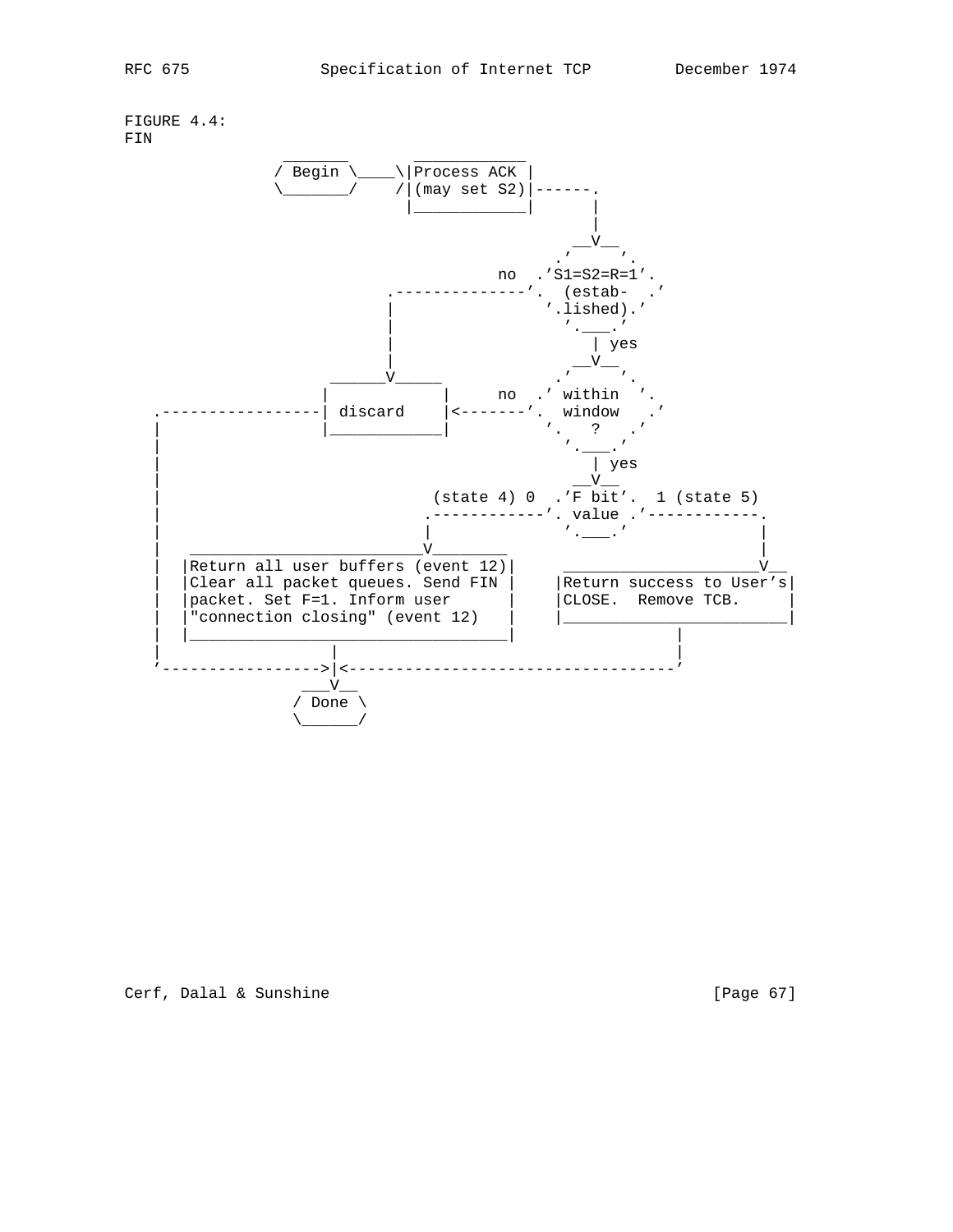FIGURE 4.4: FIN

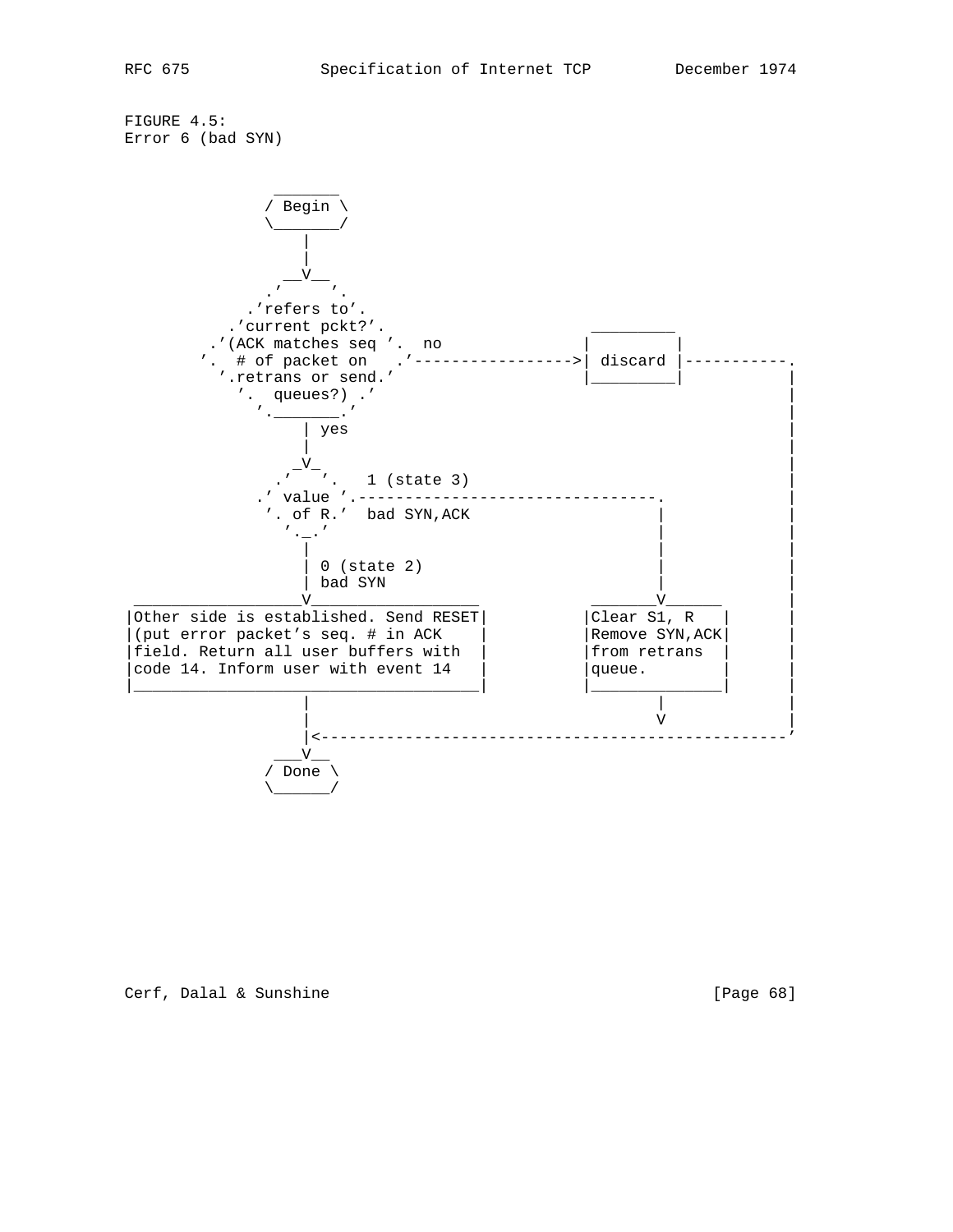FIGURE 4.5: Error 6 (bad SYN)



# Cerf, Dalal & Sunshine [Page 68]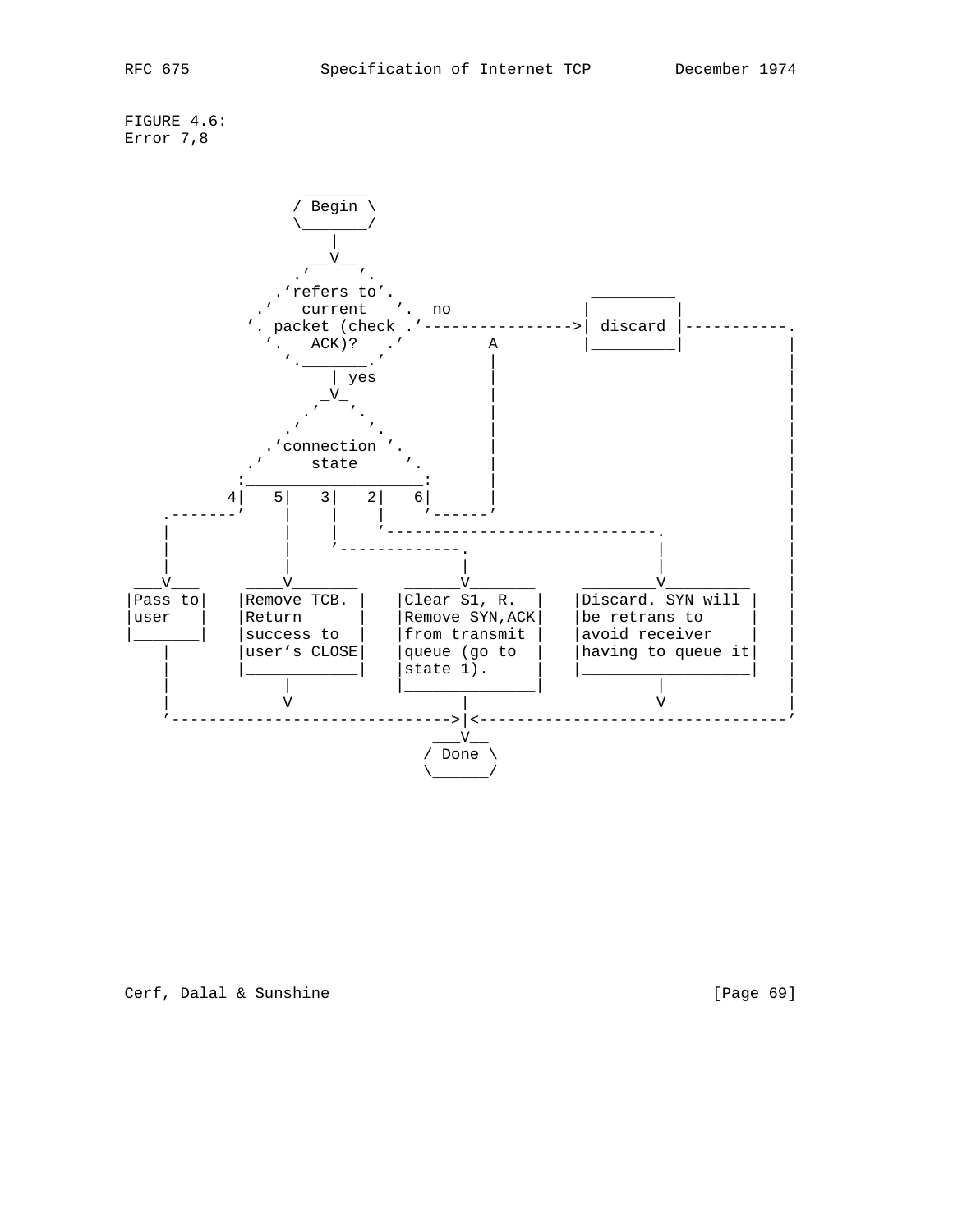FIGURE 4.6: Error 7,8



Cerf, Dalal & Sunshine [Page 69]